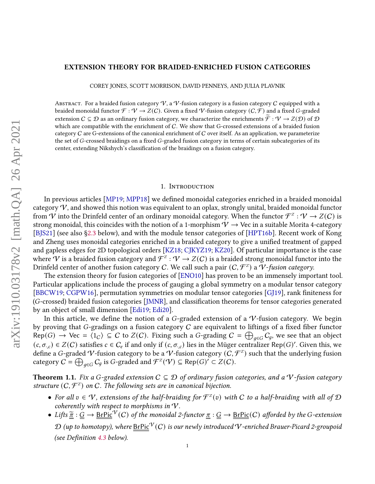# arXiv:1910.03178v2 [math.QA] 26 Apr 2021 arXiv:1910.03178v2 [math.QA] 26 Apr 2021

# EXTENSION THEORY FOR BRAIDED-ENRICHED FUSION CATEGORIES

COREY JONES, SCOTT MORRISON, DAVID PENNEYS, AND JULIA PLAVNIK

ABSTRACT. For a braided fusion category  $V$ , a  $V$ -fusion category is a fusion category C equipped with a braided monoidal functor  $\mathcal{F}: \mathcal{V} \to Z(\mathcal{C})$ . Given a fixed  $\mathcal{V}$ -fusion category  $(\mathcal{C}, \mathcal{F})$  and a fixed G-graded extension  $C \subseteq D$  as an ordinary fusion category, we characterize the enrichments  $\tilde{\mathcal{F}} : \mathcal{V} \to Z(\mathcal{D})$  of  $\mathcal{D}$ which are compatible with the enrichment of  $C$ . We show that G-crossed extensions of a braided fusion category  $C$  are G-extensions of the canonical enrichment of  $C$  over itself. As an application, we parameterize the set of  $G$ -crossed braidings on a fixed  $G$ -graded fusion category in terms of certain subcategories of its center, extending Nikshych's classification of the braidings on a fusion category.

#### 1. Introduction

In previous articles [\[MP19;](#page-35-0) [MPP18\]](#page-35-1) we defined monoidal categories enriched in a braided monoidal category  $V$ , and showed this notion was equivalent to an oplax, strongly unital, braided monoidal functor from  $\hat{V}$  into the Drinfeld center of an ordinary monoidal category. When the functor  $\hat{\mathcal{F}}^Z:\hat{V}\to Z(C)$  is strong monoidal, this coincides with the notion of a 1-morphism  $V \to Vec$  in a suitable Morita 4-category [\[BJS21\]](#page-33-0) (see also [§2.3](#page-5-0) below), and with the module tensor categories of [\[HPT16b\]](#page-35-2). Recent work of Kong and Zheng uses monoidal categories enriched in a braided category to give a unified treatment of gapped and gapless edges for 2D topological orders [\[KZ18;](#page-35-3) [CJKYZ19;](#page-34-0) [KZ20\]](#page-35-4). Of particular importance is the case where  $\hat{V}$  is a braided fusion category and  $\hat{\mathcal{F}}^z: V \to Z(C)$  is a braided strong monoidal functor into the Drinfeld center of another fusion category C. We call such a pair  $(\mathcal C,\mathcal F^z)$  a  $\tilde{\mathcal V}$ -fusion category.

The extension theory for fusion categories of [\[ENO10\]](#page-34-1) has proven to be an immensely important tool. Particular applications include the process of gauging a global symmetry on a modular tensor category [\[BBCW19;](#page-33-1) [CGPW16\]](#page-34-2), permutation symmetries on modular tensor categories [G[19], rank finiteness for  $(G\text{-crossed})$  braided fusion categories [\[JMNR\]](#page-35-5), and classification theorems for tensor categories generated by an object of small dimension [\[Edi19;](#page-34-4) [Edi20\]](#page-34-5).

In this article, we define the notion of a G-graded extension of a  $V$ -fusion category. We begin by proving that G-gradings on a fusion category  $C$  are equivalent to liftings of a fixed fiber functor  $Rep(G) \to \text{Vec} = \langle 1_C \rangle \subseteq C$  to  $Z(C)$ . Fixing such a G-grading  $C = \bigoplus_{g \in G} C_g$ , we see that an object  $(c, \sigma_{,c}) \in Z(C)$  satisfies  $c \in C_e$  if and only if  $(c, \sigma_{,c})$  lies in the Müger centralizer Rep(G)'. Given this, we define a G-graded  $V$ -fusion category to be a  $V$ -fusion category  $(\tilde C, \mathcal F^z)$  such that the underlying fusion category  $C = \bigoplus_{g \in G} C_g$  is G-graded and  $\mathcal{F}^{\mathcal{Z}}(\mathcal{V}) \subseteq \mathsf{Rep}(G)' \subset Z(C)$ .

<span id="page-0-0"></span>**Theorem 1.1.** Fix a G-graded extension  $C \subseteq D$  of ordinary fusion categories, and a V-fusion category structure  $(C, \mathcal{F}^z)$  on C. The following sets are in canonical bijection.

- For all  $v \in V$ , extensions of the half-braiding for  $\mathcal{F}^{\mathbb{Z}}(v)$  with C to a half-braiding with all of  $\mathcal D$ coherently with respect to morphisms in  $V$ .
- Lifts  $\tilde{\pi}: \tilde{G} \to \text{BrPic}^V(C)$  of the monoidal 2-functor  $\pi: G \to \text{BrPic}(C)$  afforded by the G-extension  $\mathcal D$  (up to homotopy), where  $BrPic^{\mathcal V}(C)$  is our newly introduced  $\mathcal V$ -enriched Brauer-Picard 2-groupoid (see Definition  $4.3$  below).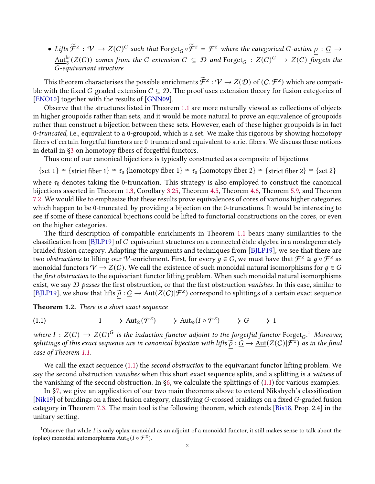• Lifts  $\widetilde{\mathcal{F}}^z$  :  $\mathcal{V} \to Z(C)^G$  such that  $\text{Forget}_G \circ \widetilde{\mathcal{F}}^z = \mathcal{F}^z$  where the categorical G-action  $\underline{\rho} : \underline{G} \to \overline{G}$  $\underline{\mathrm{Aut}}_\otimes^\mathrm{br}(Z(C))$  comes from the G-extension  $C\ \subseteq\ \mathcal{D}$  and  $\mathrm{Forget}_G\ :\ Z(C)^G\ \rightarrow\ Z(C)$  forgets the -equivariant structure.

This theorem characterises the possible enrichments  $\widetilde{\mathcal{F}}^z$  :  $\mathcal{V} \to Z(\mathcal{D})$  of  $(C, \mathcal{F}^z)$  which are compatible with the fixed G-graded extension  $C \subseteq D$ . The proof uses extension theory for fusion categories of [\[ENO10\]](#page-34-1) together with the results of [\[GNN09\]](#page-34-6).

Observe that the structures listed in Theorem [1.1](#page-0-0) are more naturally viewed as collections of objects in higher groupoids rather than sets, and it would be more natural to prove an equivalence of groupoids rather than construct a bijection between these sets. However, each of these higher groupoids is in fact 0-truncated, i.e., equivalent to a 0-groupoid, which is a set. We make this rigorous by showing homotopy fibers of certain forgetful functors are 0-truncated and equivalent to strict fibers. We discuss these notions in detail in  $\S$ 3 on homotopy fibers of forgetful functors.

Thus one of our canonical bijections is typically constructed as a composite of bijections

 $\{set 1\} \cong \{strict fiber 1\} \cong \tau_0 \{homotopy fiber 1\} \cong \tau_0 \{homotopy fiber 2\} \cong \{strict fiber 2\} \cong \{set 2\}$ 

where  $\tau_0$  denotes taking the 0-truncation. This strategy is also employed to construct the canonical bijections asserted in Theorem [1.3,](#page-2-0) Corollary [3.25,](#page-17-0) Theorem [4.5,](#page-20-0) Theorem [4.6,](#page-20-1) Theorem [5.9,](#page-25-0) and Theorem [7.2.](#page-29-0) We would like to emphasize that these results prove equivalences of cores of various higher categories, which happen to be 0-truncated, by providing a bijection on the 0-truncations. It would be interesting to see if some of these canonical bijections could be lifted to functorial constructions on the cores, or even on the higher categories.

The third description of compatible enrichments in Theorem [1.1](#page-0-0) bears many similarities to the classification from [\[BJLP19\]](#page-33-2) of G-equivariant structures on a connected étale algebra in a nondegenerately braided fusion category. Adapting the arguments and techniques from [\[BJLP19\]](#page-33-2), we see that there are two *obstructions* to lifting our V-enrichment. First, for every  $g \in G$ , we must have that  $\mathcal{F}^z \cong g \circ \mathcal{F}^z$  as monoidal functors  $V \to Z(C)$ . We call the existence of such monoidal natural isomorphisms for  $q \in G$ the *first obstruction* to the equivariant functor lifting problem. When such monoidal natural isomorphisms exist, we say  $\mathcal D$  passes the first obstruction, or that the first obstruction vanishes. In this case, similar to [\[BJLP19\]](#page-33-2), we show that lifts  $\tilde{\rho}: \underline{G} \to \underline{\text{Aut}}(Z(C)|\mathcal{F}^Z)$  correspond to splittings of a certain exact sequence.

Theorem 1.2. There is a short exact sequence

<span id="page-1-1"></span>(1.1) 
$$
1 \longrightarrow \text{Aut}_{\otimes}(\mathcal{F}^{\mathbb{Z}}) \longrightarrow \text{Aut}_{\otimes}(I \circ \mathcal{F}^{\mathbb{Z}}) \longrightarrow G \longrightarrow 1
$$

where  $I : Z(C) \to Z(C)^G$  is the induction functor adjoint to the forgetful functor Forget<sub>G</sub>.<sup>[1](#page-1-0)</sup> Moreover, splittings of this exact sequence are in canonical bijection with lifts  $\tilde{\rho}: \underline{G} \to \underline{\text{Aut}}(Z(C)|\mathcal{F}^Z)$  as in the final association with  $\tilde{\rho}$  is  $\tilde{\rho}: \underline{G} \to \underline{\text{Aut}}(Z(C)|\mathcal{F}^Z)$  as in the final case of Theorem [1.1.](#page-0-0)

We call the exact sequence [\(1.1\)](#page-1-1) the second obstruction to the equivariant functor lifting problem. We say the second obstruction *vanishes* when this short exact sequence splits, and a splitting is a witness of the vanishing of the second obstruction. In [§6,](#page-26-0) we calculate the splittings of [\(1.1\)](#page-1-1) for various examples.

In [§7,](#page-28-0) we give an application of our two main theorems above to extend Nikshych's classification [\[Nik19\]](#page-35-6) of braidings on a fixed fusion category, classifying G-crossed braidings on a fixed G-graded fusion category in Theorem [7.3.](#page-30-0) The main tool is the following theorem, which extends [\[Bis18,](#page-33-3) Prop. 2.4] in the unitary setting.

<span id="page-1-0"></span><sup>&</sup>lt;sup>1</sup>Observe that while *I* is only oplax monoidal as an adjoint of a monoidal functor, it still makes sense to talk about the (oplax) monoidal automorphisms  $\text{Aut}_{\otimes}(I \circ \mathcal{F}^Z)$ .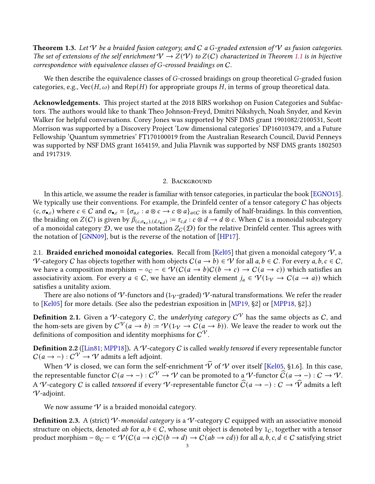<span id="page-2-0"></span>**Theorem 1.3.** Let  $V$  be a braided fusion category, and  $C$  a G-graded extension of  $V$  as fusion categories. The set of extensions of the self enrichment  $V \to Z(V)$  to  $Z(C)$  characterized in Theorem [1.1](#page-0-0) is in bijective correspondence with equivalence classes of  $G$ -crossed braidings on  $C$ .

We then describe the equivalence classes of  $G$ -crossed braidings on group theoretical  $G$ -graded fusion categories, e.g., Vec( $H$ ,  $\omega$ ) and Rep( $H$ ) for appropriate groups  $H$ , in terms of group theoretical data.

Acknowledgements. This project started at the 2018 BIRS workshop on Fusion Categories and Subfactors. The authors would like to thank Theo Johnson-Freyd, Dmitri Nikshych, Noah Snyder, and Kevin Walker for helpful conversations. Corey Jones was supported by NSF DMS grant 1901082/2100531, Scott Morrison was supported by a Discovery Project 'Low dimensional categories' DP160103479, and a Future Fellowship 'Quantum symmetries' FT170100019 from the Australian Research Council, David Penneys was supported by NSF DMS grant 1654159, and Julia Plavnik was supported by NSF DMS grants 1802503 and 1917319.

## 2. Background

In this article, we assume the reader is familiar with tensor categories, in particular the book [\[EGNO15\]](#page-34-7). We typically use their conventions. For example, the Drinfeld center of a tensor category  $C$  has objects  $(c, \sigma_{\bullet,c})$  where  $c \in C$  and  $\sigma_{\bullet,c} = {\{\sigma_{a,c} : a \otimes c \to c \otimes a\}}_{a \in C}$  is a family of half-braidings. In this convention, the braiding on  $Z(C)$  is given by  $\beta_{(c,\sigma_{\bullet,c}),(d,\tau_{\bullet,d})}:=\tau_{c,d}:c\otimes d\to d\otimes c.$  When  $C$  is a monoidal subcategory of a monoidal category  $D$ , we use the notation  $Z_c(D)$  for the relative Drinfeld center. This agrees with the notation of [\[GNN09\]](#page-34-6), but is the reverse of the notation of [\[HP17\]](#page-34-8).

2.1. **Braided enriched monoidal categories.** Recall from [\[Kel05\]](#page-35-7) that given a monoidal category  $V$ , a V-category C has objects together with hom objects  $C(a \to b) \in V$  for all  $a, b \in C$ . For every  $a, b, c \in C$ , we have a composition morphism  $-\circ_C - \in \mathcal{V}(C(a \to b)C(b \to c) \to C(a \to c))$  which satisfies an associativity axiom. For every  $a \in C$ , we have an identity element  $j_a \in \mathcal{V}(1_{\mathcal{V}} \to C(a \to a))$  which satisfies a unitality axiom.

There are also notions of V-functors and (1 $_{\rm V}$ -graded) V-natural transformations. We refer the reader to [\[Kel05\]](#page-35-7) for more details. (See also the pedestrian exposition in [\[MP19,](#page-35-0) §2] or [\[MPP18,](#page-35-1) §2].)

**Definition 2.1.** Given a V-category C, the *underlying category*  $C^V$  has the same objects as C, and the hom-sets are given by  $C^{\mathcal{V}}(a \to b) := \mathcal{V}(1_{\mathcal{V}} \to C(a \to b))$ . We leave the reader to work out the definitions of composition and identity morphisms for  $\mathcal{C}^\mathcal{V}.$ 

**Definition 2.2** ([\[Lin81;](#page-35-8) [MPP18\]](#page-35-1)). A V-category C is called weakly tensored if every representable functor  $C(a \rightarrow -): C^{\mathcal{V}} \rightarrow \mathcal{V}$  admits a left adjoint.

When V is closed, we can form the self-enrichment  $\widehat{V}$  of V over itself [\[Kel05,](#page-35-7) §1.6]. In this case, the representable functor  $C(a \to -) : C^{\mathcal{V}} \to \mathcal{V}$  can be promoted to a  $\mathcal{V}$ -functor  $\widehat{C}(a \to -) : C \to \mathcal{V}$ . A V-category C is called tensored if every V-representable functor  $\widehat{C}(a \to -) : C \to \widehat{V}$  admits a left V-adjoint.

We now assume  $V$  is a braided monoidal category.

**Definition 2.3.** A (strict) V-monoidal category is a V-category C equipped with an associative monoid structure on objects, denoted *ab* for  $a, b \in C$ , whose unit object is denoted by 1<sub>C</sub>, together with a tensor product morphism  $-\otimes_C - \in \mathcal{V}(C(a \to c)C(b \to d) \to C(ab \to cd))$  for all  $a, b, c, d \in C$  satisfying strict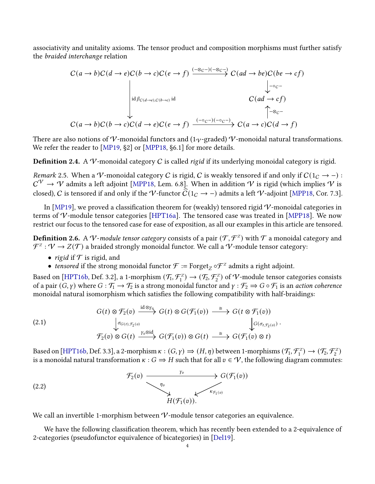associativity and unitality axioms. The tensor product and composition morphisms must further satisfy the braided interchange relation

$$
C(a \to b)C(d \to e)C(b \to c)C(e \to f) \xrightarrow{(-\otimes_{C^-})(-\otimes_{C^-})} C(ad \to be)C(be \to cf)
$$
\n
$$
\downarrow_{- \circ_C -} C(a \to b)C(b \to c)C(d \to e)C(e \to f) \xrightarrow{(-\circ_{C^-})(-\circ_{C^-})} C(a \to c)C(d \to f)
$$
\n
$$
C(a \to b)C(b \to c)C(d \to e)C(e \to f) \xrightarrow{(-\circ_{C^-})(-\circ_{C^-})} C(a \to c)C(d \to f)
$$

There are also notions of V-monoidal functors and (1 $\gamma$ -graded) V-monoidal natural transformations. We refer the reader to [\[MP19,](#page-35-0) §2] or [\[MPP18,](#page-35-1) §6.1] for more details.

**Definition 2.4.** A V-monoidal category C is called rigid if its underlying monoidal category is rigid.

Remark 2.5. When a V-monoidal category C is rigid, C is weakly tensored if and only if  $C(1_C \rightarrow -)$ :  $\mathcal{C}^\mathcal{V} \to \mathcal{V}$  admits a left adjoint [\[MPP18,](#page-35-1) Lem. 6.8]. When in addition  $\mathcal{V}$  is rigid (which implies  $\mathcal{V}$  is closed), C is tensored if and only if the V-functor  $\widehat{C}(1_C \to -)$  admits a left V-adjoint [\[MPP18,](#page-35-1) Cor. 7.3].

In [\[MP19\]](#page-35-0), we proved a classification theorem for (weakly) tensored rigid  $V$ -monoidal categories in terms of V-module tensor categories [\[HPT16a\]](#page-35-9). The tensored case was treated in [\[MPP18\]](#page-35-1). We now restrict our focus to the tensored case for ease of exposition, as all our examples in this article are tensored.

<span id="page-3-0"></span>**Definition 2.6.** A  $V$ -module tensor category consists of a pair  $(\mathcal{T},\mathcal{F}^z)$  with  $\mathcal{T}$  a monoidal category and  $\mathcal{F}^{\mathcal{I}}: \mathcal{V} \to Z(\mathcal{T})$  a braided strongly monoidal functor. We call a  $\mathcal{V}$ -module tensor category:

- *rigid* if  $\mathcal T$  is rigid, and
- tensored if the strong monoidal functor  $\mathcal{F}$  := Forget<sub>Z</sub>  $\circ \mathcal{F}^z$  admits a right adjoint.

Based on [\[HPT16b,](#page-35-2) Def. 3.2], a 1-morphism  $(\mathcal{T}_1, \mathcal{F}_1^z) \to (\mathcal{T}_2, \mathcal{F}_2^z)$  of  $\mathcal{V}$ -module tensor categories consists of a pair  $(G, \gamma)$  where  $G : \mathcal{T}_1 \to \mathcal{T}_2$  is a strong monoidal functor and  $\gamma : \mathcal{T}_2 \Rightarrow G \circ \mathcal{T}_1$  is an action coherence monoidal natural isomorphism which satisfies the following compatibility with half-braidings:

<span id="page-3-2"></span>(2.1)  
\n
$$
G(t) \otimes \mathcal{F}_2(v) \xrightarrow{\mathrm{id} \otimes \gamma_v} G(t) \otimes G(\mathcal{F}_1(v)) \xrightarrow{\cong} G(t \otimes \mathcal{F}_1(v))
$$
\n
$$
\downarrow^{\sigma_{G(t), \mathcal{F}_2(v)}} \mathcal{F}_2(v) \otimes G(t) \xrightarrow{\gamma_v \otimes \mathrm{id}} G(\mathcal{F}_1(v)) \otimes G(t) \xrightarrow{\cong} G(\mathcal{F}_1(v) \otimes t)
$$

Based on [\[HPT16b,](#page-35-2) Def. 3.3], a 2-morphism  $\kappa : (G, \gamma) \Rightarrow (H, \eta)$  between 1-morphisms  $(\mathcal{T}_1, \mathcal{F}_1^Z) \rightarrow (\mathcal{T}_2, \mathcal{F}_2^Z)$ is a monoidal natural transformation  $\kappa$ :  $G \Rightarrow H$  such that for all  $v \in V$ , the following diagram commutes:

<span id="page-3-1"></span>(2.2) 
$$
\begin{array}{ccc}\n & \mathcal{F}_2(v) & \xrightarrow{\gamma_v} & G(\mathcal{F}_1(v)) \\
 & \searrow & & \swarrow \searrow \\
 & H(\mathcal{F}_1(v)). & & \\
\end{array}
$$

We call an invertible 1-morphism between  $V$ -module tensor categories an equivalence.

We have the following classification theorem, which has recently been extended to a 2-equivalence of 2-categories (pseudofunctor equivalence of bicategories) in [\[Del19\]](#page-34-9).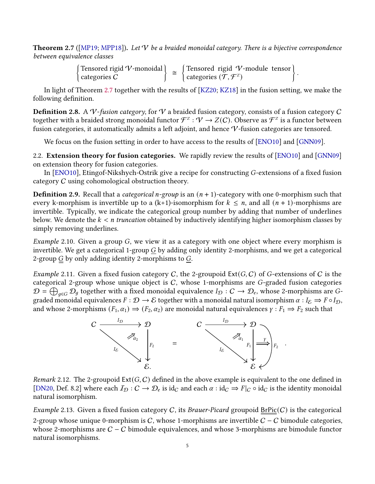<span id="page-4-0"></span>**Theorem 2.7** ([\[MP19;](#page-35-0) [MPP18\]](#page-35-1)). Let  $V$  be a braided monoidal category. There is a bijective correspondence between equivalence classes

> Tensored rigid V-monoidal categories C  $\Big\} \cong \Big\{$  Tensored rigid  $V$ -module tensor categories  $(\tilde{\mathcal{T}}, \mathcal{F}^z)$  $\big\}$ .

In light of Theorem [2.7](#page-4-0) together with the results of [\[KZ20;](#page-35-4) [KZ18\]](#page-35-3) in the fusion setting, we make the following definition.

**Definition 2.8.** A V-fusion category, for V a braided fusion category, consists of a fusion category C together with a braided strong monoidal functor  $\mathcal{F}^z:\mathcal{V}\to Z(\mathcal{C})$ . Observe as  $\mathcal{F}^z$  is a functor between fusion categories, it automatically admits a left adjoint, and hence V-fusion categories are tensored.

We focus on the fusion setting in order to have access to the results of [\[ENO10\]](#page-34-1) and [\[GNN09\]](#page-34-6).

2.2. Extension theory for fusion categories. We rapidly review the results of [\[ENO10\]](#page-34-1) and [\[GNN09\]](#page-34-6) on extension theory for fusion categories.

In  $[ENO10]$ , Etingof-Nikshych-Ostrik give a recipe for constructing  $G$ -extensions of a fixed fusion category C using cohomological obstruction theory.

**Definition 2.9.** Recall that a *categorical n-group* is an  $(n + 1)$ -category with one 0-morphism such that every k-morphism is invertible up to a  $(k+1)$ -isomorphism for  $k \le n$ , and all  $(n + 1)$ -morphisms are invertible. Typically, we indicate the categorical group number by adding that number of underlines below. We denote the  $k < n$  truncation obtained by inductively identifying higher isomorphism classes by simply removing underlines.

*Example* 2.10. Given a group  $G$ , we view it as a category with one object where every morphism is invertible. We get a categorical 1-group  $G$  by adding only identity 2-morphisms, and we get a categorical 2-group  $\mathcal G$  by only adding identity 2-morphisms to  $G$ .

*Example* 2.11. Given a fixed fusion category C, the 2-groupoid  $Ext(G, C)$  of G-extensions of C is the categorical 2-group whose unique object is  $C$ , whose 1-morphisms are  $G$ -graded fusion categories  $\mathcal{D}=\bigoplus_{g\in G}\mathcal{D}_g$  together with a fixed monoidal equivalence  $I_\mathcal{D}:C\to\mathcal{D}_e,$  whose 2-morphisms are  $G$ graded monoidal equivalences  $F : \mathcal{D} \to \mathcal{E}$  together with a monoidal natural isomorphism  $\alpha : I_{\mathcal{E}} \Rightarrow F \circ I_{\mathcal{D}}$ , and whose 2-morphisms  $(F_1, \alpha_1) \Rightarrow (F_2, \alpha_2)$  are monoidal natural equivalences  $\gamma : F_1 \Rightarrow F_2$  such that



Remark 2.12. The 2-groupoid  $Ext(G, C)$  defined in the above example is equivalent to the one defined in [\[DN20,](#page-34-10) Def. 8.2] where each  $I_{\mathcal{D}}: C \to \mathcal{D}_e$  is id<sub>C</sub> and each  $\alpha : id_C \to F|_C \circ id_C$  is the identity monoidal natural isomorphism.

<span id="page-4-1"></span>Example 2.13. Given a fixed fusion category C, its Brauer-Picard groupoid  $BrPic(C)$  is the categorical 2-group whose unique 0-morphism is  $C$ , whose 1-morphisms are invertible  $C - C$  bimodule categories, whose 2-morphisms are  $C - C$  bimodule equivalences, and whose 3-morphisms are bimodule functor natural isomorphisms.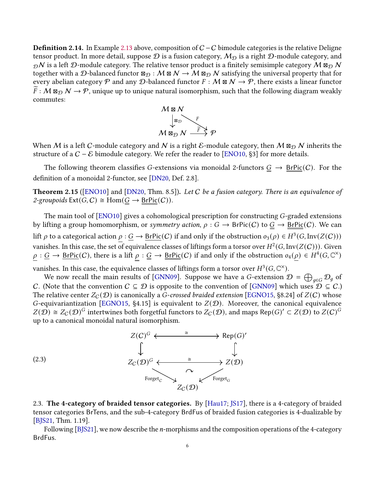<span id="page-5-1"></span>**Definition 2.14.** In Example [2.13](#page-4-1) above, composition of  $C - C$  bimodule categories is the relative Deligne tensor product. In more detail, suppose  $\mathcal D$  is a fusion category,  $\mathcal M_{\mathcal D}$  is a right  $\mathcal D$ -module category, and  $_{\mathcal{D}}$ N is a left  $\mathcal{D}$ -module category. The relative tensor product is a finitely semisimple category  $\dot{M}$   $\alpha_{\mathcal{D}}$  N together with a D-balanced functor  $\boxtimes_{\cal D} : {\cal M} \boxtimes {\cal N} \to \overline{{\cal M}} \boxtimes_{\cal D} {\cal N}$  satisfying the universal property that for every abelian category  $P$  and any  $D$ -balanced functor  $F : M \boxtimes N \to \mathcal{P}$ , there exists a linear functor  $\widetilde{F}:\mathcal{M} \boxtimes_{\mathcal{D}} \mathcal{N} \to \mathcal{P}$ , unique up to unique natural isomorphism, such that the following diagram weakly commutes:



When  $\cal M$  is a left  $\cal C$ -module category and  $\cal N$  is a right  $\cal E$ -module category, then  $\cal M$   $\boxtimes_{\cal D} \cal N$  inherits the structure of a  $C - \mathcal{E}$  bimodule category. We refer the reader to [\[ENO10,](#page-34-1) §3] for more details.

The following theorem classifies G-extensions via monoidal 2-functors  $\underline{G} \rightarrow \underline{BrPic}(C)$ . For the definition of a monoidal 2-functor, see [\[DN20,](#page-34-10) Def. 2.8].

<span id="page-5-2"></span>**Theorem 2.15** ([\[ENO10\]](#page-34-1) and [\[DN20,](#page-34-10) Thm. 8.5]). Let C be a fusion category. There is an equivalence of 2-groupoids  $\text{Ext}(G, C) \cong \text{Hom}(\underline{G} \to \underline{\text{BrPic}}(C)).$ 

The main tool of  $[ENO10]$  gives a cohomological prescription for constructing  $G$ -graded extensions by lifting a group homomorphism, or symmetry action,  $\rho : G \to \text{BrPic}(C)$  to  $G \to \text{BrPic}(C)$ . We can lift  $\rho$  to a categorical action  $\rho : \underline{G} \to \underline{BrPic}(C)$  if and only if the obstruction  $o_3(\rho) \in H^3(G, Inv(Z(C)))$ vanishes. In this case, the set of equivalence classes of liftings form a torsor over  $H^2(G, \mathop{\rm Inv}\nolimits(Z(C))).$  Given  $\rho: \underline{G} \to \underline{BrPic}(C)$ , there is a lift  $\rho: \underline{G} \to \underline{BrPic}(C)$  if and only if the obstruction  $o_4(\rho) \in H^4(G, \mathbb{C}^{\times})$ 

vanishes. In this case, the equivalence classes of liftings form a torsor over  $H^3(G,\mathbb C^\times)$ .

We now recall the main results of [\[GNN09\]](#page-34-6). Suppose we have a G-extension  $\mathcal{D}$  =  $\bigoplus_{g\in G}\mathcal{D}_g$  of C. (Note that the convention  $C \subseteq D$  is opposite to the convention of [\[GNN09\]](#page-34-6) which uses  $D \subseteq C$ .) The relative center  $Z_c(\mathcal{D})$  is canonically a G-crossed braided extension [\[EGNO15,](#page-34-7) §8.24] of  $Z(C)$  whose G-equivariantization [\[EGNO15,](#page-34-7) §4.15] is equivalent to  $Z(D)$ . Moreover, the canonical equivalence  $Z(D) \cong Z_c(D)^G$  intertwines both forgetful functors to  $Z_c(D)$ , and maps Rep(G)'  $\subset Z(D)$  to  $Z(C)^G$ up to a canonical monoidal natural isomorphism.

<span id="page-5-3"></span>

<span id="page-5-0"></span>2.3. The 4-category of braided tensor categories. By [\[Hau17;](#page-34-11) [JS17\]](#page-35-10), there is a 4-category of braided tensor categories BrTens, and the sub-4-category BrdFus of braided fusion categories is 4-dualizable by [\[BJS21,](#page-33-0) Thm. 1.19].

Following [\[BJS21\]](#page-33-0), we now describe the  $n$ -morphisms and the composition operations of the 4-category BrdFus.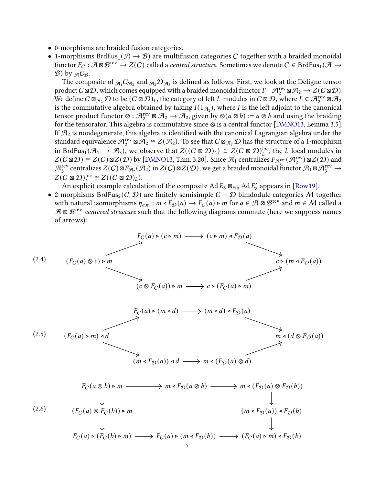- 0-morphisms are braided fusion categories.
- 1-morphisms BrdFus<sub>1</sub> ( $A \rightarrow B$ ) are multifusion categories C together with a braided monoidal functor  $F_C:\mathcal{A}\boxtimes\mathcal{B}^{\text{rev}}\to Z(C)$  called a *central structure*. Sometimes we denote  $C\in \text{BrdFus}_1(\mathcal{A}\to\mathcal{B})$  $\mathcal{B}$ ) by  $_{\mathcal{A}}C_{\mathcal{B}}$ .

The composite of  $_{\mathcal{A}_1}C_{\mathcal{A}_2}$  and  $_{\mathcal{A}_2}\mathcal{D}_{\mathcal{A}_3}$  is defined as follows. First, we look at the Deligne tensor product  $C \boxtimes \mathcal{D}$ , which comes equipped with a braided monoidal functor  $F : \mathcal{A}_2^{\text{rev}} \boxtimes \mathcal{A}_2 \to Z(C \boxtimes \mathcal{D})$ . We define  $C \boxtimes_{\mathcal{A}_2} \mathcal{D}$  to be  $(C \boxtimes \mathcal{D})_L$ , the category of left  $L$ -modules in  $C \boxtimes \mathcal{D}$ , where  $L \in \mathcal{A}_2^{\text{rev}} \boxtimes \mathcal{A}_2$ is the commutative algebra obtained by taking  $I(1_{\mathcal{A}_2})$ , where I is the left adjoint to the canonical tensor product functor  $\otimes : \mathcal{A}_2^{\text{rev}} \boxtimes \mathcal{A}_2 \to \mathcal{A}_2$ , given by  $\otimes (a \boxtimes b) := a \otimes b$  and using the braiding for the tensorator. This algebra is commutative since ⊗ is a central functor [\[DMNO13,](#page-34-12) Lemma 3.5]. If  $\mathcal{A}_2$  is nondegenerate, this algebra is identified with the canonical Lagrangian algebra under the standard equivalence  $\mathcal{A}_2^{\text{rev}} \boxtimes \mathcal{A}_2 \cong Z(\mathcal{A}_2)$ . To see that  $C \boxtimes_{\mathcal{A}_2} \mathcal{D}$  has the structure of a 1-morphism in BrdFus<sub>1</sub>( $\mathcal{A}_1 \to \mathcal{A}_3$ ), we observe that  $Z((C \boxtimes \mathcal{D})_L) \cong Z(C \boxtimes \mathcal{D})_L^{\text{loc}}$ , the *L*-local modules in  $Z(C \boxtimes \mathcal{D}) \cong Z(C) \boxtimes Z(\mathcal{D})$  by [\[DMNO13,](#page-34-12) Thm. 3.20]. Since  $\mathcal{A}_1$  centralizes  $F_{\mathcal{A}_2^{\text{rev}}}(\mathcal{A}_2^{\text{rev}}) \boxtimes Z(\mathcal{D})$  and  $\mathcal{A}_3^\mathrm{rev}$  centralizes  $Z(C)$   $\boxtimes F_{\mathcal{A}_2}(\mathcal{A}_2)$  in  $Z(C)$   $\boxtimes Z(\mathcal{D})$ , we get a braided monoidal functor  $\mathcal{A}_1$   $\boxtimes \mathcal{A}_3^\mathrm{rev}$   $\to$  $Z(C \boxtimes \mathcal{D})_L^{\text{loc}} \cong Z((C \boxtimes \mathcal{D})_L).$ 

An explicit example calculation of the composite Ad  $E_8$   $\boxtimes_{\text{Fib}}$  Ad  $E'_8$  $\frac{1}{8}$  appears in [\[Row19\]](#page-35-11).

• 2-morphisms BrdFus<sub>2</sub>( $C, D$ ) are finitely semisimple  $C - D$  bimdodule categories M together with natural isomorphisms  $\eta_{a,m}: m \triangleleft F_{\mathcal{D}}(a) \to F_C(a) \triangleright m$  for  $a \in \mathcal{A} \boxtimes \mathcal{B}^{\text{rev}}$  and  $m \in \mathcal{M}$  called a  $A \boxtimes B^{\text{rev}}$ -centered structure such that the following diagrams commute (here we suppress names of arrows):

<span id="page-6-2"></span><span id="page-6-1"></span><span id="page-6-0"></span>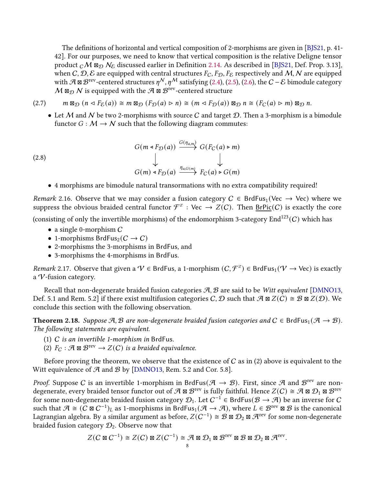The definitions of horizontal and vertical composition of 2-morphisms are given in [\[BJS21,](#page-33-0) p. 41-42]. For our purposes, we need to know that vertical composition is the relative Deligne tensor product  $_c\mathcal{M}$   $\mathfrak{v}_\mathcal{D}$   $\mathcal{N}_\mathcal{E}$  discussed earlier in Definition [2.14.](#page-5-1) As described in [\[BJS21,](#page-33-0) Def. Prop. 3.13], when C, D, E are equipped with central structures  $F_C$ ,  $F_D$ ,  $F_E$  respectively and M, N are equipped with  $\mathcal{A} \boxtimes \mathcal{B}^{\text{rev}}$ -centered structures  $\eta^{\mathcal{N}}, \eta^{\mathcal{M}}$  satisfying [\(2.4\)](#page-6-0), [\(2.5\)](#page-6-1), [\(2.6\)](#page-6-2), the  $C - \mathcal{E}$  bimodule category  $M \boxtimes_{\mathcal{D}} N$  is equipped with the  $\mathcal{A} \boxtimes \mathcal{B}^{\text{rev}}$ -centered structure

 $(2.7)$  $D(n \triangleleft F_{\mathcal{E}}(a)) \cong m \boxtimes_{\mathcal{D}} (F_{\mathcal{D}}(a) \triangleright n) \cong (m \triangleleft F_{\mathcal{D}}(a)) \boxtimes_{\mathcal{D}} n \cong (F_{C}(a) \triangleright m) \boxtimes_{\mathcal{D}} n.$ 

<span id="page-7-1"></span>• Let M and N be two 2-morphisms with source C and target D. Then a 3-morphism is a bimodule functor  $G : M \to N$  such that the following diagram commutes:

(2.8)  
\n
$$
G(m \triangleleft F_{\mathcal{D}}(a)) \xrightarrow{G(\eta_{a,m})} G(F_C(a) \triangleright m)
$$
\n
$$
\downarrow \qquad \qquad \downarrow
$$
\n
$$
G(m) \triangleleft F_{\mathcal{D}}(a) \xrightarrow{\eta_{a,G(m)}} F_C(a) \triangleright G(m)
$$

#### <span id="page-7-0"></span>• 4 morphisms are bimodule natural transormations with no extra compatibility required!

Remark 2.16. Observe that we may consider a fusion category  $C \in \text{BrdFus}_1(\text{Vec} \rightarrow \text{Vec})$  where we suppress the obvious braided central functor  $\mathcal{F}^z$  : Vec  $\to Z(C)$ . Then  $\underline{BrPic}(C)$  is exactly the core

(consisting of only the invertible morphisms) of the endomorphism 3-category  $End^{123}(C)$  which has

- $\bullet$  a single 0-morphism  $C$
- 1-morphisms BrdFus<sub>2</sub>( $C \rightarrow C$ )
- 2-morphisms the 3-morphisms in BrdFus, and
- 3-morphisms the 4-morphisms in BrdFus.

*Remark* 2.17. Observe that given a  $\mathcal{V} \in$  BrdFus, a 1-morphism  $(C, \mathcal{F}^z) \in$  BrdFus<sub>1</sub> $(\mathcal{V} \to \text{Vec})$  is exactly a V-fusion category.

Recall that non-degenerate braided fusion categories  $A, B$  are said to be Witt equivalent [\[DMNO13,](#page-34-12) Def. 5.1 and Rem. 5.2] if there exist multifusion categories C, D such that  $\mathcal{A} \boxtimes Z(\mathcal{C}) \cong \mathcal{B} \boxtimes Z(\mathcal{D})$ . We conclude this section with the following observation.

**Theorem 2.18.** Suppose A, B are non-degenerate braided fusion categories and  $C \in \text{BrdFus}_1(\mathcal{A} \to \mathcal{B})$ . The following statements are equivalent.

- (1)  $C$  is an invertible 1-morphism in BrdFus.
- (2)  $F_C : \mathcal{A} \boxtimes \mathcal{B}^{\text{rev}} \to Z(C)$  is a braided equivalence.

Before proving the theorem, we observe that the existence of  $C$  as in (2) above is equivalent to the Witt equivalence of  $A$  and  $B$  by [\[DMNO13,](#page-34-12) Rem. 5.2 and Cor. 5.8].

*Proof.* Suppose C is an invertible 1-morphism in BrdFus( $\mathcal{A} \to \mathcal{B}$ ). First, since  $\mathcal{A}$  and  $\mathcal{B}^{\text{rev}}$  are nondegenerate, every braided tensor functor out of  $\mathcal A$   $\boxtimes$   $\mathcal B^{\text{rev}}$  is fully faithful. Hence  $Z(C)\cong\mathcal A\boxtimes\mathcal D_1\boxtimes\mathcal B^{\text{rev}}$ for some non-degenerate braided fusion category  $\mathcal{D}_1$ . Let  $C^{-1}$  ∈ BrdFus( $\mathcal{B} \to \mathcal{A}$ ) be an inverse for  $C$ such that  $\mathcal{A} \cong (\tilde{C} \boxtimes C^{-1})_L$  as 1-morphisms in BrdFus<sub>1</sub>( $\mathcal{A} \to \mathcal{A}$ ), where  $L \in \mathcal{B}^{\text{rev}} \boxtimes \mathcal{B}$  is the canonical Lagrangian algebra. By a similar argument as before,  $Z(C^{-1}) \cong B$  ⊠  $\mathcal{D}_2$  ⊠  $\mathcal{A}^{\rm rev}$  for some non-degenerate braided fusion category  $\mathcal{D}_2$ . Observe now that

$$
Z(C \boxtimes C^{-1}) \cong Z(C) \boxtimes Z(C^{-1}) \cong \mathcal{A} \boxtimes \mathcal{D}_1 \boxtimes \mathcal{B}^{\text{rev}} \boxtimes \mathcal{B} \boxtimes \mathcal{D}_2 \boxtimes \mathcal{A}^{\text{rev}}.
$$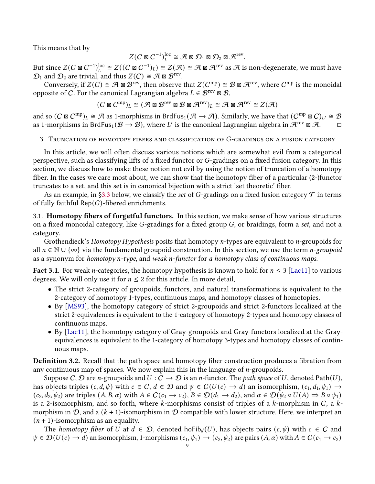This means that by

$$
Z(C \boxtimes C^{-1})_L^{\text{loc}} \cong \mathcal{A} \boxtimes \mathcal{D}_1 \boxtimes \mathcal{D}_2 \boxtimes \mathcal{A}^{\text{rev}}.
$$

But since  $Z(C \boxtimes C^{-1})^{\rm loc}_L \cong Z((C \boxtimes C^{-1})_L) \cong Z(\mathcal{A}) \cong \mathcal{A} \boxtimes \mathcal{A}^{\rm rev}$  as  $\mathcal{A}$  is non-degenerate, we must have  $\mathcal{D}_1$  and  $\mathcal{D}_2$  are trivial, and thus  $Z(C) \cong \mathcal{A} \boxtimes \mathcal{B}^{\text{rev}}$ .

Conversely, if  $Z(C) \cong \mathcal{A} \boxtimes \mathcal{B}^{\text{rev}}$ , then observe that  $Z(C^{\text{mp}}) \cong \mathcal{B} \boxtimes \mathcal{A}^{\text{rev}}$ , where  $C^{\text{mp}}$  is the monoidal opposite of C. For the canonical Lagrangian algebra  $L \in \mathcal{B}^{\text{rev}} \boxtimes \mathcal{B}$ ,

$$
(C \boxtimes C^{\text{mp}})_L \cong (\mathcal{A} \boxtimes \mathcal{B}^{\text{rev}} \boxtimes \mathcal{B} \boxtimes \mathcal{A}^{\text{rev}})_L \cong \mathcal{A} \boxtimes \mathcal{A}^{\text{rev}} \cong Z(\mathcal{A})
$$

and so  $(C \boxtimes C^{mp})_L \cong \mathcal{A}$  as 1-morphisms in BrdFus<sub>1</sub> ( $\mathcal{A} \to \mathcal{A}$ ). Similarly, we have that  $(C^{mp} \boxtimes C)_{L'} \cong \mathcal{B}$ as 1-morphisms in BrdFus<sub>1</sub>( $\mathcal{B} \to \mathcal{B}$ ), where L' is the canonical Lagrangian algebra in  $\mathcal{A}^{\text{rev}}$  ⊠  $\mathcal{A}$ .

# <span id="page-8-0"></span>3. TRUNCATION OF HOMOTOPY FIBERS AND CLASSIFICATION OF  $G$ -GRADINGS ON A FUSION CATEGORY

In this article, we will often discuss various notions which are somewhat evil from a categorical perspective, such as classifying lifts of a fixed functor or  $G$ -gradings on a fixed fusion category. In this section, we discuss how to make these notion not evil by using the notion of truncation of a homotopy fiber. In the cases we care most about, we can show that the homotopy fiber of a particular  $(2-)$ functor truncates to a set, and this set is in canonical bijection with a strict 'set theoretic' ber.

As an example, in [§3.3](#page-12-0) below, we classify the set of G-gradings on a fixed fusion category  $\mathcal T$  in terms of fully faithful  $\mathsf{Rep}(G)$ -fibered enrichments.

3.1. **Homotopy fibers of forgetful functors.** In this section, we make sense of how various structures on a fixed monoidal category, like  $G$ -gradings for a fixed group  $G$ , or braidings, form a set, and not a category.

Grothendieck's Homotopy Hypothesis posits that homotopy *n*-types are equivalent to *n*-groupoids for all  $n \in \mathbb{N} \cup \{\infty\}$  via the fundamental groupoid construction. In this section, we use the term *n-groupoid* as a synonym for homotopy n-type, and weak n-functor for a homotopy class of continuous maps.

**Fact 3.1.** For weak *n*-categories, the homotopy hypothesis is known to hold for  $n \leq 3$  [\[Lac11\]](#page-35-12) to various degrees. We will only use it for  $n \leq 2$  for this article. In more detail,

- The strict 2-category of groupoids, functors, and natural transformations is equivalent to the 2-category of homotopy 1-types, continuous maps, and homotopy classes of homotopies.
- By [\[MS93\]](#page-35-13), the homotopy category of strict 2-groupoids and strict 2-functors localized at the strict 2-equivalences is equivalent to the 1-category of homotopy 2-types and homotopy classes of continuous maps.
- By [\[Lac11\]](#page-35-12), the homotopy category of Gray-groupoids and Gray-functors localized at the Grayequivalences is equivalent to the 1-category of homotopy 3-types and homotopy classes of continuous maps.

**Definition 3.2.** Recall that the path space and homotopy fiber construction produces a fibration from any continuous map of spaces. We now explain this in the language of  $n$ -groupoids.

Suppose C, D are *n*-groupoids and  $U: C \to D$  is an *n*-functor. The *path space* of U, denoted Path(U), has objects triples  $(c, d, \psi)$  with  $c \in C$ ,  $d \in \mathcal{D}$  and  $\psi \in C(U(c) \to d)$  an isomorphism,  $(c_1, d_1, \psi_1) \to$  $(c_2, d_2, \psi_2)$  are triples  $(A, B, \alpha)$  with  $A \in C(c_1 \to c_2), B \in \mathcal{D}(d_1 \to d_2)$ , and  $\alpha \in \mathcal{D}(\psi_2 \circ U(A) \Rightarrow B \circ \psi_1)$ is a 2-isomorphism, and so forth, where  $k$ -morphisms consist of triples of a  $k$ -morphism in  $C$ , a  $k$ morphism in D, and a  $(k + 1)$ -isomorphism in D compatible with lower structure. Here, we interpret an  $(n + 1)$ -isomorphism as an equality.

The homotopy fiber of U at  $d \in \mathcal{D}$ , denoted hoFib<sub>d</sub> $(U)$ , has objects pairs  $(c, \psi)$  with  $c \in \mathcal{C}$  and  $\psi \in \mathcal{D}(U(c) \to d)$  an isomorphism, 1-morphisms  $(c_1, \psi_1) \to (c_2, \psi_2)$  are pairs  $(A, \alpha)$  with  $A \in C(c_1 \to c_2)$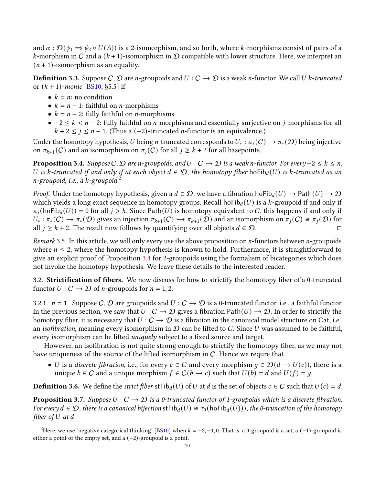and  $\alpha : \mathcal{D}(\psi_1 \Rightarrow \psi_2 \circ U(A))$  is a 2-isomorphism, and so forth, where k-morphisms consist of pairs of a k-morphism in C and a  $(k + 1)$ -isomorphism in D compatible with lower structure. Here, we interpret an  $(n + 1)$ -isomorphism as an equality.

**Definition 3.3.** Suppose C, D are *n*-groupoids and  $U: C \to D$  is a weak *n*-functor. We call U k-truncated or  $(k + 1)$ -monic [\[BS10,](#page-34-13) §5.5] if

- $k = n$ : no condition
- $k = n 1$ : faithful on *n*-morphisms
- $k = n 2$ : fully faithful on *n*-morphisms
- $-2 \leq k < n-2$ : fully faithful on *n*-morphisms and essentially surjective on *j*-morphisms for all  $k + 2 \leq j \leq n - 1$ . (Thus a (-2)-truncated *n*-functor is an equivalence.)

Under the homotopy hypothesis, U being n-truncated corresponds to  $U_* : \pi_*(C) \to \pi_*(D)$  being injective on  $\pi_{k+1}(C)$  and an isomorphism on  $\pi_i(C)$  for all  $j \geq k+2$  for all basepoints.

<span id="page-9-1"></span>**Proposition 3.4.** Suppose C,  $D$  are n-groupoids, and  $U: C \to D$  is a weak n-functor. For every  $-2 \le k \le n$ , U is k-truncated if and only if at each object  $d \in \mathcal{D}$ , the homotopy fiber hoFib<sub>d</sub>(U) is k-truncated as an  $n$ -groupoid, i.e., a  $k$ -groupoid.<sup>[2](#page-9-0)</sup>

*Proof.* Under the homotopy hypothesis, given a  $d \in \mathcal{D}$ , we have a fibration hoFib $_d(U) \to \text{Path}(U) \to \mathcal{D}$ which yields a long exact sequence in homotopy groups. Recall hofib<sub>d</sub>(U) is a k-groupoid if and only if  $\pi_j$ (hoFib<sub>d</sub>(U)) = 0 for all  $j > k$ . Since Path(U) is homotopy equivalent to C, this happens if and only if  $U_* : \pi_*(C) \to \pi_*(D)$  gives an injection  $\pi_{k+1}(C) \hookrightarrow \pi_{k+1}(D)$  and an isomorphism on  $\pi_i(C) \cong \pi_i(D)$  for all  $j \geq k + 2$ . The result now follows by quantifying over all objects  $d \in \mathcal{D}$ .

Remark 3.5. In this article, we will only every use the above proposition on  $n$ -functors between  $n$ -groupoids where  $n \leq 2$ , where the homotopy hypothesis is known to hold. Furthermore, it is straightforward to give an explicit proof of Proposition [3.4](#page-9-1) for 2-groupoids using the formalism of bicategories which does not invoke the homotopy hypothesis. We leave these details to the interested reader.

3.2. Strictification of fibers. We now discuss for how to strictify the homotopy fiber of a 0-truncated functor  $U: C \to \mathcal{D}$  of *n*-groupoids for  $n = 1, 2$ .

3.2.1.  $n = 1$ . Suppose C, D are groupoids and  $U : C \to D$  is a 0-truncated functor, i.e., a faithful functor. In the previous section, we saw that  $U : C \to D$  gives a fibration Path $(U) \to D$ . In order to strictify the homotopy fiber, it is necessary that  $U : C \to D$  is a fibration in the canonical model structure on Cat, i.e., an *isofibration*, meaning every isomorphism in  $D$  can be lifted to C. Since U was assumed to be faithful, every isomorphism can be lifted uniquely subject to a fixed source and target.

However, an isofibration is not quite strong enough to strictify the homotopy fiber, as we may not have uniqueness of the source of the lifted isomorphism in C. Hence we requre that

• U is a discrete fibration, i.e., for every  $c \in C$  and every morphism  $q \in \mathcal{D}(d \to U(c))$ , there is a unique  $b \in C$  and a unique morphism  $f \in C(b \rightarrow c)$  such that  $U(b) = d$  and  $U(f) = q$ .

**Definition 3.6.** We define the *strict fiber* stFib<sub>d</sub>(*U*) of *U* at *d* is the set of objects  $c \in C$  such that  $U(c) = d$ .

<span id="page-9-2"></span>**Proposition 3.7.** Suppose  $U : C \to D$  is a 0-truncated functor of 1-groupoids which is a discrete fibration. For every  $d \in \mathcal{D}$ , there is a canonical bijection st $\text{Fib}_d(U) \cong \tau_0(\text{hofib}_d(U))$ , the 0-truncation of the homotopy fiber of  $U$  at  $d$ .

<span id="page-9-0"></span><sup>&</sup>lt;sup>2</sup>Here, we use 'negative categorical thinking' [\[BS10\]](#page-34-13) when  $k = -2, -1, 0$ . That is, a 0-groupoid is a set, a (-1)-groupoid is either a point or the empty set, and a (−2)-groupoid is a point.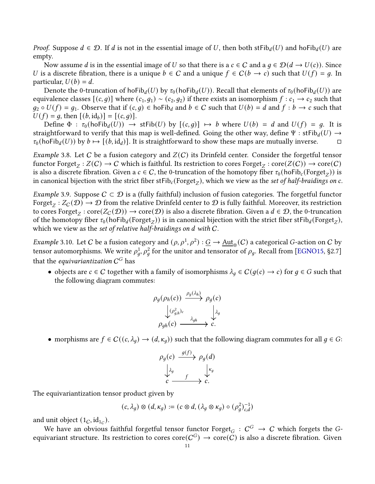*Proof.* Suppose  $d \in \mathcal{D}$ . If d is not in the essential image of U, then both stFib<sub>d</sub>(U) and hoFib<sub>d</sub>(U) are empty.

Now assume d is in the essential image of U so that there is a  $c \in C$  and a  $q \in \mathcal{D}(d \to U(c))$ . Since U is a discrete fibration, there is a unique  $b \in C$  and a unique  $f \in C(b \rightarrow c)$  such that  $U(f) = g$ . In particular,  $U(b) = d$ .

Denote the 0-truncation of hoFib<sub>d</sub>(U) by  $\tau_0$ (hoFib<sub>d</sub>(U)). Recall that elements of  $\tau_0$ (hoFib<sub>d</sub>(U)) are equivalence classes  $[(c, g)]$  where  $(c_1, g_1) \sim (c_2, g_2)$  if there exists an isomorphism  $f : c_1 \to c_2$  such that  $q_2 \circ U(f) = q_1$ . Observe that if  $(c, q) \in \text{hofib}_d$  and  $b \in C$  such that  $U(b) = d$  and  $f : b \to c$  such that  $U(f) = g$ , then  $[(b, id_b)] = [(c, g)].$ 

Define  $\Phi : \tau_0$ (hoFib<sub>d</sub>(U))  $\to$  stFib(U) by  $[(c, q)] \mapsto b$  where  $U(b) = d$  and  $U(f) = g$ . It is straightforward to verify that this map is well-defined. Going the other way, define  $\Psi$  : stFib<sub>d</sub>(U)  $\rightarrow$  $\tau_0$ (hoFib<sub>d</sub>(U)) by  $b \mapsto [(b, \text{id}_d)]$ . It is straightforward to show these maps are mutually inverse.

*Example* 3.8. Let C be a fusion category and  $Z(C)$  its Drinfeld center. Consider the forgetful tensor functor  $\mathrm{Forget}_Z : Z(C) \to C$  which is faithful. Its restriction to cores  $\mathrm{Forget}_Z : \mathrm{core}(Z(C)) \to \mathrm{core}(C)$ is also a discrete fibration. Given a  $c \in C$ , the 0-truncation of the homotopy fiber  $\tau_0(\text{hofib}_c(\text{Forget}_Z))$  is in canonical bijection with the strict fiber stFib<sub>c</sub>(Forget<sub>Z</sub>), which we view as the set of half-braidings on c.

Example 3.9. Suppose  $C \subset \mathcal{D}$  is a (fully faithful) inclusion of fusion categories. The forgetful functor Forget $_Z:Z_C(\mathcal{D})\to \mathcal{D}$  from the relative Drinfeld center to  $\mathcal D$  is fully faithful. Moreover, its restriction to cores  $\mathrm{Forget}_Z:\mathrm{core}(Z_C(\mathcal{D}))\to \mathrm{core}(\mathcal{D})$  is also a discrete fibration. Given a  $d\in\mathcal{D},$  the 0-truncation of the homotopy fiber  $\tau_0$ (hoFib $_d$ (Forget $_Z$ )) is in canonical bijection with the strict fiber stFib $_d$ (Forget $_Z$ ), which we view as the set of relative half-braidings on  $d$  with  $C$ .

<span id="page-10-0"></span>*Example* 3.10. Let  $C$  be a fusion category and  $(\rho, \rho^1, \rho^2) : \underline{G} \to \underline{\rm Aut}_{\otimes}(C)$  a categorical  $G$ -action on  $C$  by tensor automorphisms. We write  $\rho_a^1$ ,  $\rho_a^2$  for the unitor and tensorator of  $\rho_q$ . Recall from [\[EGNO15,](#page-34-7) §2.7] that the *equivariantization*  $\mathcal{C}^G$  has

• objects are  $c \in C$  together with a family of isomorphisms  $\lambda_q \in C(g(c) \to c)$  for  $q \in G$  such that the following diagram commutes:

$$
\rho_g(\rho_h(c)) \xrightarrow{\rho_g(\lambda_h)} \rho_g(c) \n\downarrow \rho_{g,h}^2 \downarrow c \qquad \downarrow \lambda_g \n\rho_{gh}(c) \xrightarrow{\lambda_{gh}} c.
$$

• morphisms are  $f \in C((c, \lambda_q) \to (d, \kappa_q))$  such that the following diagram commutes for all  $g \in G$ :

$$
\rho_g(c) \xrightarrow{g(f)} \rho_g(d) \n\downarrow_{g} \qquad \qquad \downarrow_{g} \qquad \downarrow_{g} \n\quad c \xrightarrow{f} \qquad \qquad c.
$$

The equivariantization tensor product given by

$$
(c, \lambda_g) \otimes (d, \kappa_g) := (c \otimes d, (\lambda_g \otimes \kappa_g) \circ (\rho_g^2)^{-1}_{c,d})
$$

and unit object  $(1_C, id_{1_C})$ .

We have an obvious faithful forgetful tensor functor Forget<sub> $G$ </sub>:  $C^G \rightarrow C$  which forgets the Gequivariant structure. Its restriction to cores core( $C^G$ )  $\to$  core( $\tilde{C}$ ) is also a discrete fibration. Given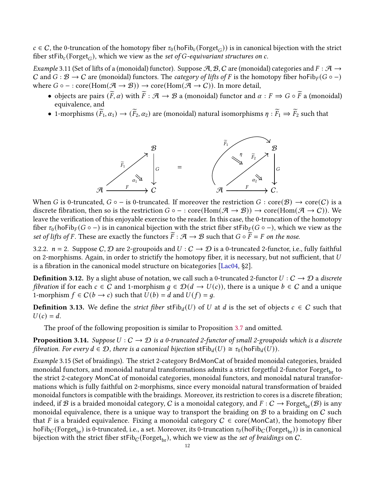$c \in C$ , the 0-truncation of the homotopy fiber  $\tau_0$ (hoFib<sub>c</sub>(Forget<sub>G</sub>)) is in canonical bijection with the strict fiber stFib<sub>c</sub>(Forget<sub>G</sub>), which we view as the set of G-equivariant structures on c.

<span id="page-11-0"></span>Example 3.11 (Set of lifts of a (monoidal) functor). Suppose A, B, C are (monoidal) categories and  $F : A \rightarrow$ C and  $G : \mathcal{B} \to C$  are (monoidal) functors. The *category of lifts of F* is the homotopy fiber hoFib<sub>F</sub>( $G \circ -$ ) where  $G \circ - : \text{core}(\text{Hom}(\mathcal{A} \to \mathcal{B})) \to \text{core}(\text{Hom}(\mathcal{A} \to \mathcal{C}))$ . In more detail,

- objects are pairs  $(\widetilde{F}, \alpha)$  with  $\widetilde{F} : \mathcal{A} \to \mathcal{B}$  a (monoidal) functor and  $\alpha : F \Rightarrow G \circ \widetilde{F}$  a (monoidal) equivalence, and
- 1-morphisms  $(\widetilde{F}_1, \alpha_1) \rightarrow (\widetilde{F}_2, \alpha_2)$  are (monoidal) natural isomorphisms  $\eta : \widetilde{F}_1 \Rightarrow \widetilde{F}_2$  such that



When G is 0-truncated,  $G \circ -$  is 0-truncated. If moreover the restriction  $G : core(\mathcal{B}) \to core(\mathcal{C})$  is a discrete fibration, then so is the restriction  $G \circ - : \text{core}(\text{Hom}(\mathcal{A} \to \mathcal{B})) \to \text{core}(\text{Hom}(\mathcal{A} \to C))$ . We leave the verification of this enjoyable exercise to the reader. In this case, the 0-truncation of the homotopy fiber  $\tau_0$ (hoFib<sub>F</sub>(G ∘ −) is in canonical bijection with the strict fiber stFib<sub>F</sub>(G ∘ −), which we view as the set of lifts of F. These are exactly the functors  $\widetilde{F}: \mathcal{A} \to \mathcal{B}$  such that  $G \circ \widetilde{F} = F$  on the nose.

<span id="page-11-1"></span>3.2.2.  $n = 2$ . Suppose C, D are 2-groupoids and  $U : C \rightarrow D$  is a 0-truncated 2-functor, i.e., fully faithful on 2-morphisms. Again, in order to strictify the homotopy fiber, it is necessary, but not sufficient, that  $U$ is a fibration in the canonical model structure on bicategories  $[Laco4, §2]$ .

**Definition 3.12.** By a slight abuse of notation, we call such a 0-truncated 2-functor  $U : C \to D$  a discrete *fibration* if for each  $c \in C$  and 1-morphism  $g \in \mathcal{D}(d \to U(c))$ , there is a unique  $b \in C$  and a unique 1-morphism  $f \in C(b \rightarrow c)$  such that  $U(b) = d$  and  $U(f) = g$ .

**Definition 3.13.** We define the *strict fiber*  $sFib_d(U)$  of U at d is the set of objects  $c \in C$  such that  $U(c) = d.$ 

The proof of the following proposition is similar to Proposition [3.7](#page-9-2) and omitted.

**Proposition 3.14.** Suppose  $U: C \to D$  is a 0-truncated 2-functor of small 2-groupoids which is a discrete fibration. For every  $d \in \mathcal{D}$ , there is a canonical bijection st $\text{Fib}_d(U) \cong \tau_0(\text{hofib}_d(U))$ .

Example 3.15 (Set of braidings). The strict 2-category BrdMonCat of braided monoidal categories, braided monoidal functors, and monoidal natural transformations admits a strict forgetful 2-functor Forget<sub>br</sub> to the strict 2-category MonCat of monoidal categories, monoidal functors, and monoidal natural transformations which is fully faithful on 2-morphisms, since every monoidal natural transformation of braided monoidal functors is compatible with the braidings. Moreover, its restriction to cores is a discrete fibration; indeed, if B is a braided monoidal category, C is a monoidal category, and  $F : C \to \text{Forget}_{\text{br}}(\mathcal{B})$  is any monoidal equivalence, there is a unique way to transport the braiding on  $B$  to a braiding on  $C$  such that F is a braided equivalence. Fixing a monoidal category  $C \in \text{core}(\text{MonCat})$ , the homotopy fiber hoFib<sub>C</sub> (Forget<sub>br</sub>) is 0-truncated, i.e., a set. Moreover, its 0-truncation  $\tau_0$  (hoFib<sub>C</sub> (Forget<sub>br</sub>)) is in canonical bijection with the strict fiber stFib<sub>C</sub> (Forget<sub>br</sub>), which we view as the set of braidings on C.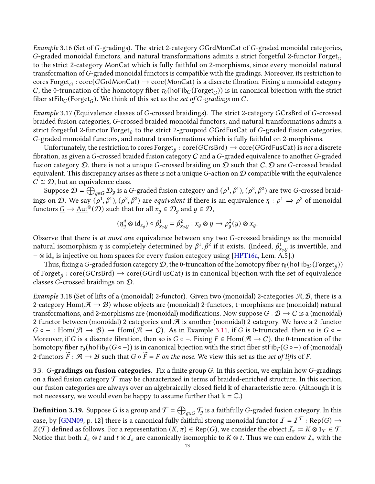<span id="page-12-1"></span>Example 3.16 (Set of G-gradings). The strict 2-category GGrdMonCat of G-graded monoidal categories, G-graded monoidal functors, and natural transformations admits a strict forgetful 2-functor Forget $_G$ to the strict 2-category MonCat which is fully faithful on 2-morphisms, since every monoidal natural transformation of G-graded monoidal functors is compatible with the gradings. Moreover, its restriction to  $\mathrm{cores}\ \mathrm{Forget}_G : \mathrm{core}(GGrdMonCat) \rightarrow \mathrm{core}(MonCat)$  is a discrete fibration. Fixing a monoidal category C, the 0-truncation of the homotopy fiber  $\tau_0$ (hoFib<sub>C</sub> (Forget<sub>G</sub>)) is in canonical bijection with the strict fiber stFib $_C$ (Forget $_G$ ). We think of this set as the set of G-gradings on C.

<span id="page-12-4"></span>*Example* 3.17 (Equivalence classes of G-crossed braidings). The strict 2-category GCrsBrd of G-crossed braided fusion categories, G-crossed braided monoidal functors, and natural transformations admits a strict forgetful 2-functor Forget<sub>ß</sub> to the strict 2-groupoid GGrdFusCat of G-graded fusion categories, -graded monoidal functors, and natural transformations which is fully faithful on 2-morphisms.

Unfortunately, the restriction to cores  $\mathrm{Forget}_\beta: \mathrm{core}(GCrsBrd) \to \mathrm{core}(GGrdFusCat)$  is not a discrete fibration, as given a G-crossed braided fusion category  $C$  and a G-graded equivalence to another G-graded fusion category  $D$ , there is not a unique G-crossed braiding on  $D$  such that  $C, D$  are G-crossed braided equivalent. This discrepancy arises as there is not a unique  $G$ -action on  $\mathcal D$  compatible with the equivalence  $C \cong \mathcal{D}$ , but an equivalence class.

Suppose  $\mathcal{D}=\bigoplus_{g\in G}\mathcal{D}_g$  is a G-graded fusion category and  $(\rho^1,\beta^1),(\rho^2,\beta^2)$  are two G-crossed braidings on D. We say  $(\rho^1,\beta^1), (\rho^2,\beta^2)$  are *equivalent* if there is an equivalence  $\eta:\rho^1\Rightarrow\rho^2$  of monoidal functors  $\underline{G} \to \underline{\rm Aut}^\otimes(\mathcal D)$  such that for all  $x_q \in \mathcal D_q$  and  $y \in \mathcal D,$ 

$$
(\eta_y^g \otimes id_{x_g}) \circ \beta_{x_g,y}^1 = \beta_{x_g,y}^2 : x_g \otimes y \to \rho_g^2(y) \otimes x_g.
$$

Observe that there is at most one equivalence between any two  $G$ -crossed braidings as the monoidal natural isomorphism  $\eta$  is completely determined by  $\beta^1,\beta^2$  if it exists. (Indeed,  $\beta^1_{x_a,y}$  is invertible, and −  $\otimes$  id $_c$  is injective on hom spaces for every fusion category using [\[HPT16a,](#page-35-9) Lem. A.5].)

Thus, fixing a G-graded fusion category  $\cal D$ , the 0-truncation of the homotopy fiber  $\tau_0$  (hoFib $_{\cal D}$  (Forget $_{\beta}$ )) of Forget $_\beta: {\rm core}(GCrsBrd) \to {\rm core}(GGrdFusCat)$  is in canonical bijection with the set of equivalence classes *G*-crossed braidings on  $\mathcal{D}$ .

<span id="page-12-3"></span>Example 3.18 (Set of lifts of a (monoidal) 2-functor). Given two (monoidal) 2-categories  $\mathcal{A}, \mathcal{B}$ , there is a 2-category Hom( $A \rightarrow B$ ) whose objects are (monoidal) 2-functors, 1-morphisms are (monoidal) natural transformations, and 2-morphisms are (monoidal) modifications. Now suppose  $G : \mathcal{B} \to C$  is a (monoidal) 2-functor between (monoidal) 2-categories and  $A$  is another (monoidal) 2-category. We have a 2-functor  $G \circ - : \text{Hom}(\mathcal{A} \to \mathcal{B}) \to \text{Hom}(\mathcal{A} \to \mathcal{C})$ . As in Example [3.11,](#page-11-0) if G is 0-truncated, then so is  $G \circ -$ . Moreover, if G is a discrete fibration, then so is  $G \circ -$ . Fixing  $F \in Hom(\mathcal{A} \to C)$ , the 0-truncation of the homotopy fiber  $\tau_0$ (hoFib<sub>F</sub>( $G \circ -$ )) is in canonical bijection with the strict fiber stFib<sub>F</sub>( $G \circ -$ ) of (monoidal) 2-functors  $\overline{F}$ :  $\mathcal{A} \to \mathcal{B}$  such that  $G \circ \overline{F} = F$  on the nose. We view this set as the set of lifts of F.

<span id="page-12-0"></span>3.3.  $G$ -gradings on fusion categories. Fix a finite group  $G$ . In this section, we explain how  $G$ -gradings on a fixed fusion category  $\mathcal T$  may be characterized in terms of braided-enriched structure. In this section, our fusion categories are always over an algebraically closed field  $\&$  of characteristic zero. (Although it is not necessary, we would even be happy to assume further that  $\mathbb{k} = \mathbb{C}$ .)

<span id="page-12-2"></span>**Definition 3.19.** Suppose  $G$  is a group and  $\mathcal{T}=\bigoplus_{g\in G}\mathcal{T}_g$  is a faithfully  $G$ -graded fusion category. In this case, by [\[GNN09,](#page-34-6) p. 12] there is a canonical fully faithful strong monoidal functor  $I=I^{\mathcal{T}}: \mathsf{Rep}(G) \to$  $Z(\mathcal{T})$  defined as follows. For a representation  $(K, \pi) \in \text{Rep}(G)$ , we consider the object  $\mathcal{I}_{\pi} := K \otimes 1_{\mathcal{T}} \in \mathcal{T}$ . Notice that both  $I_\pi \otimes t$  and  $t \otimes I_\pi$  are canonically isomorphic to  $K \otimes t$ . Thus we can endow  $I_\pi$  with the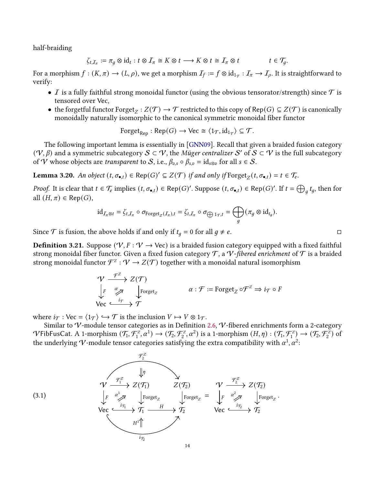half-braiding

$$
\zeta_{t,\mathcal{I}_{\pi}} := \pi_g \otimes id_t : t \otimes \mathcal{I}_{\pi} \cong K \otimes t \longrightarrow K \otimes t \cong \mathcal{I}_{\pi} \otimes t \qquad t \in \mathcal{T}_g.
$$

For a morphism  $f:(K,\pi)\to (L,\rho)$ , we get a morphism  $\mathcal{I}_f:=f\otimes id_{1_{\mathcal{T}}}: \mathcal{I}_{\pi}\to \mathcal{I}_{\rho}.$  It is straightforward to verify:

- $\bullet$   ${\cal I}$  is a fully faithful strong monoidal functor (using the obvious tensorator/strength) since  ${\cal T}$  is tensored over Vec,
- the forgetful functor  $\text{Forget}_Z : Z(\mathcal{T}) \to \mathcal{T}$  restricted to this copy of  $\text{Rep}(G) \subseteq Z(\mathcal{T})$  is canonically monoidally naturally isomorphic to the canonical symmetric monoidal fiber functor

$$
\text{Forget}_{\text{Rep}} : \text{Rep}(G) \to \text{Vec} \cong \langle 1_{\mathcal{T}}, \text{id}_{1_{\mathcal{T}}} \rangle \subseteq \mathcal{T}.
$$

The following important lemma is essentially in [\[GNN09\]](#page-34-6). Recall that given a braided fusion category  $(\mathcal{V}, \beta)$  and a symmetric subcategory  $\mathcal{S} \subset \mathcal{V}$ , the Müger centralizer  $\mathcal{S}'$  of  $\mathcal{S} \subset \mathcal{V}$  is the full subcategory of V whose objects are *transparent* to S, i.e.,  $\beta_{v,s} \circ \beta_{s,v} = id_{s \otimes v}$  for all  $s \in S$ .

<span id="page-13-1"></span>**Lemma 3.20.** An object  $(t, \sigma_{\bullet,t}) \in \text{Rep}(G)' \subseteq Z(\mathcal{T})$  if and only if  $\text{Forget}_Z(t, \sigma_{\bullet,t}) = t \in \mathcal{T}_e$ .

*Proof.* It is clear that  $t \in \mathcal{T}_e$  implies  $(t, \sigma_{\bullet,t}) \in \mathsf{Rep}(G)'$ . Suppose  $(t, \sigma_{\bullet,t}) \in \mathsf{Rep}(G)'$ . If  $t = \bigoplus_a t_g$ , then for all  $(H, \pi) \in \text{Rep}(G)$ ,

$$
\mathrm{id}_{\mathcal{I}_{\pi} \otimes t} = \zeta_{t,\mathcal{I}_{\pi}} \circ \sigma_{\mathrm{Forget}_{Z}(\mathcal{I}_{\pi}),t} = \zeta_{t,\mathcal{I}_{\pi}} \circ \sigma_{\bigoplus 1_{\mathcal{T}},t} = \bigoplus_{g} (\pi_{g} \otimes \mathrm{id}_{t_{g}}).
$$

Since  $\mathcal T$  is fusion, the above holds if and only if  $t_q = 0$  for all  $q \neq e$ .

<span id="page-13-2"></span>**Definition 3.21.** Suppose ( $\forall V, F: V \rightarrow \forall$ ec) is a braided fusion category equipped with a fixed faithful strong monoidal fiber functor. Given a fixed fusion category  $\mathcal T$ , a  $\mathcal V$ -fibered enrichment of  $\mathcal T$  is a braided strong monoidal functor  $\mathcal{F}^{\mathcal{Z}}: \mathcal{V} \to Z(\mathcal{T})$  together with a monoidal natural isomorphism

$$
\begin{array}{ccc}\n\mathcal{V} & \xrightarrow{\mathcal{F}^Z} & Z(\mathcal{T}) \\
\downarrow^F & \nearrow & \searrow & \searrow \\
\mathsf{Vec} & \xrightarrow{i_{\mathcal{T}}} & \mathcal{T}\n\end{array}\n\quad \alpha : \mathcal{F} := \text{forget}_Z \circ \mathcal{F}^Z \Rightarrow i_{\mathcal{T}} \circ F
$$

where  $i\tau : \text{Vec} = \langle 1_T \rangle \hookrightarrow \mathcal{T}$  is the inclusion  $V \mapsto V \otimes 1_T$ .

Similar to  $\mathcal V$ -module tensor categories as in Definition [2.6,](#page-3-0)  $\mathcal V$ -fibered enrichments form a 2-category  $\mathcal V$ FibFusCat. A 1-morphism  $(\mathcal T_1,\mathcal F_1^z,\alpha^1)\rightarrow (\mathcal T_2,\mathcal F_2^z,\alpha^2)$  is a 1-morphism  $(H,\eta): (\mathcal T_1,\mathcal F_1^z)\rightarrow (\mathcal T_2,\mathcal F_2^z)$  of the underlying V-module tensor categories satisfying the extra compatibility with  $\alpha^1$ ,  $\alpha^2$ :

<span id="page-13-0"></span>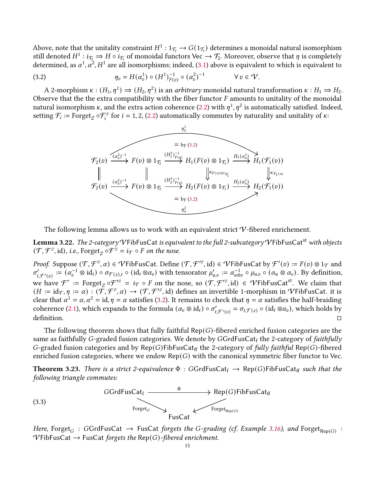Above, note that the unitality constraint  $H^1: 1_{\mathcal{T}_2} \to G(1_{\mathcal{T}_1})$  determines a monoidal natural isomorphism still denoted  $H^1:i_{\mathcal{T}_2}\to H\circ i_{\mathcal{T}_1}$  of monoidal functors Vec  $\to\mathcal{T}_2.$  Moreover, observe that  $\eta$  is completely determined, as  $\alpha^1, \alpha^2, H^1$  are all isomorphisms; indeed, [\(3.1\)](#page-13-0) above is equivalent to which is equivalent to

(3.2) 
$$
\eta_v = H(\alpha_v^1) \circ (H^1)_{F(v)}^{-1} \circ (\alpha_v^2)^{-1} \qquad \forall v \in V.
$$

A 2-morphism  $\kappa : (H_1, \eta^1) \Rightarrow (H_2, \eta^2)$  is an *arbitrary* monoidal natural transformation  $\kappa : H_1 \Rightarrow H_2$ . Observe that the the extra compatibility with the fiber functor  $F$  amounts to unitality of the monoidal natural isomorphism  $\kappa$ , and the extra action coherence [\(2.2\)](#page-3-1) with  $\eta^1,\eta^2$  is automatically satisfied. Indeed, setting  $\mathcal{F}_i := \text{Forget}_Z \circ \mathcal{F}_i^Z$  for  $i = 1, 2, (2.2)$  $i = 1, 2, (2.2)$  automatically commutes by naturality and unitality of  $\kappa$ :

<span id="page-14-0"></span>

The following lemma allows us to work with an equivalent strict  $V$ -fibered enrichement.

<span id="page-14-2"></span>**Lemma 3.22.** The 2-category VFibFusCat is equivalent to the full 2-subcategory VFibFusCat<sup>st</sup> with objects  $(\mathcal{T}, \mathcal{F}^z, id)$ , i.e., Forget<sub>Z</sub>  $\circ \mathcal{F}^z = i_{\mathcal{T}} \circ F$  on the nose.

*Proof.* Suppose  $(\mathcal{T}, \mathcal{F}^{\mathbb{Z}}, \alpha) \in \mathcal{V}$ FibFusCat. Define  $(\mathcal{T}, \mathcal{F}'^{\mathbb{Z}}, id) \in \mathcal{V}$ FibFusCat by  $\mathcal{F}'(v) := F(v) \otimes 1_{\mathcal{T}}$  and  $\sigma'_{t,\mathcal{F}'(v)} := (\alpha_v^{-1} \otimes id_t) \circ \sigma_{\mathcal{F}(z),t} \circ (id_t \otimes \alpha_v)$  with tensorator  $\mu'_{u,v} := \alpha_{u \otimes v}^{-1} \circ \mu_{u,v} \circ (\alpha_u \otimes \alpha_v)$ . By definition, we have  $\mathcal{F}' := \text{Forget}_Z \circ \mathcal{F}'^Z = i_{\mathcal{T}} \circ F$  on the nose, so  $(\mathcal{T}, \mathcal{F}'^Z, id) \in \mathcal{V}$ FibFusCat<sup>st</sup>. We claim that  $(H \coloneqq \mathrm{id}_{\mathcal{T}}, \eta \coloneqq \alpha) : (\tilde{\mathcal{T}}, \mathcal{F}^{\mathbb{Z}}, \alpha) \to (\mathcal{T}, \mathcal{F}'^{\mathbb{Z}}, \mathrm{id})$  defines an invertible 1-morphism in  $\mathcal{V}$ FibFusCat. it is clear that  $\alpha^1 = \alpha, \alpha^2 = \text{id}, \eta = \alpha$  satisfies [\(3.2\)](#page-14-0). It remains to check that  $\eta = \alpha$  satisfies the half-braiding coherence [\(2.1\)](#page-3-2), which expands to the formula  $(\alpha_v \otimes id_t) \circ \sigma'_{t, \mathcal{F}'(v)} = \sigma_{t, \mathcal{F}(z)} \circ (id_t \otimes \alpha_v)$ , which holds by definition.  $\square$ 

The following theorem shows that fully faithful  $\text{Rep}(G)$ -fibered enriched fusion categories are the same as faithfully G-graded fusion categories. We denote by GGrdFusCatf the 2-category of faithfully G-graded fusion categories and by Rep(G)FibFusCat<sub>ff</sub> the 2-category of fully faithful Rep(G)-fibered enriched fusion categories, where we endow  $\text{Rep}(G)$  with the canonical symmetric fiber functor to Vec.

<span id="page-14-1"></span>**Theorem 3.23.** There is a strict 2-equivalence  $\Phi$  : GGrdFusCat<sub>f</sub>  $\rightarrow$  Rep(G)FibFusCat<sub>ff</sub> such that the following triangle commutes:



Here,  $\text{Forget}_G$  : GGrdFusCat  $\rightarrow$  FusCat forgets the G-grading (cf. Example [3.16\)](#page-12-1), and  $\text{Forget}_{\mathsf{Rep}(G)}$  :  $\mathcal V$ FibFusCat  $\rightarrow$  FusCat forgets the Rep(G)-fibered enrichment.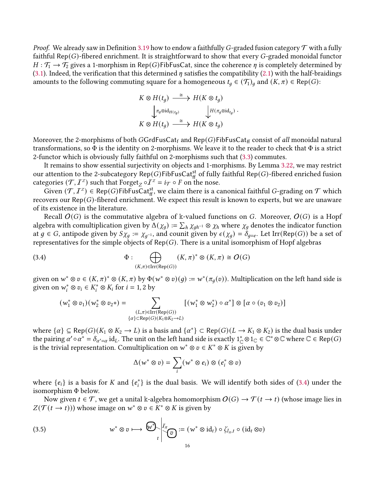*Proof.* We already saw in Definition [3.19](#page-12-2) how to endow a faithfully G-graded fusion category  $\mathcal T$  with a fully faithful  $\mathsf{Rep}(G)$ -fibered enrichment. It is straightforward to show that every G-graded monoidal functor  $H: \mathcal{T}_1 \to \mathcal{T}_2$  gives a 1-morphism in Rep(G)FibFusCat, since the coherence  $\eta$  is completely determined by [\(3.1\)](#page-13-0). Indeed, the verification that this determined  $\eta$  satisfies the compatibility [\(2.1\)](#page-3-2) with the half-braidings amounts to the following commuting square for a homogeneous  $t_q \in (\mathcal{T}_1)_q$  and  $(K, \pi) \in \text{Rep}(G)$ :

$$
K \otimes H(t_g) \xrightarrow{\cong} H(K \otimes t_g)
$$
  
\n
$$
\downarrow^{\pi_g \otimes id_{H(t_g)}} \qquad \qquad \downarrow^{\{H(\pi_g \otimes id_{t_g})\}}
$$
  
\n
$$
K \otimes H(t_g) \xrightarrow{\cong} H(K \otimes t_g)
$$

.

Moreover, the 2-morphisms of both GGrdFusCat<sub>f</sub> and Rep(G)FibFusCat<sub>ff</sub> consist of all monoidal natural transformations, so  $\Phi$  is the identity on 2-morphisms. We leave it to the reader to check that  $\Phi$  is a strict 2-functor which is obviously fully faithful on 2-morphisms such that [\(3.3\)](#page-14-1) commutes.

It remains to show essential surjectivity on objects and 1-morphisms. By Lemma [3.22,](#page-14-2) we may restrict our attention to the 2-subcategory Rep( $G$ )FibFusCat<sup>st</sup> of fully faithful Rep( $G$ )-fibered enriched fusion categories  $(\mathcal{T}, I^z)$  such that  $\text{Forget}_Z \circ I^z = i_{\mathcal{T}} \circ F$  on the nose.

Given  $(\mathcal{T}, I^z) \in \text{Rep}(G)$ FibFusCat<sup>st</sup><sub>ff</sub>, we claim there is a canonical faithful G-grading on  $\mathcal T$  which recovers our  $\text{Rep}(G)$ -fibered enrichment. We expect this result is known to experts, but we are unaware of its existence in the literature.

Recall  $O(G)$  is the commutative algebra of k-valued functions on G. Moreover,  $O(G)$  is a Hopf algebra with comultiplication given by  $\Delta(\chi_q) := \sum_h \chi_{qh^{-1}} \otimes \chi_h$  where  $\chi_q$  denotes the indicator function at  $g \in G$ , antipode given by  $S_{Xg} := \chi_{g^{-1}}$ , and counit given by  $\epsilon(\chi_g) = \delta_{g=e}$ . Let Irr(Rep(G)) be a set of representatives for the simple objects of  $Rep(G)$ . There is a unital isomorphism of Hopf algebras

(3.4) 
$$
\Phi : \bigoplus_{(K,\pi)\in\operatorname{Irr}(\operatorname{Rep}(G))} (K,\pi)^* \otimes (K,\pi) \cong O(G)
$$

given on  $w^* \otimes v \in (K, \pi)^* \otimes (K, \pi)$  by  $\Phi(w^* \otimes v)(g) := w^*(\pi_q(v))$ . Multiplication on the left hand side is given on  $w_i^* \otimes v_i \in K_i^* \otimes K_i$  for  $i = 1, 2$  by

<span id="page-15-0"></span>
$$
(w_1^* \otimes v_1)(w_2^* \otimes v_2*) = \sum_{\substack{(L,\pi) \in \text{Irr}(\text{Rep}(G)) \\ \{\alpha\} \subset \text{Rep}(G)(K_1 \otimes K_2 \to L)}} [(w_1^* \otimes w_2^*) \circ \alpha^*] \otimes [\alpha \circ (v_1 \otimes v_2)]
$$

where  $\{\alpha\} \subseteq \text{Rep}(G)(K_1 \otimes K_2 \to L)$  is a basis and  $\{\alpha^*\} \subset \text{Rep}(G)(L \to K_1 \otimes K_2)$  is the dual basis under the pairing  $\alpha' \circ \alpha^* = \delta_{\alpha'=\alpha}$  id<sub>L</sub>. The unit on the left hand side is exactly  $1^*_{\mathbb{C}} \otimes 1_{\mathbb{C}} \in \mathbb{C}^* \otimes \mathbb{C}$  where  $\mathbb{C} \in \mathsf{Rep}(G)$ is the trivial representation. Comultiplication on  $w^* \otimes v \in K^* \otimes K$  is given by

<span id="page-15-1"></span>
$$
\Delta(w^* \otimes v) = \sum_i (w^* \otimes e_i) \otimes (e_i^* \otimes v)
$$

where  $\{e_i\}$  is a basis for K and  $\{e_i^*\}$  is the dual basis. We will identify both sides of [\(3.4\)](#page-15-0) under the isomorphism Φ below.

Now given  $t \in \mathcal{T}$ , we get a unital k-algebra homomorphism  $O(G) \to \mathcal{T}(t \to t)$  (whose image lies in  $Z(\mathcal{T}(t \to t)))$  whose image on  $w^* \otimes v \in K^* \otimes K$  is given by

(3.5) 
$$
w^* \otimes v \longmapsto \bigotimes_v \bigg|_{t=0}^{T_{\pi}} := (w^* \otimes id_t) \circ \zeta_{I_{\pi},t} \circ (id_t \otimes v)
$$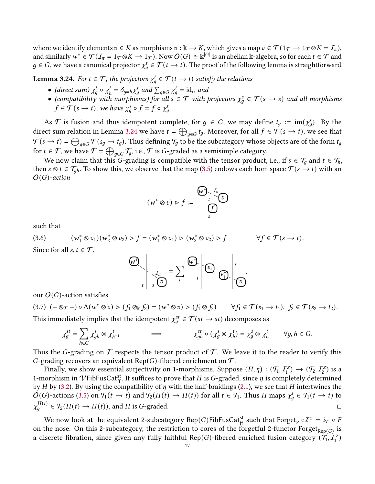where we identify elements  $v \in K$  as morphisms  $v : \mathbb{k} \to K$ , which gives a map  $v \in \mathcal{T}(\mathbb{1}_{\mathcal{T}} \to \mathbb{1}_{\mathcal{T}} \otimes K = \mathcal{I}_{\pi})$ , and similarly  $w^* \in \mathcal{T}(I_\pi = 1_\mathcal{T} \otimes K \to 1_\mathcal{T})$ . Now  $O(G) \cong \Bbbk^{|G|}$  is an abelian  $\Bbbk$ -algebra, so for each  $t \in \mathcal{T}$  and  $g \in G$ , we have a canonical projector  $\chi^t_g \in \mathcal{T}(t \to t)$ . The proof of the following lemma is straightforward.

<span id="page-16-0"></span>**Lemma 3.24.** For  $t \in \mathcal{T}$ , the projectors  $\chi_q^t \in \mathcal{T}(t \to t)$  satisfy the relations

- (direct sum)  $\chi_q^t \circ \chi_l^t$  $\lambda_h^t = \delta_{g=h} \chi_g^t$  and  $\sum_{g \in G} \chi_g^t = id_t$ , and
- (compatibility with morphisms) for all  $s \in \mathcal{T}$  with projectors  $\chi^s_a \in \mathcal{T}(s \to s)$  and all morphisms  $f \in \mathcal{T}(s \to t)$ , we have  $\chi_q^s \circ f = f \circ \chi_q^t$ .

As  $\mathcal T$  is fusion and thus idempotent complete, for  $g \in G$ , we may define  $t_g := \text{im}(\chi_g^t)$ . By the direct sum relation in Lemma [3.24](#page-16-0) we have  $t = \bigoplus_{g \in G} t_g$ . Moreover, for all  $f \in \mathcal{T}(s \to t)$ , we see that  $\mathcal{T}(s\to t)=\bigoplus_{q\in G}\mathcal{T}(s_q\to t_q).$  Thus defining  $\mathcal{T}_q$  to be the subcategory whose objects are of the form  $t_q$ for  $t \in \mathcal{T}$ , we have  $\mathcal{T} = \bigoplus_{g \in G} \mathcal{T}_g$ , i.e.,  $\mathcal T$  is  $G$ -graded as a semisimple category.

We now claim that this G-grading is compatible with the tensor product, i.e., if  $s \in \mathcal{T}_q$  and  $t \in \mathcal{T}_h$ , then  $s \otimes t \in \mathcal{T}_{gh}$ . To show this, we observe that the map [\(3.5\)](#page-15-1) endows each hom space  $\mathcal{T}(s \to t)$  with an  $O(G)$ -action

$$
(w^* \otimes v) \triangleright f := \bigoplus_{s}^{w^*} \bigoplus_{s}^{I_{\pi}} \bigotimes_{s}
$$

such that

(3.6) 
$$
(w_1^* \otimes v_1)(w_2^* \otimes v_2) \triangleright f = (w_1^* \otimes v_1) \triangleright (w_2^* \otimes v_2) \triangleright f \qquad \forall f \in \mathcal{T}(s \to t).
$$
  
Since for all  $s, t \in \mathcal{T}$ ,

$$
\left\{\left|\frac{U}{V}\right|, \left|\frac{U}{V}\right|, \left|\frac{U}{V}\right|, \left|\frac{U}{V}\right|\right\} \cup \left|\frac{U}{V}\right|, \left|\frac{U}{V}\right|, \left|\frac{U}{V}\right|, \left|\frac{U}{V}\right|, \left|\frac{U}{V}\right|, \left|\frac{U}{V}\right|, \left|\frac{U}{V}\right|, \left|\frac{U}{V}\right|, \left|\frac{U}{V}\right|, \left|\frac{U}{V}\right|, \left|\frac{U}{V}\right|, \left|\frac{U}{V}\right|, \left|\frac{U}{V}\right|, \left|\frac{U}{V}\right|, \left|\frac{U}{V}\right|, \left|\frac{U}{V}\right|, \left|\frac{U}{V}\right|, \left|\frac{U}{V}\right|, \left|\frac{U}{V}\right|, \left|\frac{U}{V}\right|, \left|\frac{U}{V}\right|, \left|\frac{U}{V}\right|, \left|\frac{U}{V}\right|, \left|\frac{U}{V}\right|, \left|\frac{U}{V}\right|, \left|\frac{U}{V}\right|, \left|\frac{U}{V}\right|, \left|\frac{U}{V}\right|, \left|\frac{U}{V}\right|, \left|\frac{U}{V}\right|, \left|\frac{U}{V}\right|, \left|\frac{U}{V}\right|, \left|\frac{U}{V}\right|, \left|\frac{U}{V}\right|, \left|\frac{U}{V}\right|, \left|\frac{U}{V}\right|, \left|\frac{U}{V}\right|, \left|\frac{U}{V}\right|, \left|\frac{U}{V}\right|, \left|\frac{U}{V}\right|, \left|\frac{U}{V}\right|, \left|\frac{U}{V}\right|, \left|\frac{U}{V}\right|, \left|\frac{U}{V}\right|, \left|\frac{U}{V}\right|, \left|\frac{U}{V}\right|, \left|\frac{U}{V}\right|, \left|\frac{U}{V}\right|, \left|\frac{U}{V}\right|, \left|\frac{U}{V}\right|, \left|\frac{U}{V}\right|, \left|\frac{U}{V}\right|, \left|\frac{U}{V}\right|, \left|\frac{U}{V}\right|, \left|\frac{U}{V}\right|, \left|\frac{U}{V}\right|, \left|\frac{U}{V}\right|, \left|\frac{U}{V}\right|, \left|\frac{U}{V}\
$$

our  $O(G)$ -action satisfies

 $(3.7)$   $(- \otimes_{\mathcal{T}} -) \circ \Delta(w^* \otimes v) \triangleright (f_1 \otimes_k f_2) = (w^* \otimes v) \triangleright (f_1 \otimes f_2) \quad \forall f_1 \in \mathcal{T}(s_1 \to t_1), \ f_2 \in \mathcal{T}(s_2 \to t_2).$ This immediately implies that the idempotent  $\chi_q^{st} \in \mathcal{T}(st \to st)$  decomposes as

$$
\chi_g^{st} = \sum_{h \in G} \chi_{gh}^s \otimes \chi_{h^{-1}}^t \qquad \Longrightarrow \qquad \chi_{gh}^{st} \circ (\chi_g^s \otimes \chi_h^t) = \chi_g^s \otimes \chi_h^t \qquad \forall g, h \in G.
$$

Thus the G-grading on  $\mathcal T$  respects the tensor product of  $\mathcal T$ . We leave it to the reader to verify this G-grading recovers an equivalent Rep(G)-fibered enrichment on  $\mathcal{T}$ .

Finally, we show essential surjectivity on 1-morphisms. Suppose  $(H, \eta) : (\mathcal{T}_1, \mathcal{I}_1^Z) \to (\mathcal{T}_2, \mathcal{I}_2^Z)$  is a 1-morphism in  $V$ FibFusCat<sup>st</sup>. It suffices to prove that H is G-graded, since  $\eta$  is completely determined by *H* by [\(3.2\)](#page-14-0). By using the compatibility of  $\eta$  with the half-braidings [\(2.1\)](#page-3-2), we see that *H* intertwines the  $O(G)$ -actions [\(3.5\)](#page-15-1) on  $\mathcal{T}_1(t \to t)$  and  $\mathcal{T}_2(H(t) \to H(t))$  for all  $t \in \mathcal{T}_1$ . Thus H maps  $\chi_q^t \in \mathcal{T}_1(t \to t)$  to  $\chi_q^{H(t)} \in \mathcal{T}_2(H(t) \to H(t)),$  and H is G-graded.

We now look at the equivalent 2-subcategory Rep(G)FibFusCat<sup>st</sup> such that  $\text{forget}_Z \circ I^Z = i_{\mathcal{T}} \circ F$ on the nose. On this 2-subcategory, the restriction to cores of the forgetful 2-functor Forget $_{\mathsf{Rep}(G)}$  is a discrete fibration, since given any fully faithful Rep(G)-fibered enriched fusion category  $(\mathcal{T}_1, \mathcal{T}_1^z)$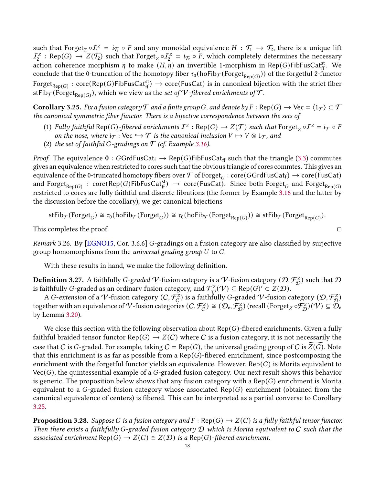such that Forget<sub>Z</sub>  $\circ I_1^z = i_{\mathcal{T}_1} \circ F$  and any monoidal equivalence  $H : \mathcal{T}_1 \to \mathcal{T}_2$ , there is a unique lift  $I_2^z$ : Rep(G)  $\to Z(\dot{\mathcal{T}_2})$  such that Forget<sub>Z</sub>  $\circ I_2^z = i_{\mathcal{T}_2} \circ \bar{F}$ , which completely determines the necessary action coherence morphism  $\eta$  to make  $(H, \eta)$  an invertible 1-morphism in Rep(G)FibFusCat<sup>st</sup><sub>ff</sub>. We conclude that the 0-truncation of the homotopy fiber  $\tau_0$ (hoFib $_{\mathcal{T}}(F{\rm orget}_{\mathsf{Rep}(G)}))$  of the forgetful 2-functor  $\mathrm{Forget}_{\mathsf{Rep}(G)}: \mathrm{core}(\mathsf{Rep}(G)\mathsf{FibFusCat}^{\mathrm{st}}_{{\mathrm{ff}}}) \rightarrow \mathrm{core}(\mathsf{FusCat})$  is in canonical bijection with the strict fiber stFib $_{\mathcal{T}}( \mathrm{Forget}_{\mathsf{Rep}(G)}),$  which we view as the set of  $\mathcal{V}$ -fibered enrichments of  $\mathcal{T}.$ 

<span id="page-17-0"></span>**Corollary 3.25.** Fix a fusion category  $\mathcal T$  and a finite group G, and denote by  $F : \text{Rep}(G) \to \text{Vec} = \langle 1_T \rangle \subset \mathcal T$ the canonical symmetric fiber functor. There is a bijective correspondence between the sets of

- (1) Fully faithful Rep(G)-fibered enrichments  $I^z$  : Rep(G)  $\to Z(\mathcal{T})$  such that Forget<sub>Z</sub>  $\circ I^z = i_{\mathcal{T}} \circ F$ on the nose, where  $i_{\mathcal{T}} : \text{Vec} \hookrightarrow \mathcal{T}$  is the canonical inclusion  $V \mapsto V \otimes 1_{\mathcal{T}}$ , and
- (2) the set of faithful G-gradings on  $\mathcal T$  (cf. Example [3.16\)](#page-12-1).

*Proof.* The equivalence  $\Phi$  : GGrdFusCat<sub>f</sub>  $\rightarrow$  Rep(G)FibFusCat<sub>ff</sub> such that the triangle [\(3.3\)](#page-14-1) commutes gives an equivalence when restricted to cores such that the obvious triangle of cores commtes. This gives an equivalence of the 0-truncated homotopy fibers over  $\cal T$  of Forget $_G$  : core(GGrdFusCat $_f$ )  $\to$  core(FusCat) and  $\mathrm{Forget}_{\mathsf{Rep}(G)}\,:\, \mathrm{core}(\mathsf{Rep}(G)\mathsf{FibFusCat}^{\mathrm{st}}_{{\mathrm{ff}}})\,\to\, \mathrm{core}(\mathsf{FusCat}).$  Since both  $\mathrm{Forget}_G$  and  $\mathrm{Forget}_{\mathsf{Rep}(G)}$ restricted to cores are fully faithful and discrete fibrations (the former by Example [3.16](#page-12-1) and the latter by the discussion before the corollary), we get canonical bijections

$$
stFib_{\mathcal{T}}(Forget_G) \cong \tau_0(hofib_{\mathcal{T}}(Forget_G)) \cong \tau_0(hofib_{\mathcal{T}}(Forget_{Rep(G)})) \cong stFib_{\mathcal{T}}(Forget_{Rep(G)})
$$

This completes the proof.

Remark 3.26. By [\[EGNO15,](#page-34-7) Cor. 3.6.6] G-gradings on a fusion category are also classified by surjective group homomorphisms from the *universal grading group*  $U$  to  $G$ .

With these results in hand, we make the following definition.

**Definition 3.27.** A faithfully *G-graded*  $V$ *-*fusion category is a  $V$ -fusion category  $(\mathcal{D},\mathcal{F}_{\mathcal{D}}^Z)$  such that  $\mathcal D$ is faithfully G-graded as an ordinary fusion category, and  $\mathcal{F}_{\mathcal{D}}^{\mathcal{Z}}(\mathcal{V}) \subseteq \mathsf{Rep}(G)' \subset \mathcal{Z}(\mathcal{D}).$ 

A G-extension of a  $V$ -fusion category  $(C,\mathcal{F}_C^Z)$  is a faithfully G-graded  $V$ -fusion category  $(\mathcal{D},\mathcal{F}_\mathcal{D}^Z)$ together with an equivalence of  $V$ -fusion categories  $(C, \mathcal{F}_{C}^{Z}) \cong (\mathcal{D}_{e}, \mathcal{F}_{\mathcal{D}}^{Z})$  (recall  $(\mathrm{Forget}_{Z} \circ \mathcal{F}_{\mathcal{D}}^{Z})(\mathcal{V}) \subseteq \mathcal{D}_{e}$ by Lemma [3.20\)](#page-13-1).

We close this section with the following observation about  $Rep(G)$ -fibered enrichments. Given a fully faithful braided tensor functor Rep(G)  $\rightarrow$  Z(C) where C is a fusion category, it is not necessarily the case that C is G-graded. For example, taking  $C = \text{Rep}(G)$ , the universal grading group of C is  $Z(G)$ . Note that this enrichment is as far as possible from a Rep( $G$ )-fibered enrichment, since postcomposing the enrichment with the forgetful functor yields an equivalence. However,  $Rep(G)$  is Morita equivalent to  $Vec(G)$ , the quintessential example of a G-graded fusion category. Our next result shows this behavior is generic. The proposition below shows that any fusion category with a  $\text{Rep}(G)$  enrichment is Morita equivalent to a G-graded fusion category whose associated Rep(G) enrichment (obtained from the canonical equivalence of centers) is fibered. This can be interpreted as a partial converse to Corollary [3.25.](#page-17-0)

**Proposition 3.28.** Suppose C is a fusion category and  $F : \text{Rep}(G) \to Z(C)$  is a fully faithful tensor functor. Then there exists a faithfully G-graded fusion category  $D$  which is Morita equivalent to  $C$  such that the associated enrichment Rep(G)  $\rightarrow Z(C) \cong Z(D)$  is a Rep(G)-fibered enrichment.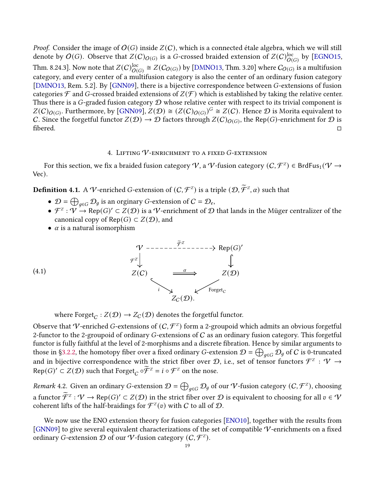Proof. Consider the image of  $O(G)$  inside  $Z(C)$ , which is a connected étale algebra, which we will still denote by  $O(G)$ . Observe that  $Z(C)_{O(G)}$  is a G-crossed braided extension of  $Z(C)_{O(G)}^{\text{loc}}$  by [\[EGNO15,](#page-34-7) Thm. 8.24.3]. Now note that  $Z(C)_{O(G)}^{\text{loc}} \cong Z(C_{O(G)})$  by [\[DMNO13,](#page-34-12) Thm. 3.20] where  $C_{O(G)}$  is a multifusion category, and every center of a multifusion category is also the center of an ordinary fusion category [\[DMNO13,](#page-34-12) Rem. 5.2]. By [\[GNN09\]](#page-34-6), there is a bijective correspondence between  $G$ -extensions of fusion categories  $\mathcal F$  and G-crossed braided extensions of  $Z(\mathcal F)$  which is established by taking the relative center. Thus there is a G-graded fusion category  $D$  whose relative center with respect to its trivial component is  $Z(C)_{O(G)}$ . Furthermore, by [\[GNN09\]](#page-34-6),  $Z(D) \cong (Z(C)_{O(G)})^G \cong Z(C)$ . Hence  $D$  is Morita equivalent to C. Since the forgetful functor  $Z(D) \to D$  factors through  $Z(C)_{O(G)}$ , the Rep(G)-enrichment for  $D$  is  $\Box$ 

# 4. LIFTING  $V$ -enrichment to a fixed  $G$ -extension

For this section, we fix a braided fusion category  $\mathcal V$ , a  $\mathcal V$ -fusion category  $(\mathcal C,\mathcal F^z) \in \mathsf{BrdFus}_1(\mathcal V\to \mathcal V)$ Vec).

**Definition 4.1.** A  $V$ -enriched G-extension of  $(C, \mathcal{F}^z)$  is a triple  $(\mathcal{D}, \widetilde{\mathcal{F}}^z, \alpha)$  such that

- $\mathcal{D} = \bigoplus_{g \in G} \mathcal{D}_g$  is an orginary G-extension of  $C = \mathcal{D}_e$ ,
- $\mathcal{F}^Z: V \to \mathsf{Rep}(G)' \subset Z(\mathcal{D})$  is a  $V$ -enrichment of  $\mathcal D$  that lands in the Müger centralizer of the canonical copy of Rep( $G$ ) ⊂  $Z(D)$ , and
- $\alpha$  is a natural isomorphism

(4.1)

<span id="page-18-0"></span>

where  $\text{Forget}_C : Z(\mathcal{D}) \to Z_C(\mathcal{D})$  denotes the forgetful functor.

Observe that  $V$ -enriched G-extensions of  $(C, \mathcal{F}^z)$  form a 2-groupoid which admits an obvious forgetful 2-functor to the 2-groupoid of ordinary  $G$ -extensions of  $C$  as an ordinary fusion category. This forgetful functor is fully faithful at the level of 2-morphisms and a discrete fibration. Hence by similar arguments to those in [§3.2.2,](#page-11-1) the homotopy fiber over a fixed ordinary  $G$ -extension  $\cal D$  =  $\bigoplus_{g\in G}\cal D_g$  of  $C$  is 0-truncated and in bijective correspondence with the strict fiber over  ${\cal D}$ , i.e., set of tensor functors  ${\cal F}^z$  :  ${\cal V}$   $\to$ Rep(*G*)'  $\subset Z(\mathcal{D})$  such that Forget<sub>*C*</sub>  $\circ \widetilde{\mathcal{F}}^z = i \circ \mathcal{F}^z$  on the nose.

*Remark* 4.2. Given an ordinary G-extension  $\mathcal{D} = \bigoplus_{g \in G} \mathcal{D}_g$  of our  $\mathcal V$ -fusion category  $(C, \mathcal F^z)$ , choosing a functor  $\widetilde{\mathcal{F}}^z : \mathcal{V} \to \text{Rep}(G)' \subset Z(\mathcal{D})$  in the strict fiber over  $\mathcal D$  is equivalent to choosing for all  $v \in \mathcal{V}$ coherent lifts of the half-braidings for  $\mathcal{F}^{\mathcal{Z}}(v)$  with  $C$  to all of  $\mathcal{D}.$ 

We now use the ENO extension theory for fusion categories [\[ENO10\]](#page-34-1), together with the results from [\[GNN09\]](#page-34-6) to give several equivalent characterizations of the set of compatible  $\mathcal V$ -enrichments on a fixed ordinary G-extension  $\mathcal D$  of our  $\mathcal V$ -fusion category  $(\mathcal C,\mathcal F^z).$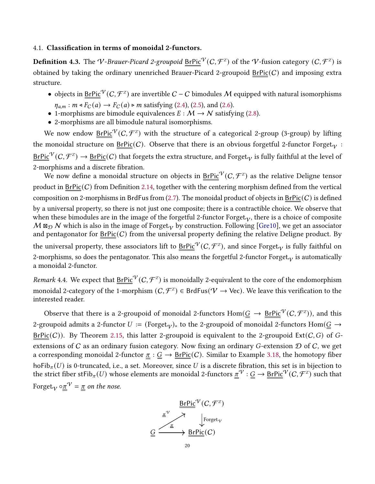## <span id="page-19-1"></span>4.1. Classification in terms of monoidal 2-functors.

<span id="page-19-0"></span>**Definition 4.3.** The V-Brauer-Picard 2-groupoid  $\underline{\text{BrPic}}^\mathcal{V}(C,\mathcal{F}^{\mathbb{Z}})$  of the V-fusion category  $(C,\mathcal{F}^{\mathbb{Z}})$  is obtained by taking the ordinary unenriched Brauer-Picard 2-groupoid  $BrPic(C)$  and imposing extra structure.

- objects in  $BrPic<sup>*V*</sup>(C, *F*<sup>*Z*</sup>)$  are invertible  $C C$  bimodules M equipped with natural isomorphisms</u>  $\eta_{a,m} : m \triangleleft F_C(a) \to F_C(a) \triangleright m$  satisfying [\(2.4\)](#page-6-0), [\(2.5\)](#page-6-1), and [\(2.6\)](#page-6-2).
- 1-morphisms are bimodule equivalences  $E : \mathcal{M} \to \mathcal{N}$  satisfying [\(2.8\)](#page-7-0).
- 2-morphisms are all bimodule natural isomorphisms.

We now endow  $\underline{\mathsf{BrPic}}^\mathcal{V}(C,\mathcal{F}^{\mathbb{Z}})$  with the structure of a categorical 2-group (3-group) by lifting the monoidal structure on  $BrPic(C)$ . Observe that there is an obvious forgetful 2-functor Forget<sub> $V$ </sub>:  $\underline{BrPic}^\mathcal{V}(C,\mathcal{F}^z)\to \underline{BrPic}(C)$  that forgets the extra structure, and Forget $_\mathcal{V}$  is fully faithful at the level of 2-morphisms and a discrete fibration.

We now define a monoidal structure on objects in  $\text{BrPic}^\mathcal{V}(C,\mathcal{F}^{\mathbb{Z}})$  as the relative Deligne tensor product in  $BrPic(C)$  from Definition [2.14,](#page-5-1) together with the centering morphism defined from the vertical composition on 2-morphisms in BrdFus from  $(2.7)$ . The monoidal product of objects in  $BrPic(C)$  is defined by a universal property, so there is not just one composite; there is a contractible choice. We observe that when these bimodules are in the image of the forgetful 2-functor Forget<sub> $\alpha$ </sub>, there is a choice of composite  $M$   $\boxtimes_{\mathcal{D}}$  N which is also in the image of Forget $_{V}$  by construction. Following [\[Gre10\]](#page-34-14), we get an associator and pentagonator for  $BrPic(C)$  from the universal property defining the relative Deligne product. By the universal property, these associators lift to  $\underline{\text{BrPic}}^\mathcal{V}(C,\mathcal{F}^{\mathbb{Z}}),$  and since Forget $_\mathcal{V}$  is fully faithful on 2-morphisms, so does the pentagonator. This also means the forgetful 2-functor Forget<sub> $\alpha$ </sub> is automatically a monoidal 2-functor.

*Remark* 4.4. We expect that  $\underline{BrPic}^{\mathcal{V}}(C,\mathcal{F}^z)$  is monoidally 2-equivalent to the core of the endomorphism monoidal 2-category of the 1-morphism  $(C, \mathcal{F}^Z) \in \mathsf{BrdFus}(V \to \mathsf{Vec}).$  We leave this verification to the interested reader.

Observe that there is a 2-groupoid of monoidal 2-functors  $\text{Hom}(\underline{G}\to \underline{\text{BrPic}}^\mathcal{V}(C,\mathcal{F}^Z)),$  and this 2-groupoid admits a 2-functor  $U := (\text{Forget}_{V})_*$  to the 2-groupoid of monoidal 2-functors Hom( $G \rightarrow$  $BrPic(C)$ ). By Theorem [2.15,](#page-5-2) this latter 2-groupoid is equivalent to the 2-groupoid Ext(C, G) of Gextensions of C as an ordinary fusion category. Now fixing an ordinary G-extension  $D$  of C, we get a corresponding monoidal 2-functor  $\pi$  :  $G \to \text{BrPic}(C)$ . Similar to Example [3.18,](#page-12-3) the homotopy fiber hoFib $_{\pi}(U)$  is 0-truncated, i.e., a set. Moreover, since U is a discrete fibration, this set is in bijection to the strict fiber stFib $_\pi(U)$  whose elements are monoidal 2-functors  $\underline{\pi}^\mathcal{V}:\underline{G}\to \underline{BrPic}^\mathcal{V}(C,\mathcal{F}^Z)$  such that Forget $_{V}$   $\circ \underline{\pi}^{\mathcal{V}} = \underline{\pi}$  on the nose.

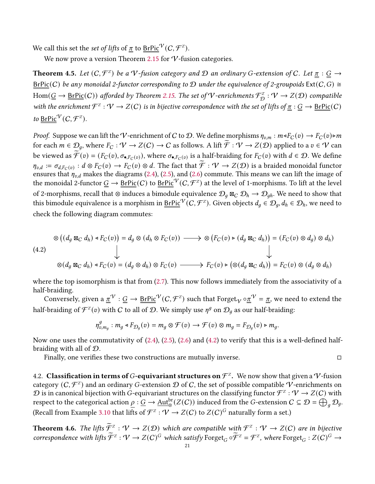We call this set the *set of lifts* of  $\pi$  to  $\mathsf{BrPic}^\mathcal{V}(C,\mathcal{F}^z).$ 

We now prove a version Theorem [2.15](#page-5-2) for  $V$ -fusion categories.

<span id="page-20-0"></span>**Theorem 4.5.** Let  $(C, \mathcal{F}^z)$  be a V-fusion category and D an ordinary G-extension of C. Let  $\underline{\pi} : \underline{G} \to$ BrPic(C) be any monoidal 2-functor corresponding to D under the equivalence of 2-groupoids  $Ext(C, G) \cong$  $Hom(\underline{G}\to \underline{BrPic}(\mathcal{C}))$  afforded by Theorem [2.15.](#page-5-2) The set of  $V$ -enrichments  $\mathcal{F}_{\mathcal{D}}^Z:\mathcal{V}\to Z(\mathcal{D})$  compatible with the enrichment  $\mathcal{F}^z: V \to Z(C)$  is in bijective correspondence with the set of lifts of  $\underline{\pi}: \underline{G} \to \underline{BrPic}(C)$ to  $\underline{\text{BrPic}}^{\mathcal{V}}(C, \mathcal{F}^{\mathbb{Z}}).$ 

*Proof.* Suppose we can lift the V-enrichment of C to D. We define morphisms  $\eta_{v,m} : m \triangleleft F_C(v) \to F_C(v) \triangleright m$ for each  $m \in \mathcal{D}_q$ , where  $F_C : \mathcal{V} \to Z(C) \to C$  as follows. A lift  $\widetilde{\mathcal{F}} : \mathcal{V} \to Z(\mathcal{D})$  applied to a  $v \in \mathcal{V}$  can be viewed as  $\widetilde{\mathcal{F}}(v)=(F_C(v),\sigma_{\bullet,F_C(v)})$ , where  $\sigma_{\bullet,F_C(v)}$  is a half-braiding for  $F_C(v)$  with  $d\in\mathcal{D}.$  We define  $\eta_{v,d} := \sigma_{d,F_C(v)} : d \otimes F_C(v) \to F_C(v) \otimes d$ . The fact that  $\widetilde{\mathcal{F}} : \mathcal{V} \to Z(\mathcal{D})$  is a braided monoidal functor ensures that  $\eta_{v,d}$  makes the diagrams [\(2.4\)](#page-6-0), [\(2.5\)](#page-6-1), and [\(2.6\)](#page-6-2) commute. This means we can lift the image of the monoidal 2-functor  $\underline{G}\to \underline{BrPic}(C)$  to  $\underline{BrPic}^{\dot{V}}(C,{\cal F}^{\dot{Z}})$  at the level of 1-morphisms. To lift at the level of 2-morphisms, recall that ⊗ induces a bimodule equivalence  $\mathcal{D}_q$  ⊠ $_C$   $\mathcal{D}_h\to\mathcal{D}_{qh}.$  We need to show that this bimodule equivalence is a morphism in  $\text{BrPic}^{\mathcal{V}}(C, \mathcal{F}^Z).$  Given objects  $d_q\in\mathcal{D}_q, d_h\in\mathcal{D}_h,$  we need to check the following diagram commutes:

<span id="page-20-2"></span>
$$
\otimes ((d_g \boxtimes_C d_h) \triangleleft F_C(v)) = d_g \otimes (d_h \otimes F_C(v)) \longrightarrow \otimes (F_C(v) \triangleright (d_g \boxtimes_C d_h)) = (F_C(v) \otimes d_g) \otimes d_h)
$$
\n
$$
\downarrow
$$
\n
$$
\otimes (d_g \boxtimes_C d_h) \triangleleft F_C(v) = (d_g \otimes d_h) \otimes F_C(v) \longrightarrow F_C(v) \triangleright (\otimes (d_g \boxtimes_C d_h)) = F_C(v) \otimes (d_g \otimes d_h)
$$

where the top isomorphism is that from [\(2.7\)](#page-7-1). This now follows immediately from the associativity of a half-braiding.

Conversely, given a  $\underline{x}^\mathcal{V}:\underline{G}\to \underline{BrPic}^\mathcal{V}(C,\mathcal{F}^z)$  such that Forget $_\mathcal{V}\circ \underline{\pi}^\mathcal{V}=\underline{\pi},$  we need to extend the half-braiding of  $\mathcal{F}^{\mathcal{Z}}(v)$  with  $C$  to all of  $\mathcal{D}.$  We simply use  $\eta^{g}$  on  $\mathcal{D}_{g}$  as our half-braiding:

$$
\eta_{v,m_g}^g: m_g \triangleleft F_{\mathcal{D}_g}(v) = m_g \otimes \mathcal{F}(v) \longrightarrow \mathcal{F}(v) \otimes m_g = F_{\mathcal{D}_g}(v) \triangleright m_g.
$$

Now one uses the commutativity of  $(2.4)$ ,  $(2.5)$ ,  $(2.6)$  and  $(4.2)$  to verify that this is a well-defined halfbraiding with all of D.

Finally, one verifies these two constructions are mutually inverse.  $\Box$ 

4.2. Classification in terms of G-equivariant structures on  $\mathcal{F}^{\mathbb{Z}}.$  We now show that given a  $\mathcal{V}$ -fusion category  $(C, \mathcal{F}^z)$  and an ordinary G-extension  $\mathcal D$  of  $C$ , the set of possible compatible  $\mathcal V$ -enrichments on  $\mathcal D$  is in canonical bijection with G-equivariant structures on the classifying functor  $\mathcal F^z:\mathcal V\to Z(\mathcal C)$  with respect to the categorical action  $\rho : \underline{G} \to \underline{\rm Aut}_{\otimes}^{\rm br}(Z(C))$  induced from the  $G$ -extension  $C \subseteq \mathcal{D} = \bigoplus_g \mathcal{D}_g$ . (Recall from Example [3.10](#page-10-0) that lifts of  $\mathcal{F}^z : \mathcal{V} \to Z(C)$  to  $Z(C)^G$  naturally form a set.)

<span id="page-20-1"></span>**Theorem 4.6.** The lifts  $\widetilde{\mathcal{F}}^z$ :  $\mathcal{V} \to Z(\mathcal{D})$  which are compatible with  $\mathcal{F}^z$ :  $\mathcal{V} \to Z(\mathcal{C})$  are in bijective correspondence with lifts  $\widetilde{\mathcal{F}}^{\mathcal{Z}}: \mathcal{V} \to Z(C)^G$  which satisfy  $\mathrm{Forget}_G \circ \widetilde{\mathcal{F}}^{\mathcal{Z}} = \mathcal{F}^{\mathcal{Z}}$ , where  $\mathrm{Forget}_G : Z(C)^G \to Z(C)^G$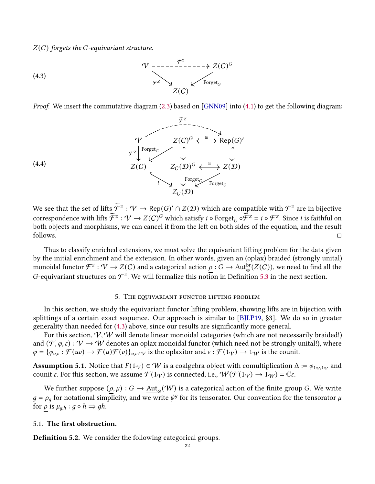$Z(C)$  forgets the G-equivariant structure.

<span id="page-21-0"></span>(4.3)  
\n
$$
\begin{array}{c}\n\mathcal{V} \longrightarrow \mathcal{F}^Z \\
\downarrow^{\mathcal{F}^Z} \longrightarrow \mathcal{L}(C)^G \\
Z(C)\n\end{array}
$$
\n(4.3)

Proof. We insert the commutative diagram [\(2.3\)](#page-5-3) based on [\[GNN09\]](#page-34-6) into [\(4.1\)](#page-18-0) to get the following diagram:



We see that the set of lifts  $\widetilde{\mathcal{F}}^z : \mathcal{V} \to \mathsf{Rep}(G)' \cap Z(\mathcal{D})$  which are compatible with  $\mathcal{F}^z$  are in bijective correspondence with lifts  $\widetilde{\mathcal{F}}^z : \mathcal{V} \to Z(C)^G$  which satisfy  $i \circ \text{Forget}_G \circ \widetilde{\mathcal{F}}^z = i \circ \mathcal{F}^z$ . Since  $i$  is faithful on both objects and morphisms, we can cancel it from the left on both sides of the equation, and the result  $\Box$  follows.  $\Box$ 

Thus to classify enriched extensions, we must solve the equivariant lifting problem for the data given by the initial enrichment and the extension. In other words, given an (oplax) braided (strongly unital) monoidal functor  $\mathcal F^z:\mathcal V\to Z(\mathcal C)$  and a categorical action  $\rho:\underline G\to \underline{\rm Aut}^{ \mathrm{br} }_\otimes(Z(\mathcal C)),$  we need to find all the G-equivariant structures on  $\mathcal{F}^z$ . We will formalize this notion in Definition [5.3](#page-22-0) in the next section.

#### 5. THE EQUIVARIANT FUNCTOR LIFTING PROBLEM

In this section, we study the equivariant functor lifting problem, showing lifts are in bijection with splittings of a certain exact sequence. Our approach is similar to [\[BJLP19,](#page-33-2) §3]. We do so in greater generality than needed for [\(4.3\)](#page-21-0) above, since our results are significantly more general.

For this section,  $V, W$  will denote linear monoidal categories (which are not necessarily braided!) and  $(\mathcal{F}, \varphi, \varepsilon) : \mathcal{V} \to \mathcal{W}$  denotes an oplax monoidal functor (which need not be strongly unital!), where  $\varphi = {\varphi_{u,v} : \mathcal{F}(uv) \to \mathcal{F}(u)\mathcal{F}(v)}_{u,v \in V}$  is the oplaxitor and  $\varepsilon : \mathcal{F}(1_V) \to 1_W$  is the counit.

<span id="page-21-1"></span>**Assumption 5.1.** Notice that  $F(1_V) \in W$  is a coalgebra object with comultiplication  $\Delta := \varphi_{1_V,1_V}$  and counit  $\varepsilon$ . For this section, we assume  $\mathcal{F}(1\gamma)$  is connected, i.e.,  $\mathcal{W}(\mathcal{F}(1\gamma) \to 1\gamma) = \mathbb{C}\varepsilon$ .

We further suppose  $(\rho, \mu) : \underline{G} \to \underline{\rm Aut}_{\otimes}(\mathcal W)$  is a categorical action of the finite group G. We write  $g = \rho_q$  for notational simplicity, and we write  $\psi^g$  for its tensorator. Our convention for the tensorator  $\mu$ for  $\rho$  is  $\mu_{q,h} : g \circ h \Rightarrow gh$ .

#### 5.1. The first obstruction.

**Definition 5.2.** We consider the following categorical groups.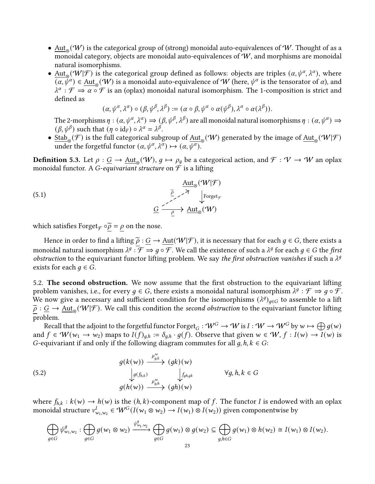- $\bullet$   $\underline{\mathrm{Aut}}_\otimes(\mathcal{W})$  is the categorical group of (strong) monoidal auto-equivalences of  $\mathcal{W}.$  Thought of as a monoidal category, objects are monoidal auto-equivalences of  $W$ , and morphisms are monoidal natural isomorphisms.
- $\underline{\mathrm{Aut}}_{\otimes}(\mathcal{W}|\mathcal{F})$  is the categorical group defined as follows: objects are triples  $(\alpha, \psi^{\alpha}, \lambda^{\alpha})$ , where  $\overline{(\alpha, \psi^{\alpha})} \in \underline{\text{Aut}}_{\otimes}(\mathcal{W})$  is a monoidal auto-equivalence of  $\mathcal W$  (here,  $\psi^{\alpha}$  is the tensorator of  $\alpha$ ), and  $\lambda^{\alpha}$ :  $\mathcal{F} \Rightarrow \alpha \circ \mathcal{F}$  is an (oplax) monoidal natural isomorphism. The 1-composition is strict and defined as

<span id="page-22-2"></span>
$$
(\alpha, \psi^{\alpha}, \lambda^{\alpha}) \circ (\beta, \psi^{\beta}, \lambda^{\beta}) := (\alpha \circ \beta, \psi^{\alpha} \circ \alpha(\psi^{\beta}), \lambda^{\alpha} \circ \alpha(\lambda^{\beta})).
$$

The 2-morphisms  $\eta : (\alpha, \psi^{\alpha}, \lambda^{\alpha}) \Rightarrow (\beta, \psi^{\beta}, \lambda^{\beta})$  are all monoidal natural isomorphisms  $\eta : (\alpha, \psi^{\alpha}) \Rightarrow$  $(\beta, \psi^{\beta})$  such that  $(\eta \circ id_F) \circ \lambda^{\alpha} = \lambda^{\beta}$ .

●  $\frac{\text{Stab}}{\otimes}(\mathcal{F})$  is the full categorical subgroup of  $\underline{\text{Aut}}_{\otimes}(\mathcal{W})$  generated by the image of  $\underline{\text{Aut}}_{\otimes}(\mathcal{W}|\mathcal{F})$ under the forgetful functor  $(\alpha, \psi^{\alpha}, \lambda^{\alpha}) \mapsto (\alpha, \overline{\psi^{\alpha}}).$ 

<span id="page-22-0"></span>**Definition 5.3.** Let  $\rho : \underline{G} \to \underline{\rm Aut}_{\otimes}(\mathcal{W}), g \mapsto \rho_g$  be a categorical action, and  $\mathcal{F} : \mathcal{V} \to \mathcal{W}$  an oplax monoidal functor. A *G*-equivariant structure on  $\mathcal F$  is a lifting

(5.1)  
\n
$$
\xrightarrow{\tilde{\rho}} \xrightarrow{\tilde{\rho}} \text{Forget}_{\mathcal{F}}
$$
\n
$$
\xrightarrow{\tilde{\rho}} \xrightarrow{\tilde{\gamma}} \text{Forget}_{\mathcal{F}}
$$
\n
$$
\xrightarrow{\tilde{\rho}} \text{Aut}_{\otimes}(\mathcal{W})
$$

which satisfies Forget $\mathcal{F} \circ \underline{\tilde{\rho}} = \underline{\rho}$  on the nose.

Hence in order to find a lifting  $\tilde{\rho}: \underline{G} \to \underline{\text{Aut}}(\mathcal{W}|\mathcal{F})$ , it is necessary that for each  $g \in G$ , there exists a monoidal natural isomorphism  $\lambda^g$  :  $\overline{\mathcal{F}}\Rightarrow g\circ\overline{\mathcal{F}}.$  We call the existence of such a  $\lambda^g$  for each  $g\in G$  the *first* obstruction to the equivariant functor lifting problem. We say the first obstruction vanishes if such a  $\lambda^g$ exists for each  $q \in G$ .

5.2. The second obstruction. We now assume that the first obstruction to the equivariant lifting problem vanishes, i.e., for every  $g \in G$ , there exists a monoidal natural isomorphism  $\lambda^g : \mathcal{F} \Rightarrow g \circ \mathcal{F}.$ We now give a necessary and sufficient condition for the isomorphisms  $(\lambda^{g})_{g \in G}$  to assemble to a lift  $\widetilde{\rho}: \underline{G} \to \underline{\mathrm{Aut}}_{\otimes}(\mathcal{W}|\mathcal{F})$ . We call this condition the second obstruction to the equivariant functor lifting problem.

Recall that the adjoint to the forgetful functor  $\mathrm{Forget}_G:\mathcal{W}^G\to\mathcal{W}$  is  $I:\mathcal{W}\to\mathcal{W}^G$  by  $w\mapsto\bigoplus g(w)$ and  $f \in W(w_1 \to w_2)$  maps to  $I(f)_{g,h} := \delta_{g,h} \cdot g(f)$ . Observe that given  $w \in W$ ,  $f : I(w) \to I(w)$  is G-equivariant if and only if the following diagram commutes for all  $q, h, k \in G$ :

<span id="page-22-1"></span>(5.2)  
\n
$$
\begin{array}{ccc}\ng(k(w)) & \xrightarrow{\mu_{g,k}^w} (gk)(w) \\
\downarrow g(f_{h,k}) & \downarrow f_{g_{h,gk}} & \forall g, h, k \in G \\
g(h(w)) & \xrightarrow{\mu_{g,h}^w} (gh)(w)\n\end{array}
$$

where  $f_{h,k}: k(w) \to h(w)$  is the  $(h, k)$ -component map of f. The functor I is endowed with an oplax monoidal structure  $v_{w_1,w_2}^I \in \mathcal{W}^G(I(w_1 \otimes w_2) \to I(w_1) \otimes I(w_2))$  given componentwise by

$$
\bigoplus_{g\in G}\psi_{w_1,w_2}^g:\bigoplus_{g\in G}g(w_1\otimes w_2)\xrightarrow{\psi_{w_1,w_2}^g}\bigoplus_{g\in G}g(w_1)\otimes g(w_2)\subseteq \bigoplus_{g,h\in G}g(w_1)\otimes h(w_2)\cong I(w_1)\otimes I(w_2).
$$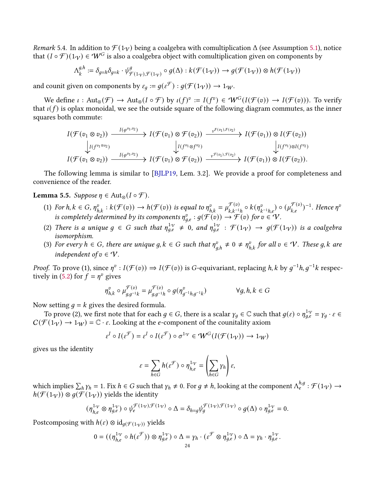Remark 5.4. In addition to  $\mathcal{F}(1_V)$  being a coalgebra with comultiplication  $\Delta$  (see Assumption [5.1\)](#page-21-1), notice that  $(I \circ \mathcal{F})(1_V) \in \mathcal{W}^G$  is also a coalgebra object with comultiplication given on components by

$$
\Lambda^{g,h}_k:=\delta_{g=h}\delta_{g=k}\cdot \psi_{\mathcal{F}(1_{\mathcal{V}}),\mathcal{F}(1_{\mathcal{V}})}^g\circ g(\Delta):k(\mathcal{F}(1_{\mathcal{V}}))\to g(\mathcal{F}(1_{\mathcal{V}}))\otimes h(\mathcal{F}(1_{\mathcal{V}}))
$$

and counit given on components by  $\varepsilon_g := g(\varepsilon^{\mathcal{F}}) : g(\mathcal{F}(1_{\mathcal{V}})) \to 1_{\mathcal{W}}$ .

We define  $\iota: \text{Aut}_{\otimes}(\mathcal{F}) \to \text{Aut}_{\otimes}(I \circ \mathcal{F})$  by  $\iota(f)^v := I(f^v) \in \mathcal{W}^G(I(\mathcal{F}(v))) \to I(\mathcal{F}(v))$ ). To verify that  $\iota(f)$  is oplax monoidal, we see the outside square of the following diagram commutes, as the inner squares both commute:

$$
I(\mathcal{F}(v_1 \otimes v_2)) \xrightarrow{\qquad I(\varphi^{v_1,v_2})} I(\mathcal{F}(v_1) \otimes \mathcal{F}(v_2)) \xrightarrow{\qquad \qquad v^{F(v_1), F(v_2)}} I(\mathcal{F}(v_1)) \otimes I(\mathcal{F}(v_2))
$$
\n
$$
\downarrow_{I(f^{v_1} \otimes v_2)} I(\mathcal{F}(v_1 \otimes v_2)) \xrightarrow{\qquad \qquad I(\varphi^{v_1,v_2})} I(\mathcal{F}(v_1) \otimes \mathcal{F}(v_2)) \xrightarrow{\qquad \qquad v^{\mathcal{F}(v_1), \mathcal{F}(v_2)}} I(\mathcal{F}(v_1)) \otimes I(\mathcal{F}(v_2)).
$$

The following lemma is similar to [\[BJLP19,](#page-33-2) Lem. 3.2]. We provide a proof for completeness and convenience of the reader.

# <span id="page-23-0"></span>Lemma 5.5. Suppose  $\eta \in Aut_{\infty}(I \circ \mathcal{F})$ .

- (1) For  $h, k \in G$ ,  $\eta_{hk}^v : k(\mathcal{F}(v)) \to h(\mathcal{F}(v))$  is equal to  $\eta_{hk}^v = \mu_{kk^{-1}}^{\mathcal{F}(v)}$  $\frac{\mathcal{F}(v)}{k.k^{-1}h} \circ k(\eta^v_k)$  $(\mu_{k,e}^{\mathcal{F}(v)})^{-1}$ . Hence  $\eta^v$ is completely determined by its components  $\eta_{a,e}^v : g(\mathcal{F}(v)) \to \mathcal{F}(v)$  for  $v \in V$ .
- (2) There is a unique  $g \in G$  such that  $\eta_{g,e}^{1_V} \neq 0$ , and  $\eta_{g,e}^{1_V} : \mathcal{F}(1_V) \to g(\mathcal{F}(1_V))$  is a coalgebra isomorphism.
- (3) For every  $h \in G$ , there are unique g,  $k \in G$  such that  $\eta_{a,h}^v \neq 0 \neq \eta_{h,k}^v$  for all  $v \in V$ . These g, k are independent of  $v \in \mathcal{V}$ .

*Proof.* To prove (1), since  $\eta^v: I(\mathcal{F}(v)) \Rightarrow I(\mathcal{F}(v))$  is G-equivariant, replacing h, k by  $g^{-1}h, g^{-1}k$  respec-tively in [\(5.2\)](#page-22-1) for  $f = \eta^v$  gives

$$
\eta_{h,k}^v \circ \mu_{g,g^{-1}k}^{\mathcal{F}(v)} = \mu_{g,g^{-1}h}^{\mathcal{F}(v)} \circ g(\eta_{g^{-1}h,g^{-1}k}^v) \qquad \forall g, h, k \in G
$$

Now setting  $q = k$  gives the desired formula.

To prove (2), we first note that for each  $g \in G$ , there is a scalar  $\gamma_g \in \mathbb{C}$  such that  $g(\varepsilon) \circ \eta_{g,\varepsilon}^{1,\gamma} = \gamma_g \cdot \varepsilon \in G$  $C(\mathcal{F}(1\gamma) \to 1_W) = \mathbb{C} \cdot \varepsilon$ . Looking at the *e*-component of the counitality axiom

$$
\varepsilon^I \circ I(\varepsilon^{\mathcal{F}}) = \varepsilon^I \circ I(\varepsilon^{\mathcal{F}}) \circ \sigma^{1_{\mathcal{V}}} \in \mathcal{W}^G(I(\mathcal{F}(1_{\mathcal{V}})) \to 1_{\mathcal{W}})
$$

gives us the identity

$$
\varepsilon = \sum_{h \in G} h(\varepsilon^{\mathcal{F}}) \circ \eta_{h,e}^{1 \cdot \nu} = \left(\sum_{h \in G} \gamma_h\right) \varepsilon,
$$

which implies  $\sum_h \gamma_h = 1$ . Fix  $h \in G$  such that  $\gamma_h \neq 0$ . For  $g \neq h$ , looking at the component  $\Lambda_e^{h,g}$  $_{e}^{n,g}$ :  $\mathcal{F}(1\gamma) \rightarrow$  $h(\mathcal{F}(1_V)) \otimes q(\mathcal{F}(1_V))$  yields the identity

$$
(\eta_{h,e}^{1_{\mathcal{V}}}\otimes \eta_{g,e}^{1_{\mathcal{V}}})\circ \psi_e^{\mathcal{F}(1_{\mathcal{V}}),\mathcal{F}(1_{\mathcal{V}})}\circ \Delta=\delta_{h=g}\psi_g^{\mathcal{F}(1_{\mathcal{V}}),\mathcal{F}(1_{\mathcal{V}})}\circ g(\Delta)\circ \eta_{g,e}^{1_{\mathcal{V}}}=0.
$$

Postcomposing with  $h(\varepsilon) \otimes id_{q(\mathcal{F}(1_{\mathcal{V}}))}$  yields

$$
0 = ((\eta_{h,e}^{1\gamma} \circ h(\varepsilon^{\mathcal{F}})) \otimes \eta_{g,e}^{1\gamma}) \circ \Delta = \gamma_h \cdot (\varepsilon^{\mathcal{F}} \otimes \eta_{g,e}^{1\gamma}) \circ \Delta = \gamma_h \cdot \eta_{g,e}^{1\gamma}.
$$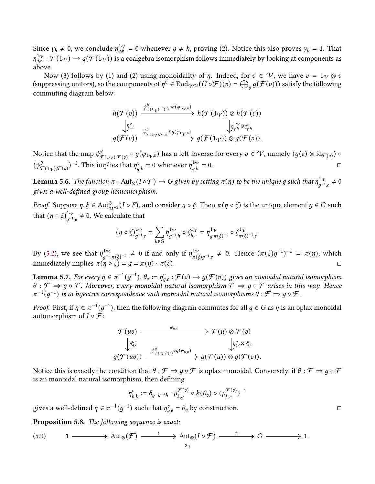Since  $\gamma_h \neq 0$ , we conclude  $\eta_{a,e}^{1\gamma} = 0$  whenever  $g \neq h$ , proving (2). Notice this also proves  $\gamma_h = 1$ . That  $\eta_{q,e}^{1,\gamma}:\mathcal{F}(1\gamma)\to g(\mathcal{F}(1\gamma))$  is a coalgebra isomorphism follows immediately by looking at components as above.

Now (3) follows by (1) and (2) using monoidality of  $\eta$ . Indeed, for  $v \in \mathcal{V}$ , we have  $v = 1_{\mathcal{V}} \otimes v$ (suppressing unitors), so the components of  $\eta^v \in \text{End}_{W^G}((I \circ \mathcal{F})(v) = \bigoplus_{g} g(\mathcal{F}(v)))$  satisfy the following commuting diagram below:

$$
h(\mathcal{F}(v)) \xrightarrow{\psi^h_{\mathcal{F}(1_{\mathcal{V}}),\mathcal{F}(v)} \circ h(\varphi_{1_{\mathcal{V}},v})} h(\mathcal{F}(1_{\mathcal{V}})) \otimes h(\mathcal{F}(v)) \xrightarrow{\bigg|\eta^v_{g,h}} h(\mathcal{F}(1_{\mathcal{V}})) \otimes h(\mathcal{F}(v))} \mathcal{F}_{g,h}^{1_{\mathcal{V}} \otimes \eta^v_{g,h}} g(\mathcal{F}(v)) \xrightarrow{\psi^g_{\mathcal{F}(1_{\mathcal{V}}),\mathcal{F}(v)} \circ g(\varphi_{1_{\mathcal{V}},v})} g(\mathcal{F}(1_{\mathcal{V}})) \otimes g(\mathcal{F}(v)).
$$

Notice that the map  $\psi_q^g$  $^g_{\mathcal{F}(1_V),\mathcal{F}(v)}\circ g(\varphi_{1_V,v})$  has a left inverse for every  $v\in\mathcal{V}$ , namely  $(g(\varepsilon)\otimes\mathrm{id}_{\mathcal{F}(v)})\circ g(\varphi_{1_V,v})$  $(\psi^g_a$  $\int_{\mathcal{F}(1_V),\mathcal{F}(v)}^{g}$  = 0.  $\Box$ 

**Lemma 5.6.** The function  $\pi$  : Aut<sub>⊗</sub>(I  $\circ$   $\mathcal{F}$ )  $\to$  G given by setting  $\pi(\eta)$  to be the unique g such that  $\eta_{a^{-1}}^{1_{\mathcal{H}}}$  $\frac{1}{q^{-1}.e}^{1} \neq 0$ gives a well-defined group homomorphism.

*Proof.* Suppose  $\eta, \xi \in \text{Aut}_{\mathcal{W}^G}^{\otimes}(I \circ F)$ , and consider  $\eta \circ \xi$ . Then  $\pi(\eta \circ \xi)$  is the unique element  $g \in G$  such that  $(\eta \circ \xi)_{a^{-1}}^{1 \gamma}$  $\frac{1}{q-1}$ , ≠ 0. We calculate that

$$
(\eta\circ\xi)^{1\cdot\gamma}_{g^{-1},e}=\sum_{h\in G}\eta^{1\cdot\gamma}_{g^{-1},h}\circ\xi^{1\cdot\gamma}_{h,e}=\eta^{1\cdot\gamma}_{g,\pi(\xi)^{-1}}\circ\xi^{1\cdot\gamma}_{\pi(\xi)^{-1},e}.
$$

By [\(5.2\)](#page-22-1), we see that  $\eta_{a^{-1}}^{1\gamma}$ <sup>1</sup> $\gamma$ <sub>*q*<sup>-1</sup>, $\pi(\xi)$ -1</sub> ≠ 0 if and only if  $\eta_{\pi(\xi)}^{1\gamma}$  $\frac{1}{\pi(\xi)q^{-1},e}$  ≠ 0. Hence  $(\pi(\xi)g^{-1})^{-1} = \pi(\eta)$ , which immediately implies  $\pi(\eta \circ \xi) = g = \pi(\eta) \cdot \pi(\xi)$ .

<span id="page-24-0"></span>**Lemma 5.7.** For every  $\eta \in \pi^{-1}(g^{-1})$ ,  $\theta_v := \eta_{a,e}^v : \mathcal{F}(v) \to g(\mathcal{F}(v))$  gives an monoidal natural isomorphism  $\theta : \mathcal{F} \Rightarrow g \circ \mathcal{F}$ . Moreover, every monoidal natural isomorphism  $\mathcal{F} \Rightarrow g \circ \mathcal{F}$  arises in this way. Hence  $\pi^{-1}(g^{-1})$  is in bijective correspondence with monoidal natural isomorphisms  $\theta : \mathcal{F} \Rightarrow g \circ \mathcal{F}$ .

*Proof.* First, if  $\eta \in \pi^{-1}(g^{-1})$ , then the following diagram commutes for all  $g \in G$  as  $\eta$  is an oplax monoidal automorphism of  $I \circ \mathcal{F}$ :

$$
\mathcal{F}(uv) \xrightarrow{\varphi_{u,v}} \mathcal{F}(u) \otimes \mathcal{F}(v) \\
\downarrow_{g,e}^{uw} \xrightarrow{\psi_{g,u}^g, \varphi_{g(u),\mathcal{F}(v)} \circ g(\varphi_{u,v})} g(\mathcal{F}(u)) \otimes g(\mathcal{F}(v)).
$$

Notice this is exactly the condition that  $\theta : \mathcal{F} \Rightarrow g \circ \mathcal{F}$  is oplax monoidal. Conversely, if  $\theta : \mathcal{F} \Rightarrow g \circ \mathcal{F}$ is an monoidal natural isomorphism, then defining

$$
\eta^v_{h,k}:=\delta_{g=k^{-1}h}\cdot \mu_{k,g}^{\mathcal{F}(v)}\circ k(\theta_v)\circ (\mu_{k,e}^{\mathcal{F}(v)})^{-1}
$$

gives a well-defined  $\eta \in \pi^{-1}(g^{-1})$  such that  $\eta_{g,e}^v = \theta_v$  by construction.

Proposition 5.8. The following sequence is exact:

<span id="page-24-1"></span>
$$
(5.3) \t1 \longrightarrow \text{Aut}_{\otimes}(\mathcal{F}) \xrightarrow{\iota} \text{Aut}_{\otimes}(I \circ \mathcal{F}) \xrightarrow{\pi} G \longrightarrow 1.
$$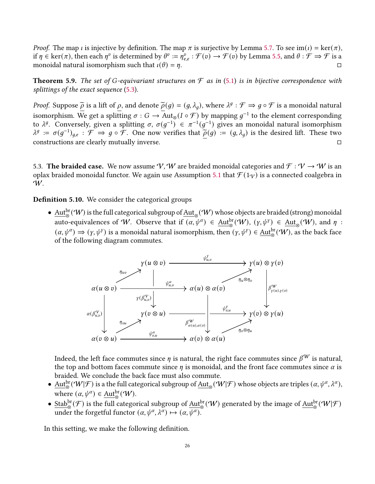*Proof.* The map *i* is injective by definition. The map  $\pi$  is surjective by Lemma [5.7.](#page-24-0) To see im(*i*) = ker( $\pi$ ), if  $\eta \in \text{ker}(\pi)$ , then each  $\eta^v$  is determined by  $\theta^v := \eta^v_{e,e} : \mathcal{F}(v) \to \mathcal{F}(v)$  by Lemma [5.5,](#page-23-0) and  $\theta : \mathcal{F} \Rightarrow \mathcal{F}$  is a monoidal natural isomorphism such that  $\iota(\theta) = \eta$ .

<span id="page-25-0"></span>**Theorem 5.9.** The set of G-equivariant structures on  $\mathcal F$  as in [\(5.1\)](#page-22-2) is in bijective correspondence with splittings of the exact sequence [\(5.3\)](#page-24-1).

*Proof.* Suppose  $\tilde{\rho}$  is a lift of  $\rho$ , and denote  $\tilde{\rho}(g) = (g, \lambda_g)$ , where  $\lambda^g : \mathcal{F} \Rightarrow g \circ \mathcal{F}$  is a monoidal natural isomorphism. We get a splitting  $\sigma : G \to \overline{\text{Aut}_{\otimes}(I \circ \mathcal{F})}$  by mapping  $g^{-1}$  to the element corresponding to  $\lambda^g$ . Conversely, given a splitting  $\sigma$ ,  $\sigma(g^{-1}) \in \pi^{-1}(g^{-1})$  gives an monoidal natural isomorphism  $\lambda^g := \sigma(g^{-1})_{g,e}$ :  $\mathcal{F} \Rightarrow g \circ \mathcal{F}$ . One now verifies that  $\tilde{\rho}(g) := (g, \lambda_g)$  is the desired lift. These two constructions are clearly mutually inverse.

5.3. The braided case. We now assume V, W are braided monoidal categories and  $\mathcal{F}: V \to W$  is an oplax braided monoidal functor. We again use Assumption [5.1](#page-21-1) that  $\mathcal{F}(1_V)$  is a connected coalgebra in W.

**Definition 5.10.** We consider the categorical groups

 $\bullet\;\underline{\rm Aut}^{\rm br}_\otimes(\mathcal W)$  is the full categorical subgroup of  $\underline{\rm Aut}_\otimes(\mathcal W)$  whose objects are braided (strong) monoidal auto-equivalences of W. Observe that if  $(\alpha, \psi^{\alpha}) \in \underline{\mathrm{Aut}}_{\otimes}^{\mathrm{br}}(\mathcal{W}), (\gamma, \psi^{\gamma}) \in \underline{\mathrm{Aut}}_{\otimes}(\mathcal{W}),$  and  $\eta$ :  $(\alpha, \psi^{\alpha}) \Rightarrow (\gamma, \psi^{\gamma})$  is a monoidal natural isomorphism, then  $(\gamma, \psi^{\gamma}) \in \underline{\text{Aut}}_{\otimes}^{\text{br}}(\mathcal{W})$ , as the back face of the following diagram commutes.



Indeed, the left face commutes since  $\eta$  is natural, the right face commutes since  $\beta^{W}$  is natural, the top and bottom faces commute since  $\eta$  is monoidal, and the front face commutes since  $\alpha$  is braided. We conclude the back face must also commute.

- $\underline{\mathrm{Aut}}_\otimes^{\mathrm{br}}(\mathcal{W}|\mathcal{F})$  is a the full categorical subgroup of  $\underline{\mathrm{Aut}}_\otimes(\mathcal{W}|\mathcal{F})$  whose objects are triples  $(\alpha, \psi^\alpha, \lambda^\alpha),$ where  $(\alpha, \psi^{\alpha}) \in \underline{\text{Aut}}_{\infty}^{\text{br}}(\mathcal{W}).$ ⊗
- $\frac{\text{Stab}^{\text{br}}_{\otimes}(\mathcal{F})$  is the full categorical subgroup of  $\frac{\text{Aut}^{\text{br}}_{\otimes}(\mathcal{W})$  generated by the image of  $\frac{\text{Aut}^{\text{br}}_{\otimes}(\mathcal{W}|\mathcal{F})}$ under the forgetful functor  $(\alpha, \psi^{\alpha}, \lambda^{\alpha}) \mapsto (\alpha, \overline{\psi^{\alpha}})$ .

In this setting, we make the following definition.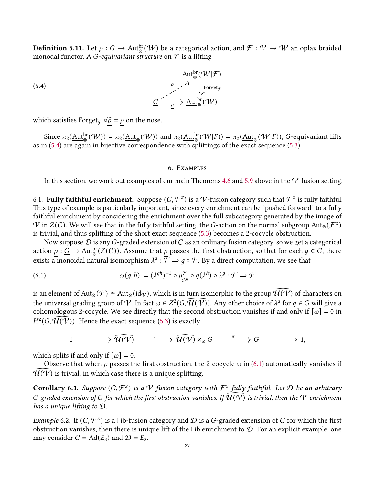**Definition 5.11.** Let  $\rho: \underline{G} \to \underline{\rm Aut}^{\rm br}_\otimes(\mathcal W)$  be a categorical action, and  $\mathcal F: \mathcal V \to \mathcal W$  an oplax braided monodal functor. A *G*-equivariant structure on  $\mathcal F$  is a lifting

(5.4)  
\n
$$
\begin{array}{c}\n\widetilde{\mathcal{P}} & \xrightarrow{\widetilde{\mathcal{P}}} \mathcal{P} \\
\downarrow^{\text{Forget}_{\mathcal{F}}} \\
\downarrow^{\text{Forget}_{\mathcal{F}}} \\
\downarrow^{\text{Forget}_{\mathcal{F}}} \\
\downarrow^{\text{Forget}_{\mathcal{F}}} \\
\downarrow^{\text{Forget}_{\mathcal{F}}} \\
\downarrow^{\text{Forget}_{\mathcal{F}}} \\
\downarrow^{\text{Forget}_{\mathcal{F}}} \\
\downarrow^{\text{Forget}_{\mathcal{F}}} \\
\downarrow^{\text{Forget}_{\mathcal{F}}} \\
\downarrow^{\text{Forget}_{\mathcal{F}}} \\
\downarrow^{\text{Forget}_{\mathcal{F}}} \\
\downarrow^{\text{Forget}_{\mathcal{F}}} \\
\downarrow^{\text{Forget}_{\mathcal{F}}} \\
\downarrow^{\text{Forget}_{\mathcal{F}}} \\
\downarrow^{\text{Forget}_{\mathcal{F}}} \\
\downarrow^{\text{Forget}_{\mathcal{F}}} \\
\downarrow^{\text{Forget}_{\mathcal{F}}} \\
\downarrow^{\text{Forget}_{\mathcal{F}}} \\
\downarrow^{\text{Forget}_{\mathcal{F}}} \\
\downarrow^{\text{Forget}_{\mathcal{F}}} \\
\downarrow^{\text{Forget}_{\mathcal{F}}} \\
\downarrow^{\text{Forget}_{\mathcal{F}}} \\
\downarrow^{\text{Forget}_{\mathcal{F}}} \\
\downarrow^{\text{Forget}_{\mathcal{F}}} \\
\downarrow^{\text{Forget}_{\mathcal{F}}} \\
\downarrow^{\text{Forget}_{\mathcal{F}}} \\
\downarrow^{\text{Forget}_{\mathcal{F}}} \\
\downarrow^{\text{Forget}_{\mathcal{F}}} \\
\downarrow^{\text{Forget}_{\mathcal{F}}} \\
\downarrow^{\text{Forget}_{\mathcal{F}}} \\
\downarrow^{\text{Forget}_{\mathcal{F}}} \\
\downarrow^{\text{Forget}_{\mathcal{F}}} \\
\downarrow^{\text{Forget}_{\mathcal{F}}} \\
\downarrow^{\text{Forget}_{\mathcal{F}}} \\
\downarrow^{\text{Forget}_{\mathcal{F}}} \\
\downarrow^{\text{Forget}_{\mathcal{F}}} \\
\downarrow^{\text{Forget}_{\mathcal{F}}} \\
\downarrow^{\text{Forget}_{\mathcal{F}}} \\
\downarrow^{\text{Forget}_{\mathcal{F}}} \\
\downarrow^{\text{Forget}_{
$$

which satisfies Forget $\mathcal{F} \circ \underline{\tilde{\rho}} = \underline{\rho}$  on the nose.

Since  $\pi_2(\underline{\mathrm{Aut}}_\otimes^{\mathrm{br}}(\mathcal{W})) = \pi_2(\underline{\mathrm{Aut}}_\otimes(\mathcal{W}))$  and  $\pi_2(\underline{\mathrm{Aut}}_\otimes^{\mathrm{br}}(\mathcal{W}|F)) = \pi_2(\underline{\mathrm{Aut}}_\otimes(\mathcal{W}|F)),$  G-equivariant lifts as in [\(5.4\)](#page-26-1) are again in bijective correspondence with splittings of the exact sequence [\(5.3\)](#page-24-1).

### <span id="page-26-1"></span>6. Examples

<span id="page-26-0"></span>In this section, we work out examples of our main Theorems [4.6](#page-20-1) and [5.9](#page-25-0) above in the  $V$ -fusion setting.

6.1. Fully faithful enrichment. Suppose  $(C, \mathcal{F}^z)$  is a  $\mathcal{V}$ -fusion category such that  $\mathcal{F}^z$  is fully faithful. This type of example is particularly important, since every enrichment can be "pushed forward" to a fully faithful enrichment by considering the enrichment over the full subcategory generated by the image of  $V$  in  $Z(C)$ . We will see that in the fully faithful setting, the G-action on the normal subgroup  ${\rm Aut}_{\otimes}(\mathcal F^Z)$ is trivial, and thus splitting of the short exact sequence [\(5.3\)](#page-24-1) becomes a 2-cocycle obstruction.

Now suppose  $D$  is any G-graded extension of  $C$  as an ordinary fusion category, so we get a categorical action  $\rho : G \to \underline{\rm Aut}_\otimes^{\rm br}(Z(C))$ . Assume that  $\rho$  passes the first obstruction, so that for each  $g \in G$ , there exists a monoidal natural isomorphism  $\lambda^g : \overline{\mathcal{F}} \Rightarrow g \circ \mathcal{F}$ . By a direct computation, we see that

(6.1) 
$$
\omega(g, h) := (\lambda^{gh})^{-1} \circ \mu_{g,h}^{\mathcal{F}} \circ g(\lambda^h) \circ \lambda^g : \mathcal{F} \Rightarrow \mathcal{F}
$$

is an element of  $Aut_\otimes(\mathcal{F}) \cong Aut_\otimes(\mathrm{id}_\mathcal{V})$ , which is in turn isomorphic to the group  $\widehat{\mathcal{U}(\mathcal{V})}$  of characters on the universal grading group of V. In fact  $\omega \in Z^2(G, \widehat{U(V)})$ . Any other choice of  $\lambda^g$  for  $g \in G$  will give a cohomologous 2-cocycle. We see directly that the second obstruction vanishes if and only if  $[\omega] = 0$  in  $H^2(G, \widehat{\mathcal{U}(\mathcal{V})}).$  Hence the exact sequence [\(5.3\)](#page-24-1) is exactly

<span id="page-26-2"></span>
$$
1 \longrightarrow \widehat{\mathcal{U}(\mathcal{V})} \longrightarrow \widehat{\mathcal{U}(\mathcal{V})} \times_{\omega} G \longrightarrow \pi \longrightarrow G \longrightarrow 1,
$$

which splits if and only if  $[\omega] = 0$ .

Observe that when  $\rho$  passes the first obstruction, the 2-cocycle  $\omega$  in [\(6.1\)](#page-26-2) automatically vanishes if  $\overline{\mathcal{U}(\mathcal{V})}$  is trivial, in which case there is a unique splitting.

**Corollary 6.1.** Suppose  $(C, \mathcal{F}^z)$  is a V-fusion category with  $\mathcal{F}^z$  fully faithful. Let D be an arbitrary G-graded extension of C for which the first obstruction vanishes. If  $\widehat{U(V)}$  is trivial, then the V-enrichment has a unique lifting to D.

Example 6.2. If  $(C, \mathcal{F}^z)$  is a Fib-fusion category and  $\mathcal D$  is a G-graded extension of  $C$  for which the first obstruction vanishes, then there is unique lift of the Fib enrichment to  $D$ . For an explicit example, one may consider  $C = \text{Ad}(E_8)$  and  $\mathcal{D} = E_8$ .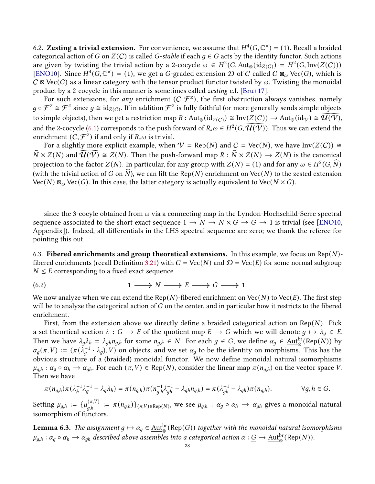6.2. Zesting a trivial extension. For convenience, we assume that  $H^4(G, \mathbb{C}^\times) = (1)$ . Recall a braided categorical action of G on  $Z(C)$  is called G-stable if each  $q \in G$  acts by the identity functor. Such actions are given by twisting the trivial action by a 2-cocycle  $\omega \in H^2(G,\text{Aut}_{\otimes}(\text{id}_{Z(C)}) = H^2(G,\text{Inv}(Z(C)))$ [\[ENO10\]](#page-34-1). Since  $H^4(G, \mathbb{C}^{\times}) = (1)$ , we get a G-graded extension  $\mathcal D$  of C called C  $\mathbb{Z}_{\omega}$  Vec(G), which is  $C \boxtimes \text{Vec}(G)$  as a linear category with the tensor product functor twisted by  $\omega$ . Twisting the monoidal product by a 2-cocycle in this manner is sometimes called zesting c.f. [\[Bru+17\]](#page-33-4).

For such extensions, for any enrichment  $(C, \mathcal{F}^z)$ , the first obstruction always vanishes, namely  $g\circ\mathcal{F}^z\cong\mathcal{F}^z$  since  $g\cong\text{id}_{Z(C)}$ . If in addition  $\mathcal{F}^z$  is fully faithful (or more generally sends simple objects to simple objects), then we get a restriction map  $R : \text{Aut}_{\otimes}(\text{id}_{Z(C)}) \cong \text{Inv}(Z(C)) \to \text{Aut}_{\otimes}(\text{id}_{V}) \cong \widehat{\mathcal{U}(V)}$ , and the 2-cocycle [\(6.1\)](#page-26-2) corresponds to the push forward of  $R_*\omega \in H^2(G, \widehat{\mathcal{U}(\mathcal{V})})$ . Thus we can extend the enrichment  $(C, \mathcal{F}^z)$  if and only if  $R_*\omega$  is trivial.

For a slightly more explicit example, when  $V = \text{Rep}(N)$  and  $C = \text{Vec}(N)$ , we have  $\text{Inv}(Z(C)) \cong$  $\widehat{N} \times Z(N)$  and  $\widehat{\mathcal{U}(\mathcal{V})} \cong Z(N)$ . Then the push-forward map  $R : \widehat{N} \times Z(N) \to Z(N)$  is the canonical projection to the factor  $Z(N)$ . In particular, for any group with  $Z(N) = (1)$  and for any  $\omega \in H^2(G, \widehat{N})$ (with the trivial action of G on  $\tilde{N}$ ), we can lift the Rep(N) enrichment on Vec(N) to the zested extension  $Vec(N)$   $\mathbb{Z}_{\omega}$  Vec(G). In this case, the latter category is actually equivalent to Vec( $N \times G$ ).

since the 3-cocyle obtained from  $\omega$  via a connecting map in the Lyndon-Hochschild-Serre spectral sequence associated to the short exact sequence  $1 \rightarrow N \rightarrow N \times G \rightarrow G \rightarrow 1$  is trivial (see [\[ENO10,](#page-34-1) Appendix]). Indeed, all differentials in the LHS spectral sequence are zero; we thank the referee for pointing this out.

6.3. Fibered enrichments and group theoretical extensions. In this example, we focus on Rep(N)-fibered enrichments (recall Definition [3.21\)](#page-13-2) with  $C = \text{Vec}(N)$  and  $D = \text{Vec}(E)$  for some normal subgroup  $N \leq E$  corresponding to a fixed exact sequence

(6.2) 
$$
1 \longrightarrow N \longrightarrow E \longrightarrow G \longrightarrow 1.
$$

We now analyze when we can extend the Rep(N)-fibered enrichment on Vec(N) to Vec(E). The first step will be to analyze the categorical action of  $G$  on the center, and in particular how it restricts to the fibered enrichment.

First, from the extension above we directly define a braided categorical action on  $\text{Rep}(N)$ . Pick a set theortical section  $\lambda : G \to E$  of the quotient map  $E \to G$  which we will denote  $g \mapsto \lambda_g \in E$ . Then we have  $\lambda_g \lambda_h = \lambda_{gh} n_{g,h}$  for some  $n_{g,h} \in N$ . For each  $g \in G$ , we define  $\alpha_g \in \underline{\mathrm{Aut}}_{\otimes}^{\text{br}}(\text{Rep}(N))$  by  $\alpha_g(\pi, V) := (\pi(\lambda_g^{-1} \cdot \lambda_g), V)$  on objects, and we set  $\alpha_g$  to be the identity on morphisms. This has the obvious structure of a (braided) monoidal functor. We now define monoidal natural isomorphisms  $\mu_{g,h} : \alpha_g \circ \alpha_h \to \alpha_{gh}$ . For each  $(\pi, V) \in \text{Rep}(N)$ , consider the linear map  $\pi(n_{g,h})$  on the vector space V. Then we have

$$
\pi(n_{g,h})\pi(\lambda_h^{-1}\lambda_g^{-1}-\lambda_g\lambda_h)=\pi(n_{g,h})\pi(n_{g,h}^{-1}\lambda_{gh}^{-1}-\lambda_{gh}n_{g,h})=\pi(\lambda_{gh}^{-1}-\lambda_{gh})\pi(n_{g,h}).\qquad\qquad\forall g,h\in G.
$$

Setting  $\mu_{g,h} := \{ \mu_{g,h}^{(\pi,V)} := \pi(n_{g,h}) \}_{(\pi,V) \in \text{Rep}(N)},$  we see  $\mu_{g,h} : \alpha_g \circ \alpha_h \to \alpha_{gh}$  gives a monoidal natural isomorphism of functors.

<span id="page-27-0"></span>**Lemma 6.3.** The assignment  $g \mapsto \alpha_g \in \underline{\mathrm{Aut}}_{\otimes}^{\text{br}}(\mathsf{Rep}(G))$  together with the monoidal natural isomorphisms  $\mu_{g,h}:\alpha_g\circ\alpha_h\to\alpha_{gh}$  described above assembles into a categorical action  $\alpha:\underline{G}\to \underline{\rm Aut}^{\rm br}_\otimes({\rm Rep}(N)).$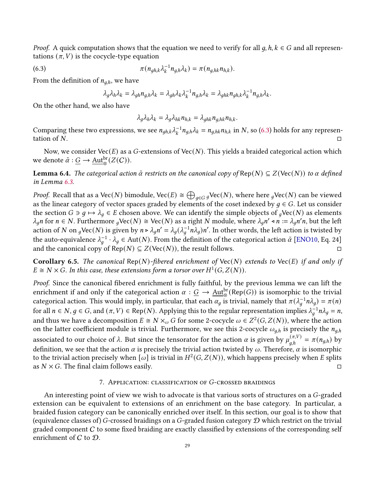*Proof.* A quick computation shows that the equation we need to verify for all  $q, h, k \in G$  and all representations  $(\pi, V)$  is the cocycle-type equation

(6.3) 
$$
\pi(n_{gh,k}\lambda_k^{-1}n_{g,h}\lambda_k) = \pi(n_{g,hk}n_{h,k}).
$$

From the definition of  $n_{q,h}$ , we have

<span id="page-28-1"></span>
$$
\lambda_g \lambda_h \lambda_k = \lambda_{gh} n_{g,h} \lambda_k = \lambda_{gh} \lambda_k \lambda_k^{-1} n_{g,h} \lambda_k = \lambda_{ghk} n_{gh,k} \lambda_k^{-1} n_{g,h} \lambda_k.
$$

On the other hand, we also have

$$
\lambda_g \lambda_h \lambda_k = \lambda_g \lambda_{hk} n_{h,k} = \lambda_{ghk} n_{g,hk} n_{h,k}.
$$

Comparing these two expressions, we see  $n_{gh,k}\lambda_k^{-1}n_{g,h}\lambda_k=n_{g,hk}n_{h,k}$  in N, so [\(6.3\)](#page-28-1) holds for any representation of  $N$ .

Now, we consider  $Vec(E)$  as a G-extensions of  $Vec(N)$ . This yields a braided categorical action which we denote  $\tilde{\alpha}: \underline{G} \to \underline{\rm Aut}_{\otimes}^{\rm br}(Z(C)).$ 

**Lemma 6.4.** The categorical action  $\tilde{\alpha}$  restricts on the canonical copy of Rep(N)  $\subseteq Z(\text{Vec}(N))$  to  $\alpha$  defined in Lemma [6.3.](#page-27-0)

*Proof.* Recall that as a Vec(N) bimodule, Vec(E)  $\cong \bigoplus_{q\in G} g$ Vec(N), where here  $g$ Vec(N) can be viewed as the linear category of vector spaces graded by elements of the coset indexed by  $q \in G$ . Let us consider the section  $G \ni g \mapsto \lambda_g \in E$  chosen above. We can identify the simple objects of  $gVec(N)$  as elements  $\lambda_q n$  for  $n \in N$ . Furthermore  $q$ Vec $(N) \cong \text{Vec}(N)$  as a right N module, where  $\lambda_q n' \triangleleft n := \lambda_q n' n$ , but the left action of N on <sub>q</sub>Vec(N) is given by  $n \triangleright \lambda_q n' = \lambda_q (\lambda_q^{-1} n \lambda_q) n'$ . In other words, the left action is twisted by the auto-equivalence  $\lambda_q^{-1} \cdot \lambda_q \in$  Aut $(N)$ . From the definition of the categorical action  $\tilde{\alpha}$  [\[ENO10,](#page-34-1) Eq. 24] and the canonical copy of Rep( $N$ )  $\subseteq Z(Vec(N))$ , the result follows.

**Corollary 6.5.** The canonical Rep(N)-fibered enrichment of Vec(N) extends to Vec(E) if and only if  $E \cong N \times G$ . In this case, these extensions form a torsor over  $H^1(G, Z(N))$ .

Proof. Since the canonical fibered enrichment is fully faithful, by the previous lemma we can lift the enrichment if and only if the categorical action  $\alpha$  :  $\underline{G}\to \underline{\rm{Aut}}_{\otimes}^{\rm br}(\mathrm{Rep}(G))$  is isomorphic to the trivial categorical action. This would imply, in particular, that each  $\alpha_g$  is trivial, namely that  $\pi(\lambda_g^{-1}n\lambda_g)=\pi(n)$ for all  $n \in N$ ,  $g \in G$ , and  $(π, V) ∈ Rep(N)$ . Applying this to the regular representation implies  $λ_q^{-1}nλ_g = n$ , and thus we have a decomposition  $E \cong N \times_\omega G$  for some 2-cocycle  $\omega \in Z^2(G,Z(N)),$  where the action on the latter coefficient module is trivial. Furthermore, we see this 2-cocycle  $\omega_{a,h}$  is precisely the  $n_{a,h}$ associated to our choice of  $\lambda$ . But since the tensorator for the action  $\alpha$  is given by  $\mu_{a,h}^{(\pi,V)} = \pi(n_{g,h})$  by definition, we see that the action  $\alpha$  is precisely the trivial action twisted by  $\omega$ . Therefore,  $\alpha$  is isomorphic to the trivial action precisely when  $\vec{[\omega]}$  is trivial in  $H^2(G,Z(N))$ , which happens precisely when E splits as  $N \times G$ . The final claim follows easily.

#### 7. APPLICATION: CLASSIFICATION OF G-CROSSED BRAIDINGS

<span id="page-28-0"></span>An interesting point of view we wish to advocate is that various sorts of structures on a  $G$ -graded extension can be equivalent to extensions of an enrichment on the base category. In particular, a braided fusion category can be canonically enriched over itself. In this section, our goal is to show that (equivalence classes of) G-crossed braidings on a G-graded fusion category  $\mathcal D$  which restrict on the trivial graded component  $C$  to some fixed braiding are exactly classified by extensions of the corresponding self enrichment of C to D.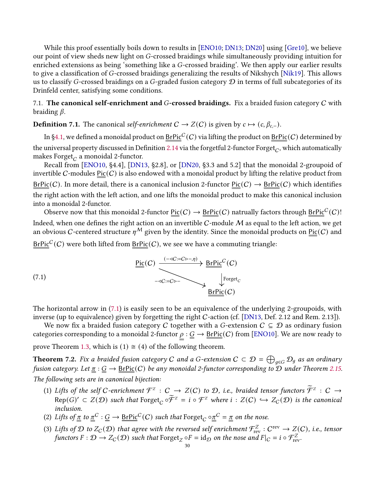While this proof essentially boils down to results in [\[ENO10;](#page-34-1) [DN13;](#page-34-15) [DN20\]](#page-34-10) using [\[Gre10\]](#page-34-14), we believe our point of view sheds new light on G-crossed braidings while simultaneously providing intuition for enriched extensions as being 'something like a G-crossed braiding'. We then apply our earlier results to give a classification of  $G$ -crossed braidings generalizing the results of Nikshych [\[Nik19\]](#page-35-6). This allows us to classify G-crossed braidings on a G-graded fusion category  $\mathcal D$  in terms of full subcategories of its Drinfeld center, satisfying some conditions.

# 7.1. The canonical self-enrichment and G-crossed braidings. Fix a braided fusion category  $C$  with braiding  $\beta$ .

**Definition 7.1.** The canonical self-enrichment  $C \rightarrow Z(C)$  is given by  $c \mapsto (c, \beta_{c-})$ .

In [§4.1,](#page-19-1) we defined a monoidal product on  $\text{\underline{BrPic}}^C(C)$  via lifting the product on  $\text{\underline{BrPic}}(C)$  determined by the universal property discussed in Definition [2.14](#page-5-1) via the forgetful 2-functor Forget $_C$ , which automatically makes Forget $_{C}$  a monoidal 2-functor.

Recall from [\[ENO10,](#page-34-1) §4.4], [\[DN13,](#page-34-15) §2.8], or [\[DN20,](#page-34-10) §3.3 and 5.2] that the monoidal 2-groupoid of invertible C-modules  $Pic(C)$  is also endowed with a monoidal product by lifting the relative product from  $BrPic(C)$ . In more detail, there is a canonical inclusion 2-functor  $Pic(C) \to BrPic(C)$  which identifies the right action with the left action, and one lifts the monoidal product to make this canonical inclusion into a monoidal 2-functor.

Observe now that this monoidal 2-functor  $\mathrm{Pic}(C) \to \mathrm{BrPic}(C)$  natrually factors through  $\mathrm{BrPic}^C(C)!$ Indeed, when one defines the right action on an invertible  $C$ -module  $M$  as equal to the left action, we get an obvious C-centered structure  $\eta^M$  given by the identity. Since the monoidal products on Pic(C) and

<span id="page-29-1"></span> $\underline{\mathsf{BrPic}}^C(C)$  were both lifted from  $\underline{\mathsf{BrPic}}(C),$  we see we have a commuting triangle:



The horizontal arrow in [\(7.1\)](#page-29-1) is easily seen to be an equivalence of the underlying 2-groupoids, with inverse (up to equivalence) given by forgetting the right C-action (cf. [\[DN13,](#page-34-15) Def. 2.12 and Rem. 2.13]).

We now fix a braided fusion category C together with a G-extension  $C \subseteq \mathcal{D}$  as ordinary fusion categories corresponding to a monoidal 2-functor  $\rho : \underline{G} \to \underline{BrPic}(C)$  from [\[ENO10\]](#page-34-1). We are now ready to prove Theorem [1.3,](#page-2-0) which is (1)  $\approx$  (4) of the following theorem.

<span id="page-29-0"></span>**Theorem 7.2.** Fix a braided fusion category C and a G-extension  $C \subset \mathcal{D} = \bigoplus_{g \in G} \mathcal{D}_g$  as an ordinary fusion category. Let  $\pi : G \to \text{BrPic}(C)$  be any monoidal 2-functor corresponding to  $\mathcal D$  under Theorem [2.15.](#page-5-2) The following sets are in canonical bijection:

- (1) Lifts of the self C-enrichment  $\mathcal{F}^z$  :  $C \rightarrow Z(C)$  to  $\mathcal{D}$ , i.e., braided tensor functors  $\widetilde{\mathcal{F}}^z$  :  $C \rightarrow$  $Rep(G)' \subset Z(\mathcal{D})$  such that  $Forget_C \circ \widetilde{\mathcal{F}}^Z = i \circ \mathcal{F}^Z$  where  $i : Z(C) \hookrightarrow Z_C(\mathcal{D})$  is the canonical inclusion.
- (2) Lifts of  $\underline{\pi}$  to  $\underline{\pi}^C:\underline{G}\to \underline{BrPic}^C(C)$  such that  $\mathrm{Forget}_C\circ \underline{\pi}^C=\underline{\pi}$  on the nose.
- (3) Lifts of D to  $Z_c(\mathcal{D})$  that agree with the reversed self enrichment  $\mathcal{F}_{rev}^Z: C^{rev} \to Z_c(C)$ , i.e., tensor functors  $F: \mathcal{D} \to Z_c(\mathcal{D})$  such that  $\text{Forget}_Z \circ F = \text{id}_{\mathcal{D}}$  on the nose and  $F|_C = i \circ \mathcal{F}_{rev}^Z$ .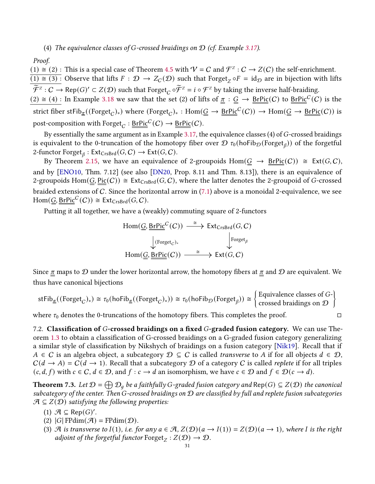#### (4) The equivalence classes of G-crossed braidings on  $\mathcal D$  (cf. Example [3.17\)](#page-12-4).

Proof.

 $(1) \cong (2)$ : This is a special case of Theorem [4.5](#page-20-0) with  $V = C$  and  $\mathcal{F}^Z : C \to Z(C)$  the self-enrichment.  $\overline{(1) \cong (3)}$ : Observe that lifts  $F : \mathcal{D} \to Z_{\mathcal{C}}(\mathcal{D})$  such that Forget<sub>Z</sub>  $\circ F = id_{\mathcal{D}}$  are in bijection with lifts  $\widetilde{\mathcal{F}}^z : C \to \text{Rep}(G)' \subset Z(\mathcal{D})$  such that  $\text{forget}_C \circ \widetilde{\mathcal{F}}^z = i \circ \mathcal{F}^z$  by taking the inverse half-braiding.  $(2) \cong (4)$ : In Example [3.18](#page-12-3) we saw that the set (2) of lifts of  $\pi : G \to \text{BrPic}(C)$  to  $\text{BrPic}^C(C)$  is the strict fiber stFib<sub> $\pi$ </sub>((Forget<sub>*C*</sub>)<sub>\*</sub>) where (Forget<sub>*C*</sub>)<sub>\*</sub>: Hom(<u>G</u> → <u>BrPic</u><sup>C</sup>(*C*)) → Hom(<u>G</u> → <u>BrPic</u>(*C*)) is post-composition with  $\mathrm{Forget}_C : \underline{\mathsf{BrPic}}^C(C) \to \underline{\mathsf{BrPic}}(C).$ 

By essentially the same argument as in Example [3.17,](#page-12-4) the equivalence classes  $(4)$  of  $G$ -crossed braidings is equivalent to the 0-truncation of the homotopy fiber over  $\mathcal D$   $\tau_0$ (hoFib $\mathcal D$ (Forget $_\beta$ )) of the forgetful 2-functor  $\text{Forget}_{\beta} : \text{Ext}_{\text{CrsBrd}}(G, C) \to \text{Ext}(G, C).$ 

By Theorem [2.15,](#page-5-2) we have an equivalence of 2-groupoids  $Hom(G \rightarrow BrPic(C)) \cong Ext(G, C)$ , and by [\[ENO10,](#page-34-1) Thm. 7.12] (see also [\[DN20,](#page-34-10) Prop. 8.11 and Thm. 8.13]), there is an equivalence of 2-groupoids Hom( $G, Pic(C)$ )  $\cong Ext_{CrsBrd}(G, C)$ , where the latter denotes the 2-groupoid of G-crossed braided extensions of C. Since the horizontal arrow in [\(7.1\)](#page-29-1) above is a monoidal 2-equivalence, we see  $\text{Hom}(\underline{G}, \underline{\text{BrPic}}^C(C)) \cong \text{Ext}_{\text{CrsBrd}}(G, C).$ 

Putting it all together, we have a (weakly) commuting square of 2-functors

$$
\text{Hom}(\underline{\underline{G}}, \underline{\underline{\text{BrPic}}^C(C)}) \xrightarrow{\cong} \text{Ext}_{\text{CrsBrd}}(G, C)
$$
\n
$$
\downarrow^{\text{(Forget}_{C})_*} \qquad \qquad \downarrow^{\text{Forget}_{\beta}}
$$
\n
$$
\text{Hom}(\underline{G}, \underline{\text{BrPic}}(C)) \xrightarrow{\cong} \text{Ext}(G, C)
$$

Since  $\pi$  maps to  $\mathcal D$  under the lower horizontal arrow, the homotopy fibers at  $\pi$  and  $\mathcal D$  are equivalent. We thus have canonical bijections

$$
stFib_{\underline{\pi}}((Forget_{C})_{*}) \cong \tau_{0}(\text{hofib}_{\underline{\pi}}((Forget_{C})_{*})) \cong \tau_{0}(\text{hofib}_{\mathcal{D}}(Forget_{\beta})) \cong \begin{cases} \text{Equivalence classes of } G-\text{crossed braidings on } \mathcal{D} \end{cases}
$$

where  $\tau_0$  denotes the 0-truncations of the homotopy fibers. This completes the proof.  $\Box$ 

7.2. Classification of G-crossed braidings on a fixed G-graded fusion category. We can use The-orem [1.3](#page-2-0) to obtain a classification of G-crossed braidings on a G-graded fusion category generalizing a similar style of classification by Nikshych of braidings on a fusion category [\[Nik19\]](#page-35-6). Recall that if  $A \in \mathcal{C}$  is an algebra object, a subcategory  $\mathcal{D} \subseteq \mathcal{C}$  is called transverse to A if for all objects  $d \in \mathcal{D}$ ,  $C(d \rightarrow A) = C(d \rightarrow 1)$ . Recall that a subcategory D of a category C is called *replete* if for all triples  $(c, d, f)$  with  $c \in C$ ,  $d \in \mathcal{D}$ , and  $f : c \to d$  an isomorphism, we have  $c \in \mathcal{D}$  and  $f \in \mathcal{D}(c \to d)$ .

<span id="page-30-0"></span>**Theorem 7.3.** Let  $\mathcal{D} = \bigoplus \mathcal{D}_q$  be a faithfully G-graded fusion category and  $Rep(G) \subseteq Z(\mathcal{D})$  the canonical subcategory of the center. Then G-crossed braidings on  $D$  are classified by full and replete fusion subcategories  $A \subseteq Z(D)$  satisfying the following properties:

- (1)  $\mathcal{A} \subseteq \text{Rep}(G)'.$
- (2)  $|G|$  FPdim $(\mathcal{A})$  = FPdim $(\mathcal{D})$ .
- (3) A is transverse to  $I(1)$ , i.e. for any  $a \in \mathcal{A}$ ,  $Z(\mathcal{D})(a \to I(1)) = Z(\mathcal{D})(a \to 1)$ , where I is the right adjoint of the forgetful functor  $\text{Forget}_Z : Z(D) \to D$ .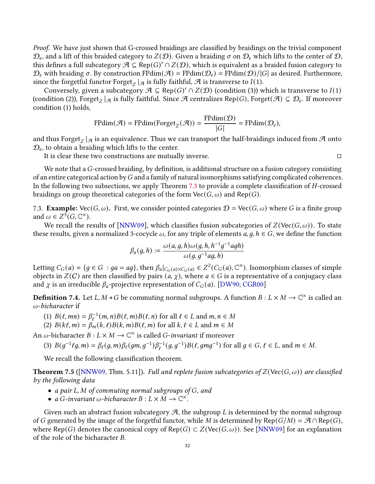Proof. We have just shown that G-crossed braidings are classified by braidings on the trivial component  $\mathcal{D}_e$ , and a lift of this braided category to  $Z(\mathcal{D})$ . Given a braiding  $\sigma$  on  $\mathcal{D}_e$  which lifts to the center of  $\mathcal{D},$ this defines a full subcategory  $\mathcal{A} \subseteq \mathsf{Rep}(G)' \cap Z(\mathcal{D})$ , which is equivalent as a braided fusion category to  $\mathcal{D}_e$  with braiding  $\sigma$ . By construction FPdim( $\mathcal{A}$ ) = FPdim( $\mathcal{D}_e$ ) = FPdim( $\mathcal{D}/|G|$  as desired. Furthermore, since the forgetful functor  $\text{Forget}_{Z} |_{\mathcal{A}}$  is fully faithful,  $\mathcal A$  is transverse to  $I(1)$ .

Conversely, given a subcategory  $\mathcal{A} \subseteq \text{Rep}(G)' \cap Z(\mathcal{D})$  (condition (3)) which is transverse to  $I(1)$ (condition (2)),  $\mathrm{Forget}_Z\,|_{\mathcal{A}}$  is fully faithful. Since  $\mathcal A$  centralizes Rep(G),  $\mathrm{Forget}(\mathcal A)\subseteq \mathcal D_e.$  If moreover condition (1) holds,

$$
\mathrm{FPdim}(\mathcal{A}) = \mathrm{FPdim}(\mathrm{Forget}_Z(\mathcal{A})) = \frac{\mathrm{FPdim}(\mathcal{D})}{|G|} = \mathrm{FPdim}(\mathcal{D}_e),
$$

and thus Forget $_Z\vert_{\mathcal{A}}$  is an equivalence. Thus we can transport the half-braidings induced from  $\mathcal A$  onto  $\mathcal{D}_{e}$ , to obtain a braiding which lifts to the center.

It is clear these two constructions are mutually inverse.  $\Box$ 

We note that a  $G$ -crossed braiding, by definition, is additional structure on a fusion category consisting of an entire categorical action by  $G$  and a family of natural isomorphisms satisfying complicated coherences. In the following two subsections, we apply Theorem [7.3](#page-30-0) to provide a complete classification of  $H$ -crossed braidings on group theoretical categories of the form  $\text{Vec}(G, \omega)$  and Rep(G).

7.3. **Example:** Vec( $G, \omega$ ). First, we consider pointed categories  $D = \text{Vec}(G, \omega)$  where G is a finite group and  $\omega \in Z^3(G, \mathbb{C}^\times)$ .

We recall the results of [\[NNW09\]](#page-35-15), which classifies fusion subcategories of  $Z(Vec(G, \omega))$ . To state these results, given a normalized 3-cocycle  $\omega$ , for any triple of elements  $a, g, h \in G$ , we define the function

$$
\beta_a(g,h) := \frac{\omega(a,g,h)\omega(g,h,h^{-1}g^{-1}agh)}{\omega(g,g^{-1}ag,h)}
$$

Letting  $C_G(a) = \{g \in G : ga = ag\}$ , then  $\beta_a|_{C_G(a)\times C_G(a)} \in Z^2(C_G(a), \mathbb{C}^\times)$ . Isomorphism classes of simple objects in  $Z(C)$  are then classified by pairs  $(a, \chi)$ , where  $a \in G$  is a representative of a conjugacy class and  $\chi$  is an irreducible  $\beta_a$ -projective representation of  $C_G(a)$ . [\[DW90;](#page-34-16) [CGR00\]](#page-34-17)

**Definition** 7.4. Let L, M < G be commuting normal subgroups. A function  $B: L \times M \to \mathbb{C}^\times$  is called an  $\omega$ -bicharacter if

- (1)  $B(\ell, mn) = \beta_{\ell}^{-1}(m, n)B(\ell, m)B(\ell, n)$  for all  $\ell \in L$  and  $m, n \in M$
- (2)  $B(k\ell,m) = \beta_m(k,\ell)B(k,m)B(\ell,m)$  for all  $k,\ell \in L$  and  $m \in M$

An  $\omega$ -bicharacter  $B: L \times M \to \mathbb{C}^{\times}$  is called *G*-invariant if moreover

(3) 
$$
B(g^{-1}\ell g, m) = \beta_{\ell}(g, m)\beta_{\ell}(gm, g^{-1})\beta_{\ell}^{-1}(g, g^{-1})B(\ell, gmg^{-1})
$$
 for all  $g \in G, \ell \in L$ , and  $m \in M$ .

We recall the following classification theorem.

**Theorem 7.5** ([\[NNW09,](#page-35-15) Thm. 5.11]). Full and replete fusion subcategories of  $Z(\text{Vec}(G, \omega))$  are classified by the following data

- a pair  $L, M$  of commuting normal subgroups of  $G$ , and
- a G-invariant  $\omega$ -bicharacter  $B: L \times M \to \mathbb{C}^{\times}$ .

Given such an abstract fusion subcategory  $\mathcal{A}$ , the subgroup L is determined by the normal subgroup of G generated by the image of the forgetful functor, while M is determined by Rep( $G/M$ ) =  $\mathcal{A} \cap \text{Rep}(G)$ , where Rep(G) denotes the canonical copy of Rep(G)  $\subset Z(\text{Vec}(G, \omega))$ . See [\[NNW09\]](#page-35-15) for an explanation of the role of the bicharacter  $B$ .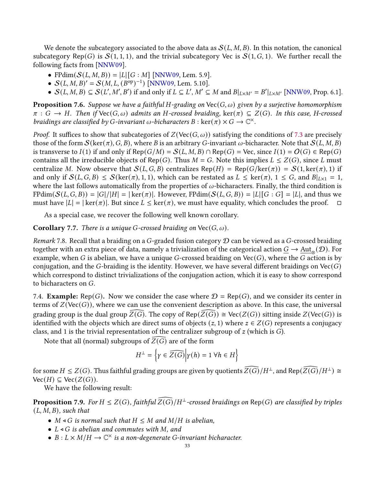We denote the subcategory associated to the above data as  $\mathcal{S}(L, M, B)$ . In this notation, the canonical subcategory Rep(G) is  $S(1, 1, 1)$ , and the trivial subcategory Vec is  $S(1, G, 1)$ . We further recall the following facts from [\[NNW09\]](#page-35-15).

- FPdim $(S(L, M, B)) = |L| [G : M]$  [\[NNW09,](#page-35-15) Lem. 5.9].
- $S(L, M, B)' = S(M, L, (B^{op})^{-1})$  [\[NNW09,](#page-35-15) Lem. 5.10].
- $S(L, M, B) \subseteq S(L', M', B')$  if and only if  $L \subseteq L', M' \subseteq M$  and  $B|_{L \times M'} = B'|_{L \times M'}$  [\[NNW09,](#page-35-15) Prop. 6.1].

**Proposition 7.6.** Suppose we have a faithful H-grading on  $\text{Vec}(G, \omega)$  given by a surjective homomorphism  $\pi: G \to H$ . Then if Vec $(G, \omega)$  admits an H-crossed braiding, ker $(\pi) \subseteq Z(G)$ . In this case, H-crossed braidings are classified by G-invariant  $\omega$ -bicharacters  $B : \text{ker}(\pi) \times G \to \mathbb{C}^{\times}$ .

*Proof.* It suffices to show that subcategories of  $Z(Vec(G, \omega))$  satisfying the conditions of [7.3](#page-30-0) are precisely those of the form  $\mathcal{S}(\ker(\pi), G, B)$ , where B is an arbitrary G-invariant  $\omega$ -bicharacter. Note that  $\mathcal{S}(L, M, B)$ is transverse to  $I(1)$  if and only if Rep( $G/M$ ) =  $S(L, M, B) \cap Rep(G)$  = Vec, since  $I(1) = O(G) \in Rep(G)$ contains all the irreducible objects of Rep(G). Thus  $M = G$ . Note this implies  $L \leq Z(G)$ , since L must centralize M. Now observe that  $\mathcal{S}(L, G, B)$  centralizes Rep(H) = Rep(G/ker( $\pi$ )) =  $\mathcal{S}(1, \ker(\pi), 1)$  if and only if  $\mathcal{S}(L, G, B) \leq \mathcal{S}(\ker(\pi), 1, 1)$ , which can be restated as  $L \leq \ker(\pi), 1 \leq G$ , and  $B|_{L\times 1} = 1$ , where the last follows automatically from the properties of  $\omega$ -bicharacters. Finally, the third condition is  $FPdim(S(L, G, B)) = |G|/|H| = |\ker(\pi)|.$  However,  $FPdim(S(L, G, B)) = |L||G : G| = |L|$ , and thus we must have  $|L| = |\ker(\pi)|$ . But since  $L \leq \ker(\pi)$ , we must have equality, which concludes the proof.  $\square$ 

As a special case, we recover the following well known corollary.

**Corollary 7.7.** There is a unique G-crossed braiding on  $Vec(G, \omega)$ .

Remark 7.8. Recall that a braiding on a G-graded fusion category  $\mathcal D$  can be viewed as a G-crossed braiding together with an extra piece of data, namely a trivialization of the categorical action  $\underline{G}\to \underline{\rm Aut}_\otimes(\mathcal D).$  For example, when G is abelian, we have a unique G-crossed braiding on  $Vec(G)$ , where the G action is by conjugation, and the G-braiding is the identity. However, we have several different braidings on  $\text{Vec}(G)$ which correspond to distinct trivializations of the conjugation action, which it is easy to show correspond to bicharacters on  $G$ .

7.4. **Example:** Rep(G). Now we consider the case where  $\mathcal{D} = \text{Rep}(G)$ , and we consider its center in terms of  $Z(Vec(G))$ , where we can use the convenient description as above. In this case, the universal grading group is the dual group  $Z(G)$ . The copy of Rep( $Z(G)$ )  $\cong$  Vec( $Z(G)$ ) sitting inside  $Z(Vec(G))$  is identified with the objects which are direct sums of objects  $(z, 1)$  where  $z \in Z(G)$  represents a conjugacy class, and 1 is the trivial representation of the centralizer subgroup of  $z$  (which is  $G$ ).

Note that all (normal) subgroups of  $Z(G)$  are of the form

$$
H^{\perp} = \left\{ \gamma \in \widehat{Z(G)} \middle| \gamma(h) = 1 \,\forall h \in H \right\}
$$

for some  $H \leq Z(G)$ . Thus faithful grading groups are given by quotients  $\widehat{Z(G)}/H^{\perp}$ , and Rep $(\widehat{Z(G)}/H^{\perp}) \cong$  $Vec(H) \subseteq Vec(Z(G)).$ 

We have the following result:

**Proposition 7.9.** For  $H \leq Z(G)$ , faithful  $\widehat{Z(G)}/H^{\perp}$ -crossed braidings on Rep(G) are classified by triples  $(L, M, B)$ , such that

- $M \triangleleft G$  is normal such that  $H \leq M$  and  $M/H$  is abelian,
- $L \triangleleft G$  is abelian and commutes with M, and
- $B: L \times M/H \to \mathbb{C}^{\times}$  is a non-degenerate G-invariant bicharacter.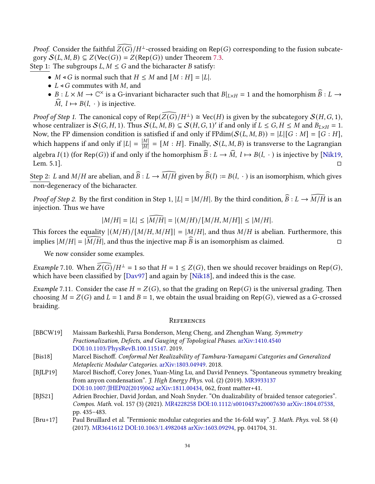*Proof.* Consider the faithful  $\widehat{Z(G)}/H^{\perp}$ -crossed braiding on Rep(G) corresponding to the fusion subcategory  $\mathcal{S}(L, M, B) \subseteq Z(\text{Vec}(G)) = Z(\text{Rep}(G))$  under Theorem [7.3.](#page-30-0) Step 1: The subgroups  $L, M \leq G$  and the bicharacter B satisfy:

- $M \triangleleft G$  is normal such that  $H \leq M$  and  $[M:H] = |L|$ .
- $L \triangleleft G$  commutes with M, and
- $B: L \times M \to \mathbb{C}^\times$  is a G-invariant bicharacter such that  $B|_{L \times H} = 1$  and the homorphism  $\widehat{B}: L \to \widehat{C}$  $\widehat{M}$ ,  $l \mapsto B(l, \cdot)$  is injective.

*Proof of Step 1.* The canonical copy of Rep( $\widehat{Z(G)}/H^{\perp}$ )  $\cong$  Vec(*H*) is given by the subcategory  $S(H, G, 1)$ , whose centralizer is  $\mathcal{S}(G, H, 1)$ . Thus  $\mathcal{S}(L, M, B) \subseteq \mathcal{S}(H, G, 1)'$  if and only if  $L \le G, H \le M$  and  $B_{L \times H} = 1$ . Now, the FP dimension condition is satisfied if and only if  $FPdim(S(L, M, B)) = |L|[G : M] = [G : H],$ which happens if and only if  $|L| = \frac{|M|}{|H|}$  $\frac{|M|}{|H|}$  = [M : H]. Finally,  $\mathcal{S}(L,M,B)$  is transverse to the Lagrangian algebra  $I(1)$  (for Rep(G)) if and only if the homorphism  $\widehat{B} : L \to \widehat{M}$ ,  $l \mapsto B(l, \cdot)$  is injective by [\[Nik19,](#page-35-6) Lem. 5.1]. Lem. 5.1].

Step 2: L and  $M/H$  are abelian, and  $\widehat{B}: L \to \widehat{M/H}$  given by  $\widehat{B}(l) := B(l, \cdot)$  is an isomorphism, which gives non-degeneracy of the bicharacter.

*Proof of Step 2.* By the first condition in Step 1,  $|L| = |M/H|$ . By the third condition,  $\widehat{B}: L \to \widehat{M/H}$  is an injection. Thus we have

$$
|M/H| = |L| \le |\widehat{M/H}| = |(M/H)/(M/H, M/H]| \le |M/H|.
$$

This forces the equality  $|(M/H)/(M/H, M/H)| = |M/H|$ , and thus  $M/H$  is abelian. Furthermore, this implies  $|M/H| = |M/H|$ , and thus the injective map B is an isomorphism as claimed.

We now consider some examples.

Example 7.10. When  $\widehat{Z(G)}/H^{\perp} = 1$  so that  $H = 1 \leq Z(G)$ , then we should recover braidings on Rep(G), which have been classified by  $[Day97]$  and again by  $[Nik18]$ , and indeed this is the case.

*Example* 7.11. Consider the case  $H = Z(G)$ , so that the grading on Rep(G) is the universal grading. Then choosing  $M = Z(G)$  and  $L = 1$  and  $B = 1$ , we obtain the usual braiding on Rep(G), viewed as a G-crossed braiding.

#### **REFERENCES**

- <span id="page-33-1"></span>[BBCW19] Maissam Barkeshli, Parsa Bonderson, Meng Cheng, and Zhenghan Wang. Symmetry Fractionalization, Defects, and Gauging of Topological Phases. [arXiv:1410.4540](https://arxiv.org/abs/1410.4540) [DOI:10.1103/PhysRevB.100.115147.](https://dx.doi.org/10.1103/PhysRevB.100.115147) 2019.
- <span id="page-33-3"></span>[Bis18] Marcel Bischoff. Conformal Net Realizability of Tambara-Yamagami Categories and Generalized Metaplectic Modular Categories. [arXiv:1803.04949.](https://arxiv.org/abs/1803.04949) 2018.
- <span id="page-33-2"></span>[BJLP19] Marcel Bischoff, Corey Jones, Yuan-Ming Lu, and David Penneys. "Spontaneous symmetry breaking from anyon condensation". J. High Energy Phys. vol. (2) (2019). [MR3933137](https://www.ams.org/mathscinet-getitem?mr=MR3933137) [DOI:10.1007/JHEP02\(2019\)062](https://dx.doi.org/10.1007/JHEP02(2019)062) [arXiv:1811.00434,](https://arxiv.org/abs/1811.00434) 062, front matter+41.
- <span id="page-33-0"></span>[BJS21] Adrien Brochier, David Jordan, and Noah Snyder. "On dualizability of braided tensor categories". Compos. Math. vol. 157 (3) (2021). [MR4228258](https://www.ams.org/mathscinet-getitem?mr=MR4228258) [DOI:10.1112/s0010437x20007630](https://dx.doi.org/10.1112/s0010437x20007630) [arXiv:1804.07538,](https://arxiv.org/abs/1804.07538) pp. 435–483.
- <span id="page-33-4"></span>[Bru+17] Paul Bruillard et al. "Fermionic modular categories and the 16-fold way". J. Math. Phys. vol. 58 (4) (2017). [MR3641612](https://www.ams.org/mathscinet-getitem?mr=MR3641612) [DOI:10.1063/1.4982048](https://dx.doi.org/10.1063/1.4982048) [arXiv:1603.09294,](https://arxiv.org/abs/1603.09294) pp. 041704, 31.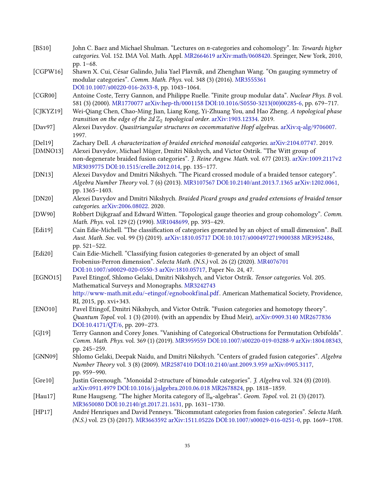<span id="page-34-18"></span><span id="page-34-17"></span><span id="page-34-16"></span><span id="page-34-15"></span><span id="page-34-14"></span><span id="page-34-13"></span><span id="page-34-12"></span><span id="page-34-11"></span><span id="page-34-10"></span><span id="page-34-9"></span><span id="page-34-8"></span><span id="page-34-7"></span><span id="page-34-6"></span><span id="page-34-5"></span><span id="page-34-4"></span><span id="page-34-3"></span><span id="page-34-2"></span><span id="page-34-1"></span><span id="page-34-0"></span>

| [BS10]      | John C. Baez and Michael Shulman. "Lectures on n-categories and cohomology". In: Towards higher<br>categories. Vol. 152. IMA Vol. Math. Appl. MR2664619 arXiv:math/0608420. Springer, New York, 2010, |
|-------------|-------------------------------------------------------------------------------------------------------------------------------------------------------------------------------------------------------|
|             | pp. 1-68.                                                                                                                                                                                             |
| [CGPW16]    | Shawn X. Cui, César Galindo, Julia Yael Plavnik, and Zhenghan Wang. "On gauging symmetry of                                                                                                           |
|             | modular categories". Comm. Math. Phys. vol. 348 (3) (2016). MR3555361                                                                                                                                 |
|             | DOI:10.1007/s00220-016-2633-8, pp. 1043-1064.                                                                                                                                                         |
| [CGR00]     | Antoine Coste, Terry Gannon, and Philippe Ruelle. "Finite group modular data". Nuclear Phys. B vol.                                                                                                   |
|             | 581 (3) (2000). MR1770077 arXiv:hep-th/0001158 DOI:10.1016/S0550-3213(00)00285-6, pp. 679-717.                                                                                                        |
| [CIKYZ19]   | Wei-Qiang Chen, Chao-Ming Jian, Liang Kong, Yi-Zhuang You, and Hao Zheng. A topological phase<br>transition on the edge of the $2d\mathbb{Z}_2$ topological order. arXiv:1903.12334. 2019.            |
| [Day97]     | Alexei Davydov. Quasitriangular structures on cocommutative Hopf algebras. arXiv:q-alg/9706007.<br>1997.                                                                                              |
| [Del19]     | Zachary Dell. A characterization of braided enriched monoidal categories. arXiv:2104.07747. 2019.                                                                                                     |
| [DMNO13]    | Alexei Davydov, Michael Müger, Dmitri Nikshych, and Victor Ostrik. "The Witt group of                                                                                                                 |
|             | non-degenerate braided fusion categories". J. Reine Angew. Math. vol. 677 (2013). arXiv:1009.2117v2                                                                                                   |
|             | MR3039775 DOI:10.1515/crelle.2012.014, pp. 135-177.                                                                                                                                                   |
| [ $DN13$ ]  | Alexei Davydov and Dmitri Nikshych. "The Picard crossed module of a braided tensor category".                                                                                                         |
|             | Algebra Number Theory vol. 7 (6) (2013). MR3107567 DOI:10.2140/ant.2013.7.1365 arXiv:1202.0061,                                                                                                       |
|             | pp. 1365-1403.                                                                                                                                                                                        |
| [DN20]      | Alexei Davydov and Dmitri Nikshych. Braided Picard groups and graded extensions of braided tensor<br>categories. arXiv:2006.08022. 2020.                                                              |
| [DW90]      | Robbert Dijkgraaf and Edward Witten. "Topological gauge theories and group cohomology". Comm.                                                                                                         |
|             | Math. Phys. vol. 129 (2) (1990). MR1048699, pp. 393-429.                                                                                                                                              |
| [Edi19]     | Cain Edie-Michell. "The classification of categories generated by an object of small dimension". Bull.                                                                                                |
|             | Aust. Math. Soc. vol. 99 (3) (2019). arXiv:1810.05717 DOI:10.1017/s0004972719000388 MR3952486,                                                                                                        |
|             | pp. 521-522.                                                                                                                                                                                          |
| [Edi20]     | Cain Edie-Michell. "Classifying fusion categories &-generated by an object of small                                                                                                                   |
|             | Frobenius-Perron dimension". Selecta Math. (N.S.) vol. 26 (2) (2020). MR4076701                                                                                                                       |
|             | DOI:10.1007/s00029-020-0550-3 arXiv:1810.05717, Paper No. 24, 47.                                                                                                                                     |
| [EGNO15]    | Pavel Etingof, Shlomo Gelaki, Dmitri Nikshych, and Victor Ostrik. Tensor categories. Vol. 205.                                                                                                        |
|             | Mathematical Surveys and Monographs. MR3242743                                                                                                                                                        |
|             | http://www-math.mit.edu/~etingof/egnobookfinal.pdf. American Mathematical Society, Providence,                                                                                                        |
|             | RI, 2015, pp. xvi+343.                                                                                                                                                                                |
| [ENO10]     | Pavel Etingof, Dmitri Nikshych, and Victor Ostrik. "Fusion categories and homotopy theory".                                                                                                           |
|             | Quantum Topol. vol. 1 (3) (2010). (with an appendix by Ehud Meir), arXiv:0909.3140 MR2677836<br>DOI:10.4171/QT/6, pp. 209-273.                                                                        |
| [GJ19]      | Terry Gannon and Corey Jones. "Vanishing of Categorical Obstructions for Permutation Orbifolds".                                                                                                      |
|             | Comm. Math. Phys. vol. 369 (1) (2019). MR3959559 DOI:10.1007/s00220-019-03288-9 arXiv:1804.08343,                                                                                                     |
|             | pp. 245-259.                                                                                                                                                                                          |
| [GNN09]     | Shlomo Gelaki, Deepak Naidu, and Dmitri Nikshych. "Centers of graded fusion categories". Algebra                                                                                                      |
|             | Number Theory vol. 3 (8) (2009). MR2587410 DOI:10.2140/ant.2009.3.959 arXiv:0905.3117,                                                                                                                |
|             | pp. 959-990.                                                                                                                                                                                          |
| [Gre10]     | Justin Greenough. "Monoidal 2-structure of bimodule categories". J. Algebra vol. 324 (8) (2010).                                                                                                      |
|             | arXiv:0911.4979 DOI:10.1016/j.jalgebra.2010.06.018 MR2678824, pp. 1818-1859.                                                                                                                          |
| [ $Hau17$ ] | Rune Haugseng. "The higher Morita category of $\mathbb{E}_n$ -algebras". <i>Geom. Topol.</i> vol. 21 (3) (2017).                                                                                      |
|             | MR3650080 DOI:10.2140/gt.2017.21.1631, pp. 1631-1730.                                                                                                                                                 |
| [HP17]      | André Henriques and David Penneys. "Bicommutant categories from fusion categories". Selecta Math.                                                                                                     |
|             | (N.S.) vol. 23 (3) (2017). MR3663592 arXiv:1511.05226 DOI:10.1007/s00029-016-0251-0, pp. 1669-1708.                                                                                                   |